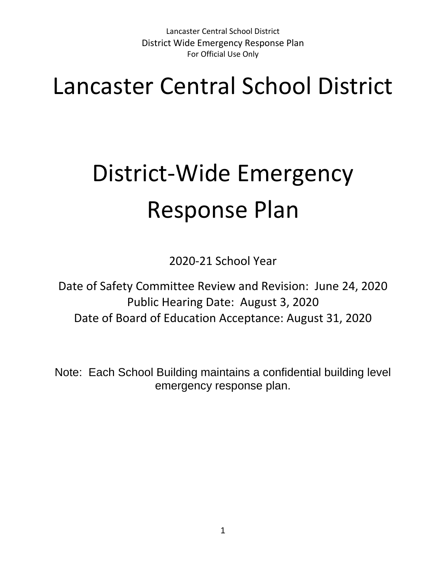## Lancaster Central School District

# District-Wide Emergency Response Plan

2020-21 School Year

Date of Safety Committee Review and Revision: June 24, 2020 Public Hearing Date: August 3, 2020 Date of Board of Education Acceptance: August 31, 2020

Note: Each School Building maintains a confidential building level emergency response plan.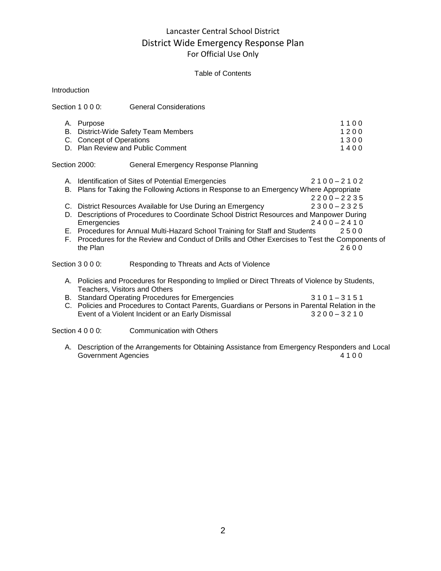#### Table of Contents

| Introduction  |                                        |                                                                                                                                                                                                                                                                                                                                        |                                                |  |
|---------------|----------------------------------------|----------------------------------------------------------------------------------------------------------------------------------------------------------------------------------------------------------------------------------------------------------------------------------------------------------------------------------------|------------------------------------------------|--|
|               | Section 1 0 0 0:                       | <b>General Considerations</b>                                                                                                                                                                                                                                                                                                          |                                                |  |
|               | A. Purpose<br>C. Concept of Operations | B. District-Wide Safety Team Members<br>D. Plan Review and Public Comment                                                                                                                                                                                                                                                              | 1100<br>1200<br>1300<br>1400                   |  |
| Section 2000: |                                        | <b>General Emergency Response Planning</b>                                                                                                                                                                                                                                                                                             |                                                |  |
|               |                                        | A. Identification of Sites of Potential Emergencies<br>B. Plans for Taking the Following Actions in Response to an Emergency Where Appropriate                                                                                                                                                                                         | $2100 - 2102$<br>$2200 - 2235$                 |  |
| D.<br>F.      | Emergencies<br>the Plan                | C. District Resources Available for Use During an Emergency<br>Descriptions of Procedures to Coordinate School District Resources and Manpower During<br>E. Procedures for Annual Multi-Hazard School Training for Staff and Students<br>Procedures for the Review and Conduct of Drills and Other Exercises to Test the Components of | $2300 - 2325$<br>$2400 - 2410$<br>2500<br>2600 |  |
|               | Section 3 0 0 0:                       | Responding to Threats and Acts of Violence                                                                                                                                                                                                                                                                                             |                                                |  |
|               | Teachers, Visitors and Others          | A. Policies and Procedures for Responding to Implied or Direct Threats of Violence by Students,<br>B. Standard Operating Procedures for Emergencies<br>C. Policies and Procedures to Contact Parents, Guardians or Persons in Parental Relation in the<br>Event of a Violent Incident or an Early Dismissal                            | $3101 - 3151$<br>$3200 - 3210$                 |  |
|               | Section 4 0 0 0:                       | <b>Communication with Others</b>                                                                                                                                                                                                                                                                                                       |                                                |  |

A. Description of the Arrangements for Obtaining Assistance from Emergency Responders and Local Government Agencies 4 1 0 0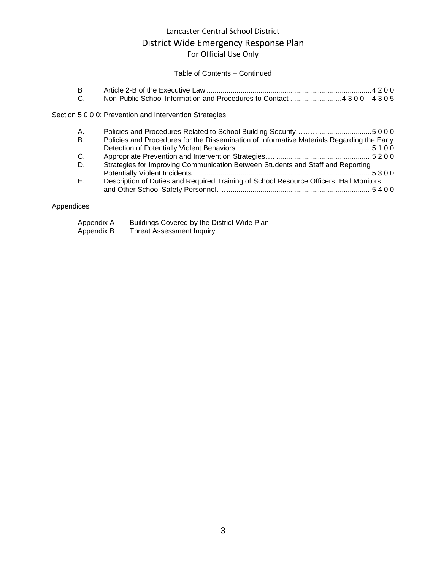#### Table of Contents – Continued

#### Section 5 0 0 0: Prevention and Intervention Strategies

| A.             |                                                                                            |
|----------------|--------------------------------------------------------------------------------------------|
| <b>B.</b>      | Policies and Procedures for the Dissemination of Informative Materials Regarding the Early |
|                |                                                                                            |
| C <sub>1</sub> |                                                                                            |
| D.             | Strategies for Improving Communication Between Students and Staff and Reporting            |
|                |                                                                                            |
| $E_{\rm{r}}$   | Description of Duties and Required Training of School Resource Officers, Hall Monitors     |
|                |                                                                                            |
|                |                                                                                            |

#### Appendices

| Appendix A | Buildings Covered by the District-Wide Plan |
|------------|---------------------------------------------|
| Appendix B | <b>Threat Assessment Inquiry</b>            |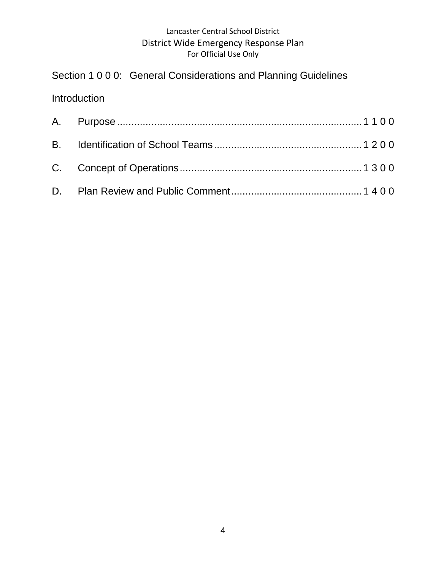Section 1 0 0 0: General Considerations and Planning Guidelines

## Introduction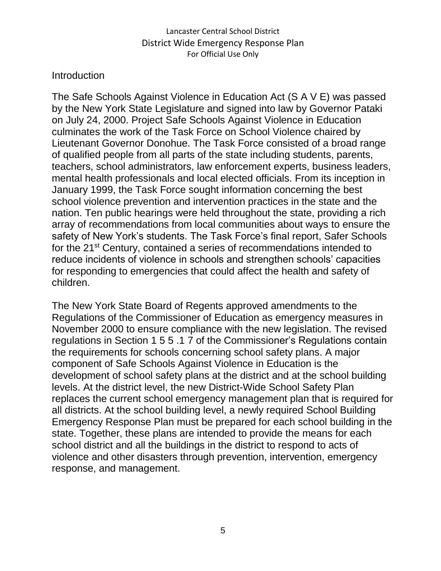## **Introduction**

The Safe Schools Against Violence in Education Act (S A V E) was passed by the New York State Legislature and signed into law by Governor Pataki on July 24, 2000. Project Safe Schools Against Violence in Education culminates the work of the Task Force on School Violence chaired by Lieutenant Governor Donohue. The Task Force consisted of a broad range of qualified people from all parts of the state including students, parents, teachers, school administrators, law enforcement experts, business leaders, mental health professionals and local elected officials. From its inception in January 1999, the Task Force sought information concerning the best school violence prevention and intervention practices in the state and the nation. Ten public hearings were held throughout the state, providing a rich array of recommendations from local communities about ways to ensure the safety of New York's students. The Task Force's final report, Safer Schools for the 21<sup>st</sup> Century, contained a series of recommendations intended to reduce incidents of violence in schools and strengthen schools' capacities for responding to emergencies that could affect the health and safety of children.

The New York State Board of Regents approved amendments to the Regulations of the Commissioner of Education as emergency measures in November 2000 to ensure compliance with the new legislation. The revised regulations in Section 1 5 5 .1 7 of the Commissioner's Regulations contain the requirements for schools concerning school safety plans. A major component of Safe Schools Against Violence in Education is the development of school safety plans at the district and at the school building levels. At the district level, the new District-Wide School Safety Plan replaces the current school emergency management plan that is required for all districts. At the school building level, a newly required School Building Emergency Response Plan must be prepared for each school building in the state. Together, these plans are intended to provide the means for each school district and all the buildings in the district to respond to acts of violence and other disasters through prevention, intervention, emergency response, and management.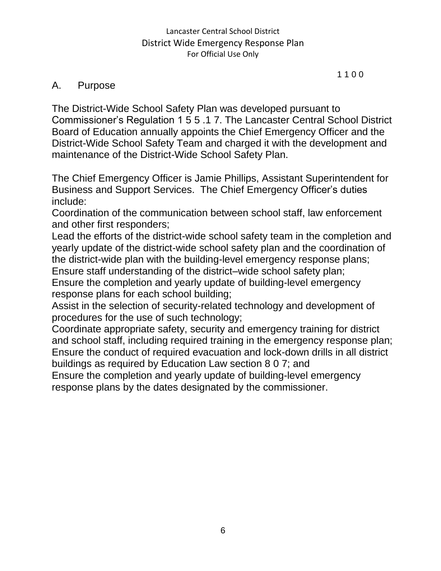#### 1 1 0 0

## A. Purpose

The District-Wide School Safety Plan was developed pursuant to Commissioner's Regulation 1 5 5 .1 7. The Lancaster Central School District Board of Education annually appoints the Chief Emergency Officer and the District-Wide School Safety Team and charged it with the development and maintenance of the District-Wide School Safety Plan.

The Chief Emergency Officer is Jamie Phillips, Assistant Superintendent for Business and Support Services. The Chief Emergency Officer's duties include:

Coordination of the communication between school staff, law enforcement and other first responders;

Lead the efforts of the district-wide school safety team in the completion and yearly update of the district-wide school safety plan and the coordination of the district-wide plan with the building-level emergency response plans; Ensure staff understanding of the district–wide school safety plan; Ensure the completion and yearly update of building-level emergency response plans for each school building;

Assist in the selection of security-related technology and development of procedures for the use of such technology;

Coordinate appropriate safety, security and emergency training for district and school staff, including required training in the emergency response plan; Ensure the conduct of required evacuation and lock-down drills in all district buildings as required by Education Law section 8 0 7; and

Ensure the completion and yearly update of building-level emergency response plans by the dates designated by the commissioner.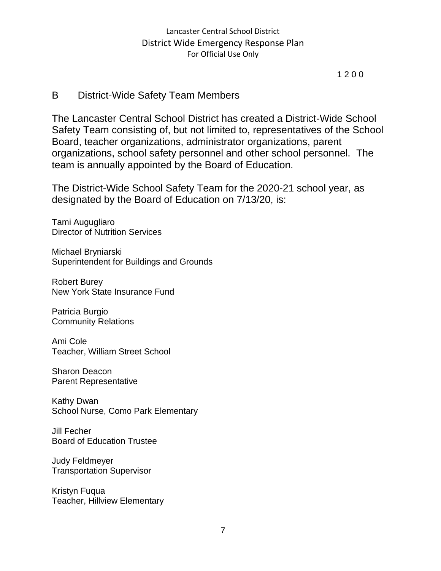1 2 0 0

## B District-Wide Safety Team Members

The Lancaster Central School District has created a District-Wide School Safety Team consisting of, but not limited to, representatives of the School Board, teacher organizations, administrator organizations, parent organizations, school safety personnel and other school personnel. The team is annually appointed by the Board of Education.

The District-Wide School Safety Team for the 2020-21 school year, as designated by the Board of Education on 7/13/20, is:

Tami Augugliaro Director of Nutrition Services

Michael Bryniarski Superintendent for Buildings and Grounds

Robert Burey New York State Insurance Fund

Patricia Burgio Community Relations

Ami Cole Teacher, William Street School

Sharon Deacon Parent Representative

Kathy Dwan School Nurse, Como Park Elementary

Jill Fecher Board of Education Trustee

Judy Feldmeyer Transportation Supervisor

Kristyn Fuqua Teacher, Hillview Elementary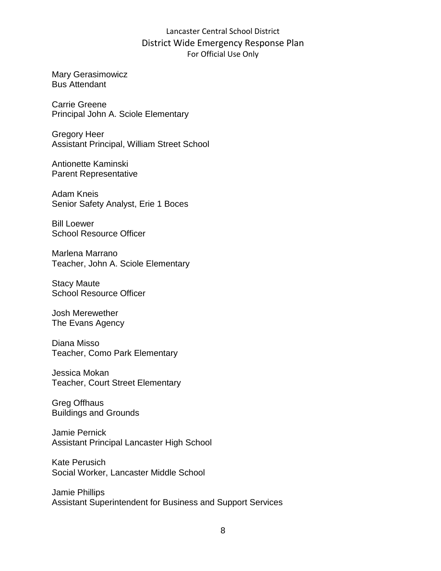Mary Gerasimowicz Bus Attendant

Carrie Greene Principal John A. Sciole Elementary

Gregory Heer Assistant Principal, William Street School

Antionette Kaminski Parent Representative

Adam Kneis Senior Safety Analyst, Erie 1 Boces

Bill Loewer School Resource Officer

Marlena Marrano Teacher, John A. Sciole Elementary

Stacy Maute School Resource Officer

Josh Merewether The Evans Agency

Diana Misso Teacher, Como Park Elementary

Jessica Mokan Teacher, Court Street Elementary

Greg Offhaus Buildings and Grounds

Jamie Pernick Assistant Principal Lancaster High School

Kate Perusich Social Worker, Lancaster Middle School

Jamie Phillips Assistant Superintendent for Business and Support Services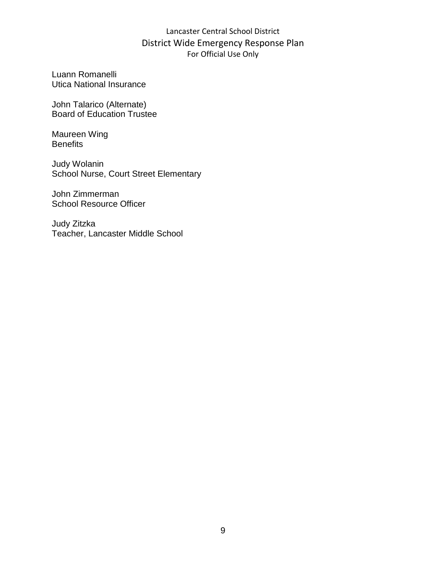Luann Romanelli Utica National Insurance

John Talarico (Alternate) Board of Education Trustee

Maureen Wing **Benefits** 

Judy Wolanin School Nurse, Court Street Elementary

John Zimmerman School Resource Officer

Judy Zitzka Teacher, Lancaster Middle School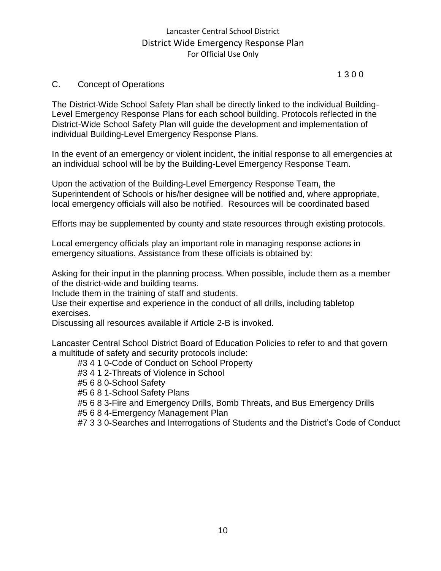#### 1 3 0 0

#### C. Concept of Operations

The District-Wide School Safety Plan shall be directly linked to the individual Building-Level Emergency Response Plans for each school building. Protocols reflected in the District-Wide School Safety Plan will guide the development and implementation of individual Building-Level Emergency Response Plans.

In the event of an emergency or violent incident, the initial response to all emergencies at an individual school will be by the Building-Level Emergency Response Team.

Upon the activation of the Building-Level Emergency Response Team, the Superintendent of Schools or his/her designee will be notified and, where appropriate, local emergency officials will also be notified. Resources will be coordinated based

Efforts may be supplemented by county and state resources through existing protocols.

Local emergency officials play an important role in managing response actions in emergency situations. Assistance from these officials is obtained by:

Asking for their input in the planning process. When possible, include them as a member of the district-wide and building teams.

Include them in the training of staff and students.

Use their expertise and experience in the conduct of all drills, including tabletop exercises.

Discussing all resources available if Article 2-B is invoked.

Lancaster Central School District Board of Education Policies to refer to and that govern a multitude of safety and security protocols include:

#3 4 1 0-Code of Conduct on School Property

#3 4 1 2-Threats of Violence in School

#5 6 8 0-School Safety

#5 6 8 1-School Safety Plans

#5 6 8 3-Fire and Emergency Drills, Bomb Threats, and Bus Emergency Drills

#5 6 8 4-Emergency Management Plan

#7 3 3 0-Searches and Interrogations of Students and the District's Code of Conduct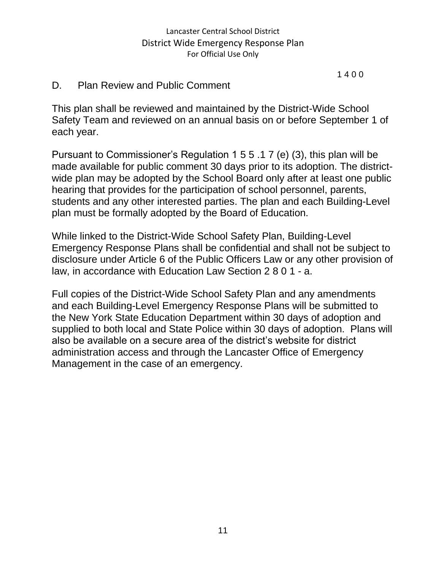1 4 0 0

## D. Plan Review and Public Comment

This plan shall be reviewed and maintained by the District-Wide School Safety Team and reviewed on an annual basis on or before September 1 of each year.

Pursuant to Commissioner's Regulation 1 5 5 .1 7 (e) (3), this plan will be made available for public comment 30 days prior to its adoption. The districtwide plan may be adopted by the School Board only after at least one public hearing that provides for the participation of school personnel, parents, students and any other interested parties. The plan and each Building-Level plan must be formally adopted by the Board of Education.

While linked to the District-Wide School Safety Plan, Building-Level Emergency Response Plans shall be confidential and shall not be subject to disclosure under Article 6 of the Public Officers Law or any other provision of law, in accordance with Education Law Section 2 8 0 1 - a.

Full copies of the District-Wide School Safety Plan and any amendments and each Building-Level Emergency Response Plans will be submitted to the New York State Education Department within 30 days of adoption and supplied to both local and State Police within 30 days of adoption. Plans will also be available on a secure area of the district's website for district administration access and through the Lancaster Office of Emergency Management in the case of an emergency.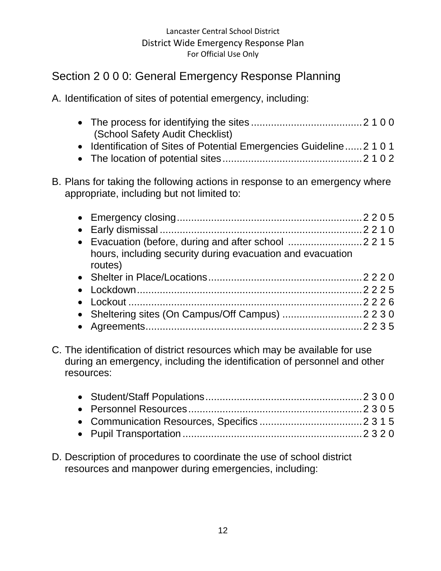## Section 2 0 0 0: General Emergency Response Planning

A. Identification of sites of potential emergency, including:

| (School Safety Audit Checklist) |  |
|---------------------------------|--|

- Identification of Sites of Potential Emergencies Guideline......2 1 0 1
- The location of potential sites.................................................2 1 0 2

## B. Plans for taking the following actions in response to an emergency where appropriate, including but not limited to:

| hours, including security during evacuation and evacuation<br>routes) |
|-----------------------------------------------------------------------|
|                                                                       |
|                                                                       |
|                                                                       |
|                                                                       |
|                                                                       |

C. The identification of district resources which may be available for use during an emergency, including the identification of personnel and other resources:

D. Description of procedures to coordinate the use of school district resources and manpower during emergencies, including: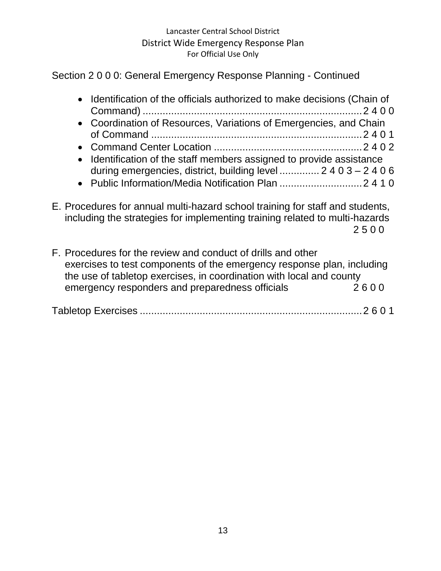## Section 2 0 0 0: General Emergency Response Planning - Continued

| • Identification of the officials authorized to make decisions (Chain of |
|--------------------------------------------------------------------------|
| • Coordination of Resources, Variations of Emergencies, and Chain        |
|                                                                          |
|                                                                          |
| • Identification of the staff members assigned to provide assistance     |
| during emergencies, district, building level  2 4 0 3 – 2 4 0 6          |
|                                                                          |

E. Procedures for annual multi-hazard school training for staff and students, including the strategies for implementing training related to multi-hazards 2 5 0 0

F. Procedures for the review and conduct of drills and other exercises to test components of the emergency response plan, including the use of tabletop exercises, in coordination with local and county emergency responders and preparedness officials 2600

Tabletop Exercises ..............................................................................2 6 0 1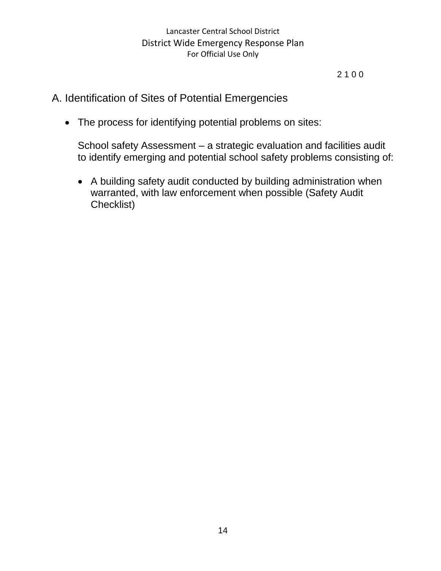2 1 0 0

## A. Identification of Sites of Potential Emergencies

• The process for identifying potential problems on sites:

School safety Assessment – a strategic evaluation and facilities audit to identify emerging and potential school safety problems consisting of:

• A building safety audit conducted by building administration when warranted, with law enforcement when possible (Safety Audit Checklist)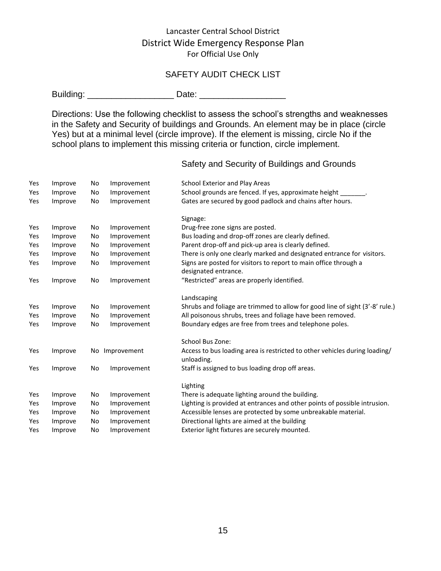#### SAFETY AUDIT CHECK LIST

Building: \_\_\_\_\_\_\_\_\_\_\_\_\_\_\_\_\_\_ Date: \_\_\_\_\_\_\_\_\_\_\_\_\_\_\_\_\_\_

Directions: Use the following checklist to assess the school's strengths and weaknesses in the Safety and Security of buildings and Grounds. An element may be in place (circle Yes) but at a minimal level (circle improve). If the element is missing, circle No if the school plans to implement this missing criteria or function, circle implement.

| Yes | Improve | No | Improvement | School Exterior and Play Areas                                                           |
|-----|---------|----|-------------|------------------------------------------------------------------------------------------|
| Yes | Improve | No | Improvement | School grounds are fenced. If yes, approximate height _                                  |
| Yes | Improve | No | Improvement | Gates are secured by good padlock and chains after hours.                                |
|     |         |    |             | Signage:                                                                                 |
| Yes | Improve | No | Improvement | Drug-free zone signs are posted.                                                         |
| Yes | Improve | No | Improvement | Bus loading and drop-off zones are clearly defined.                                      |
| Yes | Improve | No | Improvement | Parent drop-off and pick-up area is clearly defined.                                     |
| Yes | Improve | No | Improvement | There is only one clearly marked and designated entrance for visitors.                   |
| Yes | Improve | No | Improvement | Signs are posted for visitors to report to main office through a<br>designated entrance. |
| Yes | Improve | No | Improvement | "Restricted" areas are properly identified.                                              |
|     |         |    |             | Landscaping                                                                              |
| Yes | Improve | No | Improvement | Shrubs and foliage are trimmed to allow for good line of sight (3'-8' rule.)             |
| Yes | Improve | No | Improvement | All poisonous shrubs, trees and foliage have been removed.                               |
| Yes | Improve | No | Improvement | Boundary edges are free from trees and telephone poles.                                  |
|     |         |    |             | School Bus Zone:                                                                         |
| Yes | Improve | No | Improvement | Access to bus loading area is restricted to other vehicles during loading/<br>unloading. |
| Yes | Improve | No | Improvement | Staff is assigned to bus loading drop off areas.                                         |
|     |         |    |             | Lighting                                                                                 |
| Yes | Improve | No | Improvement | There is adequate lighting around the building.                                          |
| Yes | Improve | No | Improvement | Lighting is provided at entrances and other points of possible intrusion.                |
| Yes | Improve | No | Improvement | Accessible lenses are protected by some unbreakable material.                            |
| Yes | Improve | No | Improvement | Directional lights are aimed at the building                                             |
| Yes | Improve | No | Improvement | Exterior light fixtures are securely mounted.                                            |
|     |         |    |             |                                                                                          |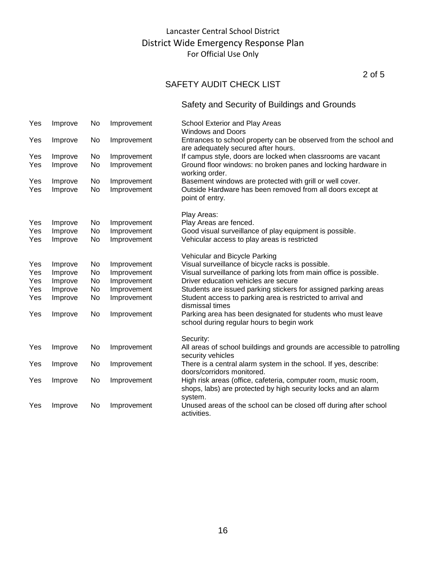2 of 5

## SAFETY AUDIT CHECK LIST

| Yes | Improve | No | Improvement | School Exterior and Play Areas<br><b>Windows and Doors</b>                                                                                  |
|-----|---------|----|-------------|---------------------------------------------------------------------------------------------------------------------------------------------|
| Yes | Improve | No | Improvement | Entrances to school property can be observed from the school and<br>are adequately secured after hours.                                     |
| Yes | Improve | No | Improvement | If campus style, doors are locked when classrooms are vacant                                                                                |
| Yes | Improve | No | Improvement | Ground floor windows: no broken panes and locking hardware in<br>working order.                                                             |
| Yes | Improve | No | Improvement | Basement windows are protected with grill or well cover.                                                                                    |
| Yes | Improve | No | Improvement | Outside Hardware has been removed from all doors except at<br>point of entry.                                                               |
|     |         |    |             | Play Areas:                                                                                                                                 |
| Yes | Improve | No | Improvement | Play Areas are fenced.                                                                                                                      |
| Yes | Improve | No | Improvement | Good visual surveillance of play equipment is possible.                                                                                     |
| Yes | Improve | No | Improvement | Vehicular access to play areas is restricted                                                                                                |
|     |         |    |             | Vehicular and Bicycle Parking                                                                                                               |
| Yes | Improve | No | Improvement | Visual surveillance of bicycle racks is possible.                                                                                           |
| Yes | Improve | No | Improvement | Visual surveillance of parking lots from main office is possible.                                                                           |
| Yes | Improve | No | Improvement | Driver education vehicles are secure                                                                                                        |
| Yes | Improve | No | Improvement | Students are issued parking stickers for assigned parking areas                                                                             |
| Yes | Improve | No | Improvement | Student access to parking area is restricted to arrival and<br>dismissal times                                                              |
| Yes | Improve | No | Improvement | Parking area has been designated for students who must leave<br>school during regular hours to begin work                                   |
|     |         |    |             | Security:                                                                                                                                   |
| Yes | Improve | No | Improvement | All areas of school buildings and grounds are accessible to patrolling<br>security vehicles                                                 |
| Yes | Improve | No | Improvement | There is a central alarm system in the school. If yes, describe:<br>doors/corridors monitored.                                              |
| Yes | Improve | No | Improvement | High risk areas (office, cafeteria, computer room, music room,<br>shops, labs) are protected by high security locks and an alarm<br>system. |
| Yes | Improve | No | Improvement | Unused areas of the school can be closed off during after school<br>activities.                                                             |
|     |         |    |             |                                                                                                                                             |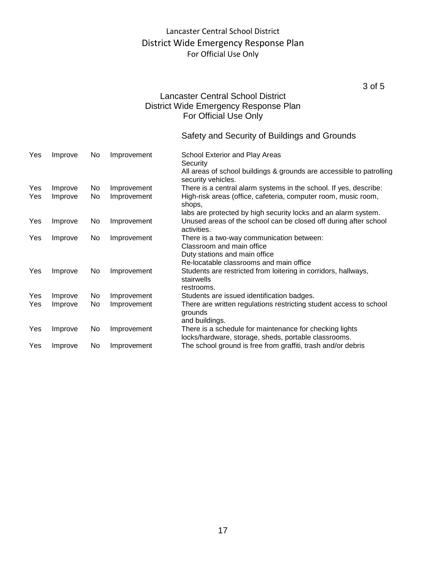3 of 5

#### Lancaster Central School District District Wide Emergency Response Plan For Official Use Only

| Yes | Improve | No. | Improvement | School Exterior and Play Areas<br>Security                                                                      |
|-----|---------|-----|-------------|-----------------------------------------------------------------------------------------------------------------|
|     |         |     |             | All areas of school buildings & grounds are accessible to patrolling<br>security vehicles.                      |
| Yes | Improve | No. | Improvement | There is a central alarm systems in the school. If yes, describe:                                               |
| Yes | Improve | No  | Improvement | High-risk areas (office, cafeteria, computer room, music room,<br>shops,                                        |
|     |         |     |             | labs are protected by high security locks and an alarm system.                                                  |
| Yes | Improve | No  | Improvement | Unused areas of the school can be closed off during after school<br>activities.                                 |
| Yes | Improve | No  | Improvement | There is a two-way communication between:                                                                       |
|     |         |     |             | Classroom and main office                                                                                       |
|     |         |     |             | Duty stations and main office                                                                                   |
|     |         |     |             | Re-locatable classrooms and main office                                                                         |
| Yes | Improve | No  | Improvement | Students are restricted from loitering in corridors, hallways,<br>stairwells                                    |
|     |         |     |             | restrooms.                                                                                                      |
| Yes | Improve | No  | Improvement | Students are issued identification badges.                                                                      |
| Yes | Improve | No  | Improvement | There are written regulations restricting student access to school<br>grounds<br>and buildings.                 |
| Yes | Improve | No  | Improvement | There is a schedule for maintenance for checking lights<br>locks/hardware, storage, sheds, portable classrooms. |
| Yes | Improve | No. | Improvement | The school ground is free from graffiti, trash and/or debris                                                    |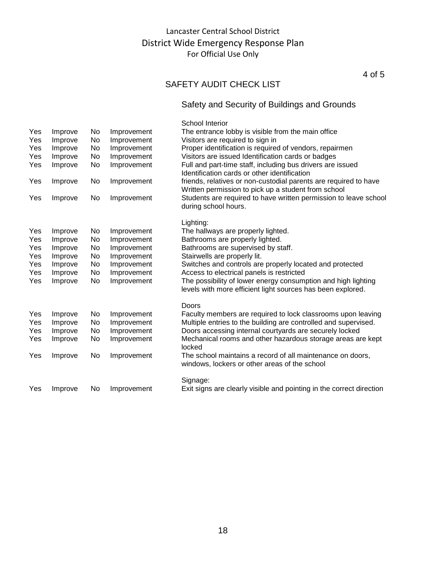4 of 5

## SAFETY AUDIT CHECK LIST

|     |         |    |             | School Interior                                                                                                              |
|-----|---------|----|-------------|------------------------------------------------------------------------------------------------------------------------------|
| Yes | Improve | No | Improvement | The entrance lobby is visible from the main office                                                                           |
| Yes | Improve | No | Improvement | Visitors are required to sign in                                                                                             |
| Yes | Improve | No | Improvement | Proper identification is required of vendors, repairmen                                                                      |
| Yes | Improve | No | Improvement | Visitors are issued Identification cards or badges                                                                           |
| Yes | Improve | No | Improvement | Full and part-time staff, including bus drivers are issued<br>Identification cards or other identification                   |
| Yes | Improve | No | Improvement | friends, relatives or non-custodial parents are required to have<br>Written permission to pick up a student from school      |
| Yes | Improve | No | Improvement | Students are required to have written permission to leave school<br>during school hours.                                     |
|     |         |    |             | Lighting:                                                                                                                    |
| Yes | Improve | No | Improvement | The hallways are properly lighted.                                                                                           |
| Yes | Improve | No | Improvement | Bathrooms are properly lighted.                                                                                              |
| Yes | Improve | No | Improvement | Bathrooms are supervised by staff.                                                                                           |
| Yes | Improve | No | Improvement | Stairwells are properly lit.                                                                                                 |
| Yes | Improve | No | Improvement | Switches and controls are properly located and protected                                                                     |
| Yes | Improve | No | Improvement | Access to electrical panels is restricted                                                                                    |
| Yes | Improve | No | Improvement | The possibility of lower energy consumption and high lighting<br>levels with more efficient light sources has been explored. |
|     |         |    |             | Doors                                                                                                                        |
| Yes | Improve | No | Improvement | Faculty members are required to lock classrooms upon leaving                                                                 |
| Yes | Improve | No | Improvement | Multiple entries to the building are controlled and supervised.                                                              |
| Yes | Improve | No | Improvement | Doors accessing internal courtyards are securely locked                                                                      |
| Yes | Improve | No | Improvement | Mechanical rooms and other hazardous storage areas are kept<br>locked                                                        |
| Yes | Improve | No | Improvement | The school maintains a record of all maintenance on doors,<br>windows, lockers or other areas of the school                  |
|     |         |    |             | Signage:                                                                                                                     |
|     |         |    |             |                                                                                                                              |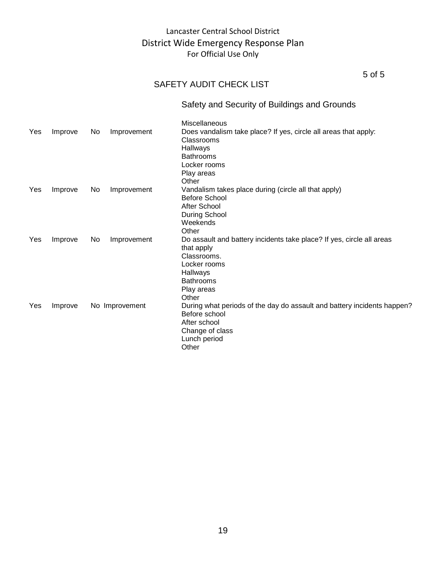5 of 5

## SAFETY AUDIT CHECK LIST

|     |         |                |             | Miscellaneous                                                                                                                                                             |
|-----|---------|----------------|-------------|---------------------------------------------------------------------------------------------------------------------------------------------------------------------------|
| Yes | Improve | No.            | Improvement | Does vandalism take place? If yes, circle all areas that apply:<br>Classrooms<br>Hallways<br><b>Bathrooms</b><br>Locker rooms<br>Play areas<br>Other                      |
| Yes | Improve | No.            | Improvement | Vandalism takes place during (circle all that apply)<br><b>Before School</b><br>After School<br>During School<br>Weekends<br>Other                                        |
| Yes | Improve | No.            | Improvement | Do assault and battery incidents take place? If yes, circle all areas<br>that apply<br>Classrooms.<br>Locker rooms<br>Hallways<br><b>Bathrooms</b><br>Play areas<br>Other |
| Yes | Improve | No Improvement |             | During what periods of the day do assault and battery incidents happen?<br>Before school<br>After school<br>Change of class<br>Lunch period<br>Other                      |
|     |         |                |             |                                                                                                                                                                           |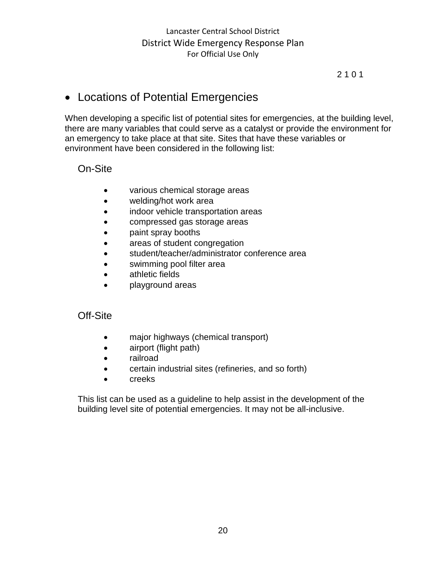#### 2 1 0 1

## • Locations of Potential Emergencies

When developing a specific list of potential sites for emergencies, at the building level, there are many variables that could serve as a catalyst or provide the environment for an emergency to take place at that site. Sites that have these variables or environment have been considered in the following list:

## On-Site

- various chemical storage areas
- welding/hot work area
- indoor vehicle transportation areas
- compressed gas storage areas
- paint spray booths
- areas of student congregation
- student/teacher/administrator conference area
- swimming pool filter area
- athletic fields
- playground areas

#### Off-Site

- major highways (chemical transport)
- airport (flight path)
- railroad
- certain industrial sites (refineries, and so forth)
- creeks

This list can be used as a guideline to help assist in the development of the building level site of potential emergencies. It may not be all-inclusive.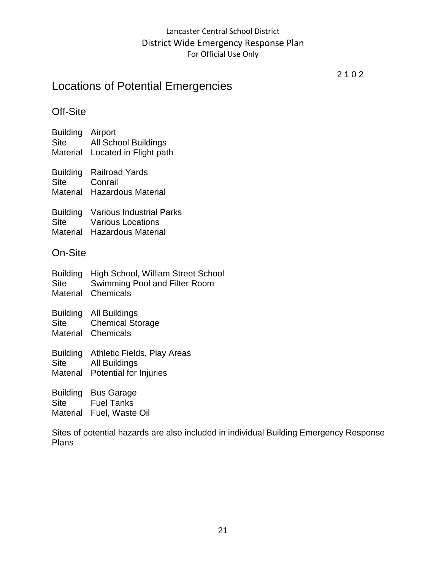## Locations of Potential Emergencies

2 1 0 2

## Off-Site

- Building Airport Site All School Buildings Material Located in Flight path
- Building Railroad Yards Site Conrail
- Material Hazardous Material
- Building Various Industrial Parks
- Site Various Locations Material Hazardous Material
- 

## On-Site

|             | Building High School, William Street School |
|-------------|---------------------------------------------|
| <b>Site</b> | Swimming Pool and Filter Room               |
|             | Material Chemicals                          |

- Building All Buildings Site Chemical Storage Material Chemicals
- Building Athletic Fields, Play Areas Site All Buildings
- Material Potential for Injuries

Building Bus Garage Site Fuel Tanks Material Fuel, Waste Oil

Sites of potential hazards are also included in individual Building Emergency Response Plans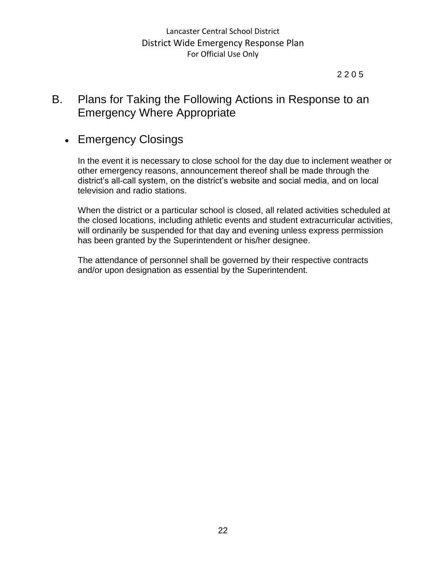#### 2 2 0 5

## B. Plans for Taking the Following Actions in Response to an Emergency Where Appropriate

## • Emergency Closings

In the event it is necessary to close school for the day due to inclement weather or other emergency reasons, announcement thereof shall be made through the district's all-call system, on the district's website and social media, and on local television and radio stations.

When the district or a particular school is closed, all related activities scheduled at the closed locations, including athletic events and student extracurricular activities, will ordinarily be suspended for that day and evening unless express permission has been granted by the Superintendent or his/her designee.

The attendance of personnel shall be governed by their respective contracts and/or upon designation as essential by the Superintendent.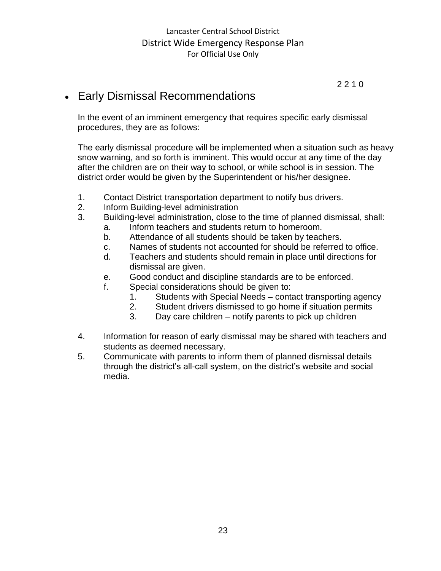2 2 1 0

## • Early Dismissal Recommendations

In the event of an imminent emergency that requires specific early dismissal procedures, they are as follows:

The early dismissal procedure will be implemented when a situation such as heavy snow warning, and so forth is imminent. This would occur at any time of the day after the children are on their way to school, or while school is in session. The district order would be given by the Superintendent or his/her designee.

- 1. Contact District transportation department to notify bus drivers.
- 2. Inform Building-level administration
- 3. Building-level administration, close to the time of planned dismissal, shall:
	- a. Inform teachers and students return to homeroom.
	- b. Attendance of all students should be taken by teachers.
	- c. Names of students not accounted for should be referred to office.
	- d. Teachers and students should remain in place until directions for dismissal are given.
	- e. Good conduct and discipline standards are to be enforced.
	- f. Special considerations should be given to:
		- 1. Students with Special Needs contact transporting agency
		- 2. Student drivers dismissed to go home if situation permits
		- 3. Day care children notify parents to pick up children
- 4. Information for reason of early dismissal may be shared with teachers and students as deemed necessary.
- 5. Communicate with parents to inform them of planned dismissal details through the district's all-call system, on the district's website and social media.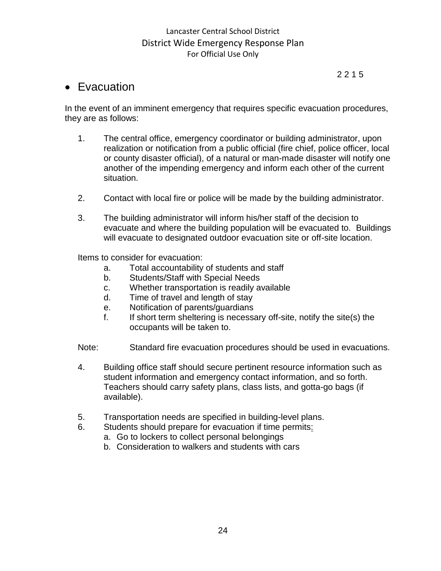#### 2 2 1 5

## • Evacuation

In the event of an imminent emergency that requires specific evacuation procedures, they are as follows:

- 1. The central office, emergency coordinator or building administrator, upon realization or notification from a public official (fire chief, police officer, local or county disaster official), of a natural or man-made disaster will notify one another of the impending emergency and inform each other of the current situation.
- 2. Contact with local fire or police will be made by the building administrator.
- 3. The building administrator will inform his/her staff of the decision to evacuate and where the building population will be evacuated to. Buildings will evacuate to designated outdoor evacuation site or off-site location.

Items to consider for evacuation:

- a. Total accountability of students and staff
- b. Students/Staff with Special Needs
- c. Whether transportation is readily available
- d. Time of travel and length of stay
- e. Notification of parents/guardians
- f. If short term sheltering is necessary off-site, notify the site(s) the occupants will be taken to.

Note: Standard fire evacuation procedures should be used in evacuations.

- 4. Building office staff should secure pertinent resource information such as student information and emergency contact information, and so forth. Teachers should carry safety plans, class lists, and gotta-go bags (if available).
- 5. Transportation needs are specified in building-level plans.
- 6. Students should prepare for evacuation if time permits:
	- a. Go to lockers to collect personal belongings
	- b. Consideration to walkers and students with cars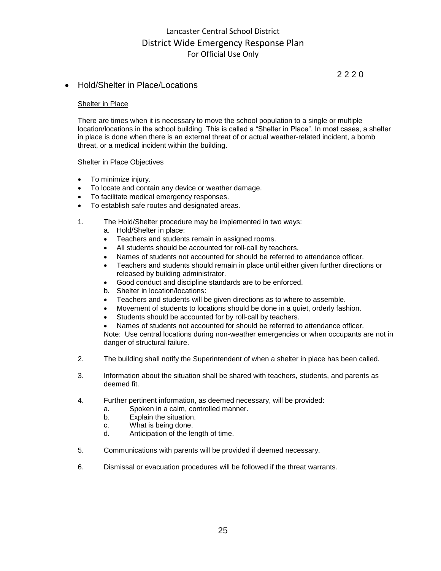2 2 2 0

#### • Hold/Shelter in Place/Locations

#### Shelter in Place

There are times when it is necessary to move the school population to a single or multiple location/locations in the school building. This is called a "Shelter in Place". In most cases, a shelter in place is done when there is an external threat of or actual weather-related incident, a bomb threat, or a medical incident within the building.

Shelter in Place Objectives

- To minimize injury.
- To locate and contain any device or weather damage.
- To facilitate medical emergency responses.
- To establish safe routes and designated areas.
- 1. The Hold/Shelter procedure may be implemented in two ways:
	- a. Hold/Shelter in place:
	- Teachers and students remain in assigned rooms.
	- All students should be accounted for roll-call by teachers.
	- Names of students not accounted for should be referred to attendance officer.
	- Teachers and students should remain in place until either given further directions or released by building administrator.
	- Good conduct and discipline standards are to be enforced.
	- b. Shelter in location/locations:
	- Teachers and students will be given directions as to where to assemble.
	- Movement of students to locations should be done in a quiet, orderly fashion.
	- Students should be accounted for by roll-call by teachers.
	- Names of students not accounted for should be referred to attendance officer.

Note: Use central locations during non-weather emergencies or when occupants are not in danger of structural failure.

- 2. The building shall notify the Superintendent of when a shelter in place has been called.
- 3. Information about the situation shall be shared with teachers, students, and parents as deemed fit.
- 4. Further pertinent information, as deemed necessary, will be provided:
	- a. Spoken in a calm, controlled manner.
	- b. Explain the situation.
	- c. What is being done.
	- d. Anticipation of the length of time.
- 5. Communications with parents will be provided if deemed necessary.
- 6. Dismissal or evacuation procedures will be followed if the threat warrants.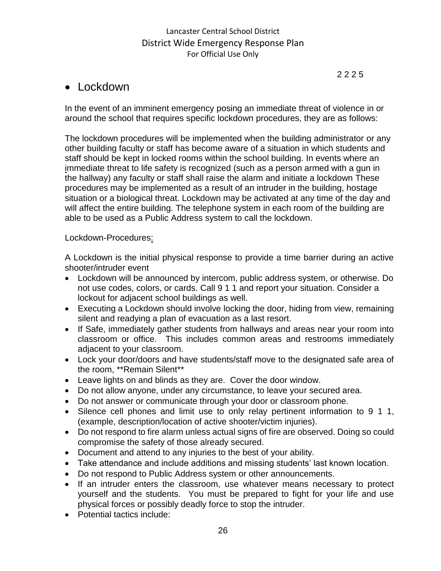2 2 2 5

## • Lockdown

In the event of an imminent emergency posing an immediate threat of violence in or around the school that requires specific lockdown procedures, they are as follows:

The lockdown procedures will be implemented when the building administrator or any other building faculty or staff has become aware of a situation in which students and staff should be kept in locked rooms within the school building. In events where an immediate threat to life safety is recognized (such as a person armed with a gun in the hallway) any faculty or staff shall raise the alarm and initiate a lockdown These procedures may be implemented as a result of an intruder in the building, hostage situation or a biological threat. Lockdown may be activated at any time of the day and will affect the entire building. The telephone system in each room of the building are able to be used as a Public Address system to call the lockdown.

## Lockdown-Procedures:

A Lockdown is the initial physical response to provide a time barrier during an active shooter/intruder event

- Lockdown will be announced by intercom, public address system, or otherwise. Do not use codes, colors, or cards. Call 9 1 1 and report your situation. Consider a lockout for adjacent school buildings as well.
- Executing a Lockdown should involve locking the door, hiding from view, remaining silent and readying a plan of evacuation as a last resort.
- If Safe, immediately gather students from hallways and areas near your room into classroom or office. This includes common areas and restrooms immediately adjacent to your classroom.
- Lock your door/doors and have students/staff move to the designated safe area of the room, \*\*Remain Silent\*\*
- Leave lights on and blinds as they are. Cover the door window.
- Do not allow anyone, under any circumstance, to leave your secured area.
- Do not answer or communicate through your door or classroom phone.
- Silence cell phones and limit use to only relay pertinent information to 9 1 1, (example, description/location of active shooter/victim injuries).
- Do not respond to fire alarm unless actual signs of fire are observed. Doing so could compromise the safety of those already secured.
- Document and attend to any injuries to the best of your ability.
- Take attendance and include additions and missing students' last known location.
- Do not respond to Public Address system or other announcements.
- If an intruder enters the classroom, use whatever means necessary to protect yourself and the students. You must be prepared to fight for your life and use physical forces or possibly deadly force to stop the intruder.
- Potential tactics include: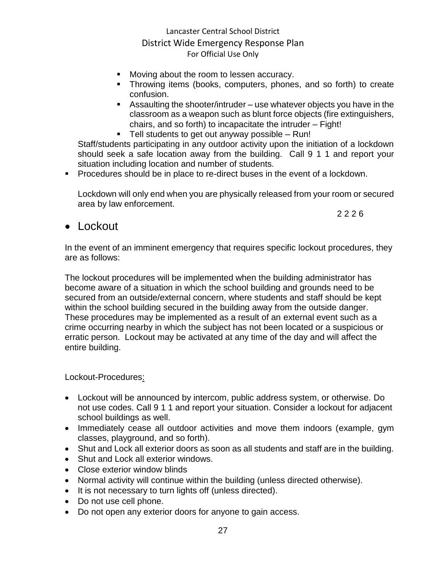- Moving about the room to lessen accuracy.
- Throwing items (books, computers, phones, and so forth) to create confusion.
- **EXE** Assaulting the shooter/intruder use whatever objects you have in the classroom as a weapon such as blunt force objects (fire extinguishers, chairs, and so forth) to incapacitate the intruder – Fight!
- Tell students to get out anyway possible Run!

Staff/students participating in any outdoor activity upon the initiation of a lockdown should seek a safe location away from the building. Call 9 1 1 and report your situation including location and number of students.

■ Procedures should be in place to re-direct buses in the event of a lockdown.

Lockdown will only end when you are physically released from your room or secured area by law enforcement.

2 2 2 6

## • Lockout

In the event of an imminent emergency that requires specific lockout procedures, they are as follows:

The lockout procedures will be implemented when the building administrator has become aware of a situation in which the school building and grounds need to be secured from an outside/external concern, where students and staff should be kept within the school building secured in the building away from the outside danger. These procedures may be implemented as a result of an external event such as a crime occurring nearby in which the subject has not been located or a suspicious or erratic person. Lockout may be activated at any time of the day and will affect the entire building.

#### Lockout-Procedures:

- Lockout will be announced by intercom, public address system, or otherwise. Do not use codes. Call 9 1 1 and report your situation. Consider a lockout for adjacent school buildings as well.
- Immediately cease all outdoor activities and move them indoors (example, gym classes, playground, and so forth).
- Shut and Lock all exterior doors as soon as all students and staff are in the building.
- Shut and Lock all exterior windows.
- Close exterior window blinds
- Normal activity will continue within the building (unless directed otherwise).
- It is not necessary to turn lights off (unless directed).
- Do not use cell phone.
- Do not open any exterior doors for anyone to gain access.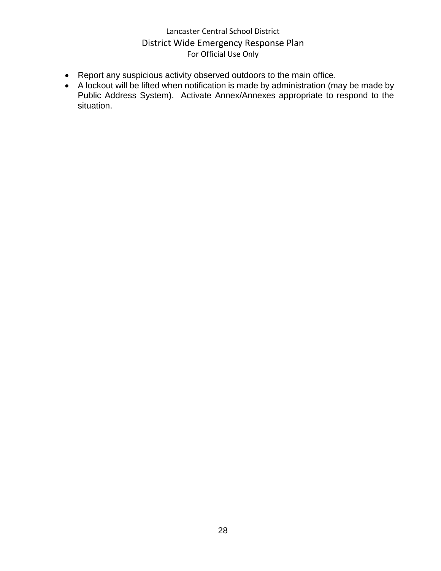- Report any suspicious activity observed outdoors to the main office.
- A lockout will be lifted when notification is made by administration (may be made by Public Address System). Activate Annex/Annexes appropriate to respond to the situation.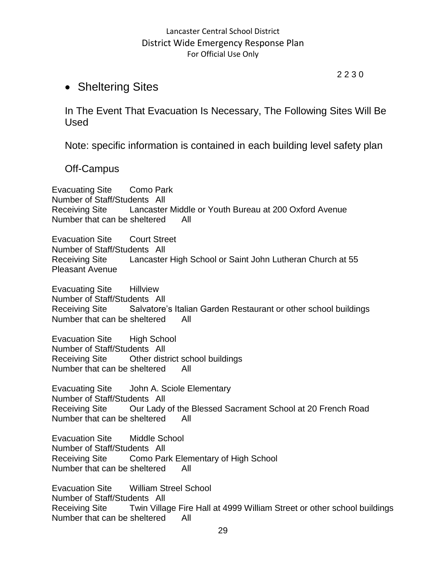#### 2 2 3 0

## • Sheltering Sites

In The Event That Evacuation Is Necessary, The Following Sites Will Be Used

Note: specific information is contained in each building level safety plan

Off-Campus

Evacuating Site Como Park Number of Staff/Students All Receiving Site Lancaster Middle or Youth Bureau at 200 Oxford Avenue Number that can be sheltered All

Evacuation Site Court Street Number of Staff/Students All Receiving Site Lancaster High School or Saint John Lutheran Church at 55 Pleasant Avenue

Evacuating Site Hillview Number of Staff/Students All Receiving Site Salvatore's Italian Garden Restaurant or other school buildings Number that can be sheltered All

Evacuation Site High School Number of Staff/Students All Receiving Site Other district school buildings Number that can be sheltered All

Evacuating Site John A. Sciole Elementary Number of Staff/Students All Receiving Site Our Lady of the Blessed Sacrament School at 20 French Road Number that can be sheltered All

Evacuation Site Middle School Number of Staff/Students All Receiving Site Como Park Elementary of High School Number that can be sheltered All

Evacuation Site William Streel School Number of Staff/Students All Receiving Site Twin Village Fire Hall at 4999 William Street or other school buildings Number that can be sheltered All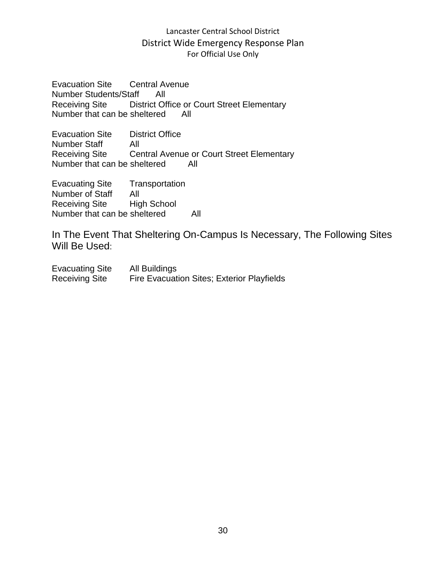Evacuation Site Central Avenue Number Students/Staff All Receiving Site District Office or Court Street Elementary Number that can be sheltered All

Evacuation Site District Office Number Staff All Receiving Site Central Avenue or Court Street Elementary Number that can be sheltered All

Evacuating Site Transportation Number of Staff All<br>Receiving Site High School Receiving Site Number that can be sheltered All

In The Event That Sheltering On-Campus Is Necessary, The Following Sites Will Be Used:

Evacuating Site All Buildings Receiving Site Fire Evacuation Sites; Exterior Playfields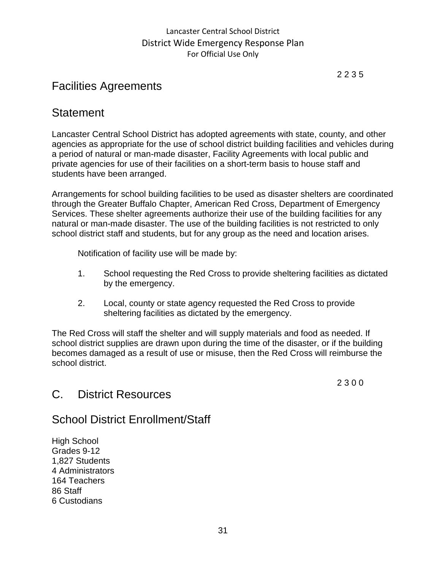2 2 3 5

## Facilities Agreements

## **Statement**

Lancaster Central School District has adopted agreements with state, county, and other agencies as appropriate for the use of school district building facilities and vehicles during a period of natural or man-made disaster, Facility Agreements with local public and private agencies for use of their facilities on a short-term basis to house staff and students have been arranged.

Arrangements for school building facilities to be used as disaster shelters are coordinated through the Greater Buffalo Chapter, American Red Cross, Department of Emergency Services. These shelter agreements authorize their use of the building facilities for any natural or man-made disaster. The use of the building facilities is not restricted to only school district staff and students, but for any group as the need and location arises.

Notification of facility use will be made by:

- 1. School requesting the Red Cross to provide sheltering facilities as dictated by the emergency.
- 2. Local, county or state agency requested the Red Cross to provide sheltering facilities as dictated by the emergency.

The Red Cross will staff the shelter and will supply materials and food as needed. If school district supplies are drawn upon during the time of the disaster, or if the building becomes damaged as a result of use or misuse, then the Red Cross will reimburse the school district.

2 3 0 0

## C. District Resources

## School District Enrollment/Staff

High School Grades 9-12 1,827 Students 4 Administrators 164 Teachers 86 Staff 6 Custodians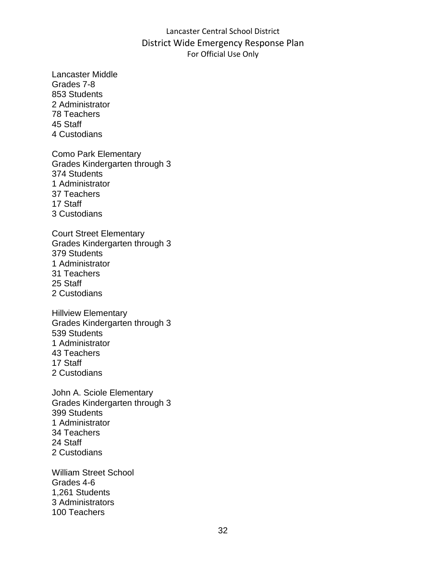Lancaster Middle Grades 7-8 853 Students 2 Administrator 78 Teachers 45 Staff 4 Custodians

Como Park Elementary Grades Kindergarten through 3 374 Students 1 Administrator 37 Teachers 17 Staff 3 Custodians

Court Street Elementary Grades Kindergarten through 3 379 Students 1 Administrator 31 Teachers 25 Staff 2 Custodians

Hillview Elementary Grades Kindergarten through 3 539 Students 1 Administrator 43 Teachers 17 Staff 2 Custodians

John A. Sciole Elementary Grades Kindergarten through 3 399 Students 1 Administrator 34 Teachers 24 Staff 2 Custodians

William Street School Grades 4-6 1,261 Students 3 Administrators 100 Teachers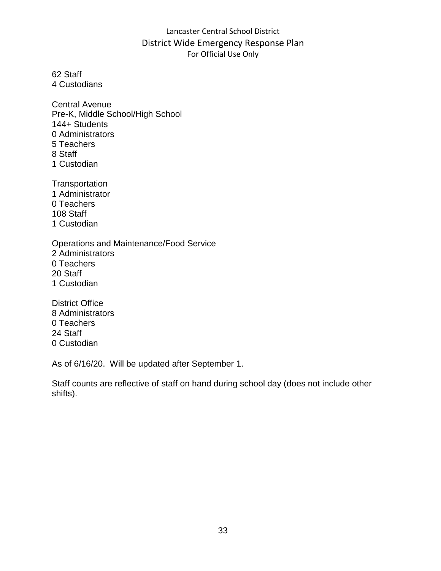62 Staff 4 Custodians

Central Avenue Pre-K, Middle School/High School 144+ Students 0 Administrators 5 Teachers 8 Staff 1 Custodian

**Transportation** 1 Administrator 0 Teachers 108 Staff 1 Custodian

Operations and Maintenance/Food Service 2 Administrators 0 Teachers 20 Staff 1 Custodian

District Office 8 Administrators 0 Teachers 24 Staff 0 Custodian

As of 6/16/20. Will be updated after September 1.

Staff counts are reflective of staff on hand during school day (does not include other shifts).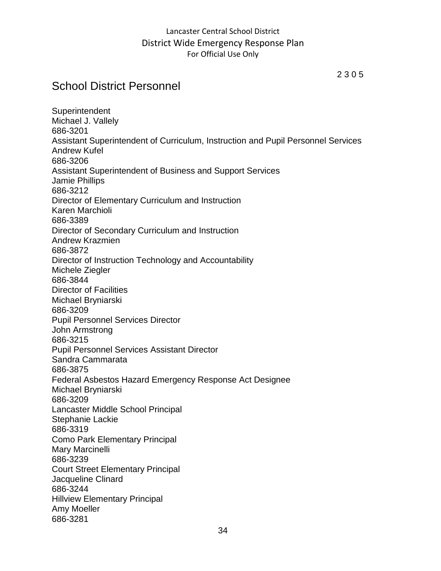2 3 0 5

## School District Personnel

**Superintendent** Michael J. Vallely 686-3201 Assistant Superintendent of Curriculum, Instruction and Pupil Personnel Services Andrew Kufel 686-3206 Assistant Superintendent of Business and Support Services Jamie Phillips 686-3212 Director of Elementary Curriculum and Instruction Karen Marchioli 686-3389 Director of Secondary Curriculum and Instruction Andrew Krazmien 686-3872 Director of Instruction Technology and Accountability Michele Ziegler 686-3844 Director of Facilities Michael Bryniarski 686-3209 Pupil Personnel Services Director John Armstrong 686-3215 Pupil Personnel Services Assistant Director Sandra Cammarata 686-3875 Federal Asbestos Hazard Emergency Response Act Designee Michael Bryniarski 686-3209 Lancaster Middle School Principal Stephanie Lackie 686-3319 Como Park Elementary Principal Mary Marcinelli 686-3239 Court Street Elementary Principal Jacqueline Clinard 686-3244 Hillview Elementary Principal Amy Moeller 686-3281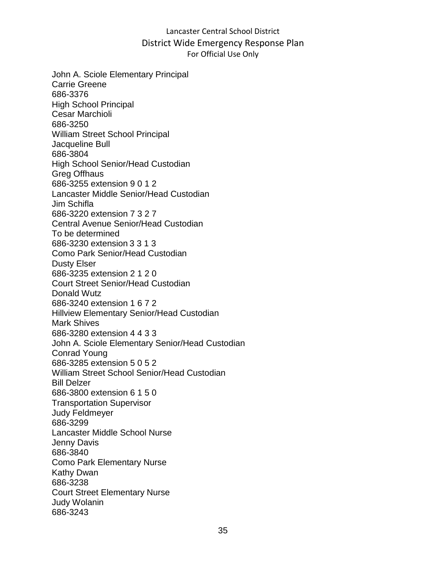John A. Sciole Elementary Principal Carrie Greene 686-3376 High School Principal Cesar Marchioli 686-3250 William Street School Principal Jacqueline Bull 686-3804 High School Senior/Head Custodian Greg Offhaus 686-3255 extension 9 0 1 2 Lancaster Middle Senior/Head Custodian Jim Schifla 686-3220 extension 7 3 2 7 Central Avenue Senior/Head Custodian To be determined 686-3230 extension 3 3 1 3 Como Park Senior/Head Custodian Dusty Elser 686-3235 extension 2 1 2 0 Court Street Senior/Head Custodian Donald Wutz 686-3240 extension 1 6 7 2 Hillview Elementary Senior/Head Custodian Mark Shives 686-3280 extension 4 4 3 3 John A. Sciole Elementary Senior/Head Custodian Conrad Young 686-3285 extension 5 0 5 2 William Street School Senior/Head Custodian Bill Delzer 686-3800 extension 6 1 5 0 Transportation Supervisor Judy Feldmeyer 686-3299 Lancaster Middle School Nurse Jenny Davis 686-3840 Como Park Elementary Nurse Kathy Dwan 686-3238 Court Street Elementary Nurse Judy Wolanin 686-3243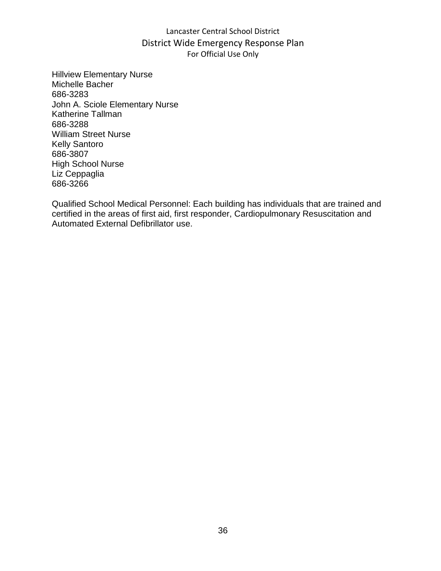Hillview Elementary Nurse Michelle Bacher 686-3283 John A. Sciole Elementary Nurse Katherine Tallman 686-3288 William Street Nurse Kelly Santoro 686-3807 High School Nurse Liz Ceppaglia 686-3266

Qualified School Medical Personnel: Each building has individuals that are trained and certified in the areas of first aid, first responder, Cardiopulmonary Resuscitation and Automated External Defibrillator use.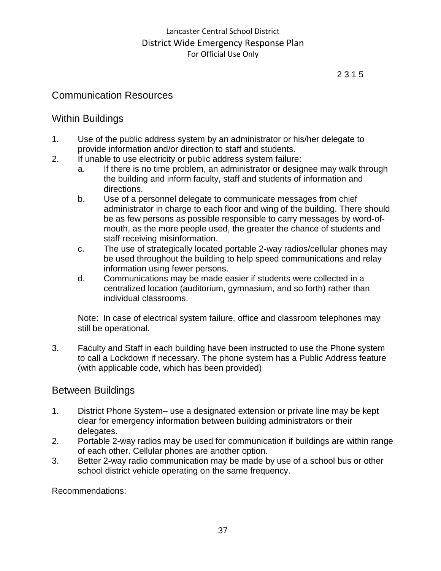# Communication Resources

# Within Buildings

- 1. Use of the public address system by an administrator or his/her delegate to provide information and/or direction to staff and students.
- 2. If unable to use electricity or public address system failure:
	- a. If there is no time problem, an administrator or designee may walk through the building and inform faculty, staff and students of information and directions.
	- b. Use of a personnel delegate to communicate messages from chief administrator in charge to each floor and wing of the building. There should be as few persons as possible responsible to carry messages by word-ofmouth, as the more people used, the greater the chance of students and staff receiving misinformation.
	- c. The use of strategically located portable 2-way radios/cellular phones may be used throughout the building to help speed communications and relay information using fewer persons.
	- d. Communications may be made easier if students were collected in a centralized location (auditorium, gymnasium, and so forth) rather than individual classrooms.

Note: In case of electrical system failure, office and classroom telephones may still be operational.

3. Faculty and Staff in each building have been instructed to use the Phone system to call a Lockdown if necessary. The phone system has a Public Address feature (with applicable code, which has been provided)

# Between Buildings

- 1. District Phone System– use a designated extension or private line may be kept clear for emergency information between building administrators or their delegates.
- 2. Portable 2-way radios may be used for communication if buildings are within range of each other. Cellular phones are another option.
- 3. Better 2-way radio communication may be made by use of a school bus or other school district vehicle operating on the same frequency.

Recommendations: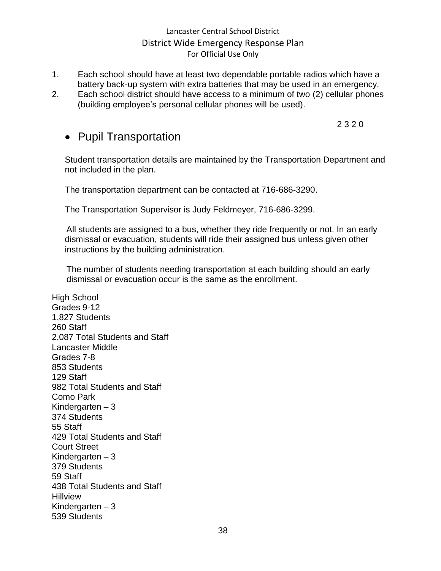- 1. Each school should have at least two dependable portable radios which have a battery back-up system with extra batteries that may be used in an emergency.
- 2. Each school district should have access to a minimum of two (2) cellular phones (building employee's personal cellular phones will be used).

2 3 2 0

# • Pupil Transportation

Student transportation details are maintained by the Transportation Department and not included in the plan.

The transportation department can be contacted at 716-686-3290.

The Transportation Supervisor is Judy Feldmeyer, 716-686-3299.

All students are assigned to a bus, whether they ride frequently or not. In an early dismissal or evacuation, students will ride their assigned bus unless given other instructions by the building administration.

The number of students needing transportation at each building should an early dismissal or evacuation occur is the same as the enrollment.

High School Grades 9-12 1,827 Students 260 Staff 2,087 Total Students and Staff Lancaster Middle Grades 7-8 853 Students 129 Staff 982 Total Students and Staff Como Park Kindergarten – 3 374 Students 55 Staff 429 Total Students and Staff Court Street Kindergarten – 3 379 Students 59 Staff 438 Total Students and Staff **Hillview** Kindergarten – 3 539 Students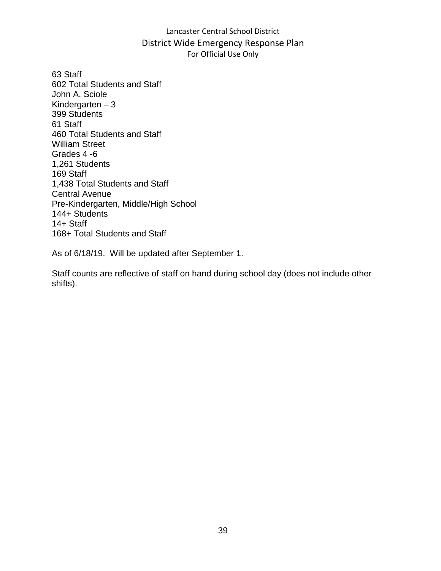63 Staff 602 Total Students and Staff John A. Sciole Kindergarten – 3 399 Students 61 Staff 460 Total Students and Staff William Street Grades 4 -6 1,261 Students 169 Staff 1,438 Total Students and Staff Central Avenue Pre-Kindergarten, Middle/High School 144+ Students 14+ Staff 168+ Total Students and Staff

As of 6/18/19. Will be updated after September 1.

Staff counts are reflective of staff on hand during school day (does not include other shifts).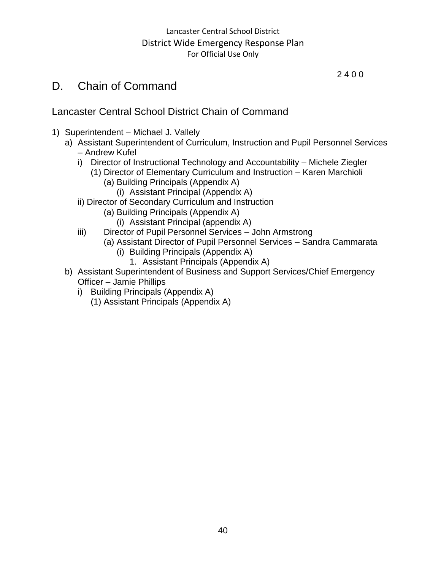# D. Chain of Command

# Lancaster Central School District Chain of Command

- 1) Superintendent Michael J. Vallely
	- a) Assistant Superintendent of Curriculum, Instruction and Pupil Personnel Services – Andrew Kufel
		- i) Director of Instructional Technology and Accountability Michele Ziegler
			- (1) Director of Elementary Curriculum and Instruction Karen Marchioli (a) Building Principals (Appendix A)
				- (i) Assistant Principal (Appendix A)
		- ii) Director of Secondary Curriculum and Instruction
			- (a) Building Principals (Appendix A)
				- (i) Assistant Principal (appendix A)
		- iii) Director of Pupil Personnel Services John Armstrong
			- (a) Assistant Director of Pupil Personnel Services Sandra Cammarata
				- (i) Building Principals (Appendix A)
					- 1. Assistant Principals (Appendix A)
	- b) Assistant Superintendent of Business and Support Services/Chief Emergency Officer – Jamie Phillips
		- i) Building Principals (Appendix A)
			- (1) Assistant Principals (Appendix A)

2 4 0 0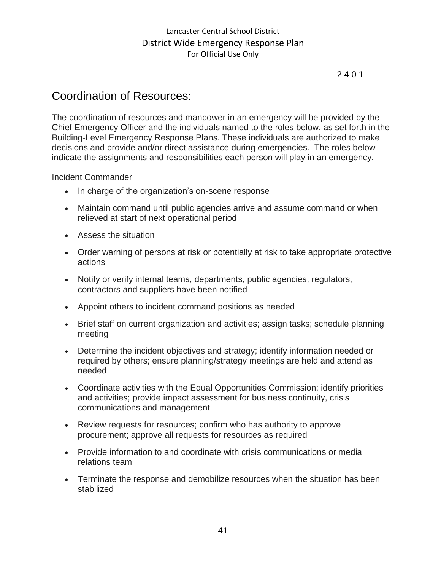# 2 4 0 1

# Coordination of Resources:

The coordination of resources and manpower in an emergency will be provided by the Chief Emergency Officer and the individuals named to the roles below, as set forth in the Building-Level Emergency Response Plans. These individuals are authorized to make decisions and provide and/or direct assistance during emergencies. The roles below indicate the assignments and responsibilities each person will play in an emergency.

Incident Commander

- In charge of the organization's on-scene response
- Maintain command until public agencies arrive and assume command or when relieved at start of next operational period
- Assess the situation
- Order warning of persons at risk or potentially at risk to take appropriate protective actions
- Notify or verify internal teams, departments, public agencies, regulators, contractors and suppliers have been notified
- Appoint others to incident command positions as needed
- Brief staff on current organization and activities; assign tasks; schedule planning meeting
- Determine the incident objectives and strategy; identify information needed or required by others; ensure planning/strategy meetings are held and attend as needed
- Coordinate activities with the Equal Opportunities Commission; identify priorities and activities; provide impact assessment for business continuity, crisis communications and management
- Review requests for resources; confirm who has authority to approve procurement; approve all requests for resources as required
- Provide information to and coordinate with crisis communications or media relations team
- Terminate the response and demobilize resources when the situation has been stabilized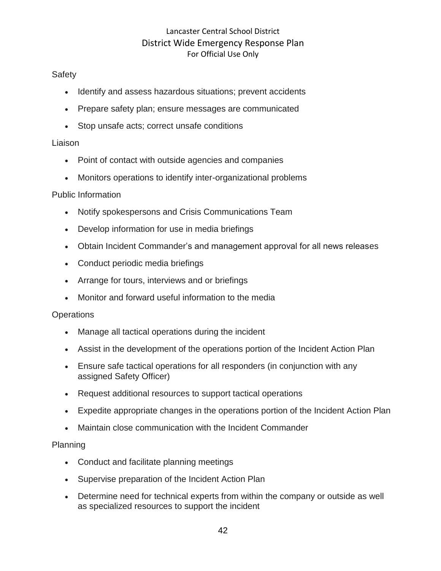# **Safety**

- Identify and assess hazardous situations; prevent accidents
- Prepare safety plan; ensure messages are communicated
- Stop unsafe acts; correct unsafe conditions

## Liaison

- Point of contact with outside agencies and companies
- Monitors operations to identify inter-organizational problems

# Public Information

- Notify spokespersons and Crisis Communications Team
- Develop information for use in media briefings
- Obtain Incident Commander's and management approval for all news releases
- Conduct periodic media briefings
- Arrange for tours, interviews and or briefings
- Monitor and forward useful information to the media

# **Operations**

- Manage all tactical operations during the incident
- Assist in the development of the operations portion of the Incident Action Plan
- Ensure safe tactical operations for all responders (in conjunction with any assigned Safety Officer)
- Request additional resources to support tactical operations
- Expedite appropriate changes in the operations portion of the Incident Action Plan
- Maintain close communication with the Incident Commander

# Planning

- Conduct and facilitate planning meetings
- Supervise preparation of the Incident Action Plan
- Determine need for technical experts from within the company or outside as well as specialized resources to support the incident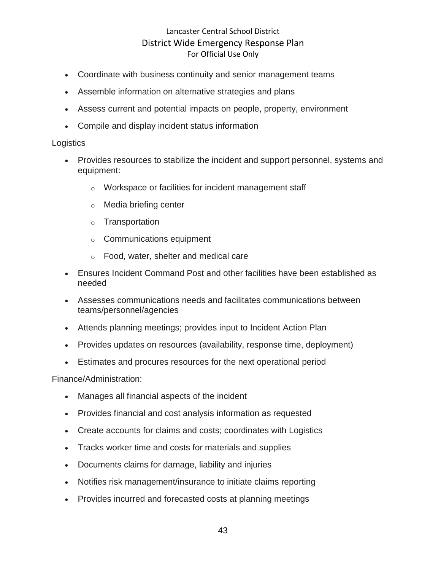- Coordinate with business continuity and senior management teams
- Assemble information on alternative strategies and plans
- Assess current and potential impacts on people, property, environment
- Compile and display incident status information

#### **Logistics**

- Provides resources to stabilize the incident and support personnel, systems and equipment:
	- o Workspace or facilities for incident management staff
	- o Media briefing center
	- o Transportation
	- o Communications equipment
	- o Food, water, shelter and medical care
- Ensures Incident Command Post and other facilities have been established as needed
- Assesses communications needs and facilitates communications between teams/personnel/agencies
- Attends planning meetings; provides input to Incident Action Plan
- Provides updates on resources (availability, response time, deployment)
- Estimates and procures resources for the next operational period

Finance/Administration:

- Manages all financial aspects of the incident
- Provides financial and cost analysis information as requested
- Create accounts for claims and costs; coordinates with Logistics
- Tracks worker time and costs for materials and supplies
- Documents claims for damage, liability and injuries
- Notifies risk management/insurance to initiate claims reporting
- Provides incurred and forecasted costs at planning meetings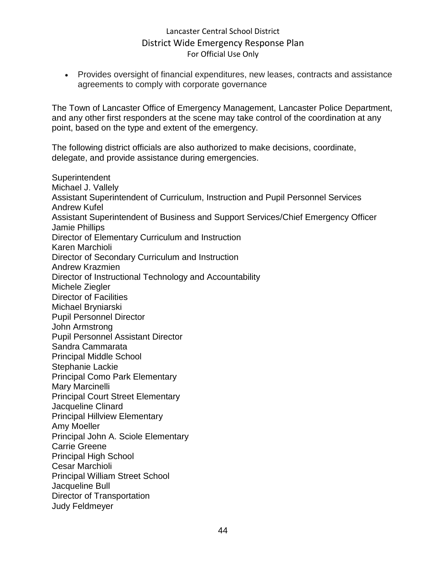• Provides oversight of financial expenditures, new leases, contracts and assistance agreements to comply with corporate governance

The Town of Lancaster Office of Emergency Management, Lancaster Police Department, and any other first responders at the scene may take control of the coordination at any point, based on the type and extent of the emergency.

The following district officials are also authorized to make decisions, coordinate, delegate, and provide assistance during emergencies.

**Superintendent** Michael J. Vallely Assistant Superintendent of Curriculum, Instruction and Pupil Personnel Services Andrew Kufel Assistant Superintendent of Business and Support Services/Chief Emergency Officer Jamie Phillips Director of Elementary Curriculum and Instruction Karen Marchioli Director of Secondary Curriculum and Instruction Andrew Krazmien Director of Instructional Technology and Accountability Michele Ziegler Director of Facilities Michael Bryniarski Pupil Personnel Director John Armstrong Pupil Personnel Assistant Director Sandra Cammarata Principal Middle School Stephanie Lackie Principal Como Park Elementary Mary Marcinelli Principal Court Street Elementary Jacqueline Clinard Principal Hillview Elementary Amy Moeller Principal John A. Sciole Elementary Carrie Greene Principal High School Cesar Marchioli Principal William Street School Jacqueline Bull Director of Transportation Judy Feldmeyer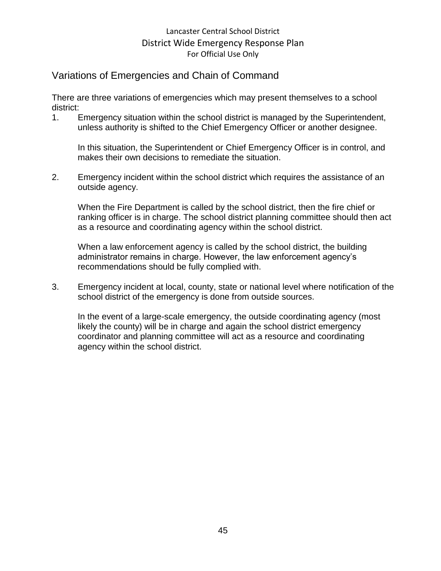# Variations of Emergencies and Chain of Command

There are three variations of emergencies which may present themselves to a school district:

1. Emergency situation within the school district is managed by the Superintendent, unless authority is shifted to the Chief Emergency Officer or another designee.

In this situation, the Superintendent or Chief Emergency Officer is in control, and makes their own decisions to remediate the situation.

2. Emergency incident within the school district which requires the assistance of an outside agency.

When the Fire Department is called by the school district, then the fire chief or ranking officer is in charge. The school district planning committee should then act as a resource and coordinating agency within the school district.

When a law enforcement agency is called by the school district, the building administrator remains in charge. However, the law enforcement agency's recommendations should be fully complied with.

3. Emergency incident at local, county, state or national level where notification of the school district of the emergency is done from outside sources.

In the event of a large-scale emergency, the outside coordinating agency (most likely the county) will be in charge and again the school district emergency coordinator and planning committee will act as a resource and coordinating agency within the school district.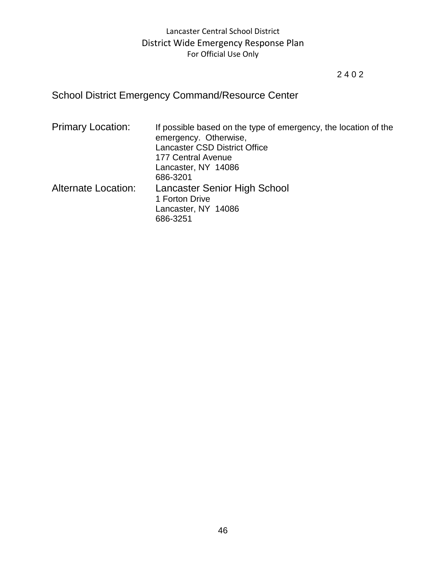# 2 4 0 2

# School District Emergency Command/Resource Center

| <b>Primary Location:</b>   | If possible based on the type of emergency, the location of the<br>emergency. Otherwise,<br><b>Lancaster CSD District Office</b><br>177 Central Avenue |
|----------------------------|--------------------------------------------------------------------------------------------------------------------------------------------------------|
|                            | Lancaster, NY 14086<br>686-3201                                                                                                                        |
| <b>Alternate Location:</b> | Lancaster Senior High School<br>1 Forton Drive<br>Lancaster, NY 14086<br>686-3251                                                                      |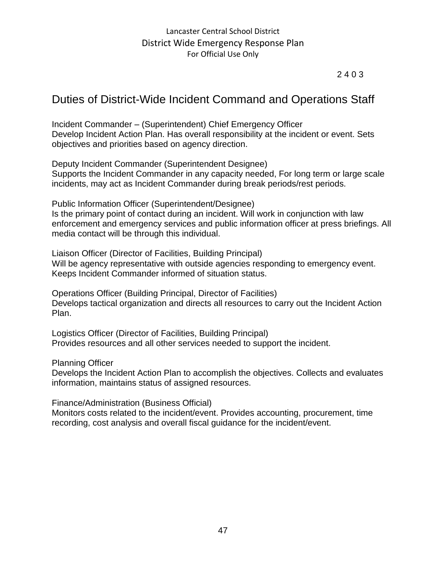# 2 4 0 3

# Duties of District-Wide Incident Command and Operations Staff

Incident Commander – (Superintendent) Chief Emergency Officer Develop Incident Action Plan. Has overall responsibility at the incident or event. Sets objectives and priorities based on agency direction.

Deputy Incident Commander (Superintendent Designee) Supports the Incident Commander in any capacity needed, For long term or large scale incidents, may act as Incident Commander during break periods/rest periods.

Public Information Officer (Superintendent/Designee) Is the primary point of contact during an incident. Will work in conjunction with law enforcement and emergency services and public information officer at press briefings. All media contact will be through this individual.

Liaison Officer (Director of Facilities, Building Principal) Will be agency representative with outside agencies responding to emergency event. Keeps Incident Commander informed of situation status.

Operations Officer (Building Principal, Director of Facilities) Develops tactical organization and directs all resources to carry out the Incident Action Plan.

Logistics Officer (Director of Facilities, Building Principal) Provides resources and all other services needed to support the incident.

Planning Officer

Develops the Incident Action Plan to accomplish the objectives. Collects and evaluates information, maintains status of assigned resources.

Finance/Administration (Business Official)

Monitors costs related to the incident/event. Provides accounting, procurement, time recording, cost analysis and overall fiscal guidance for the incident/event.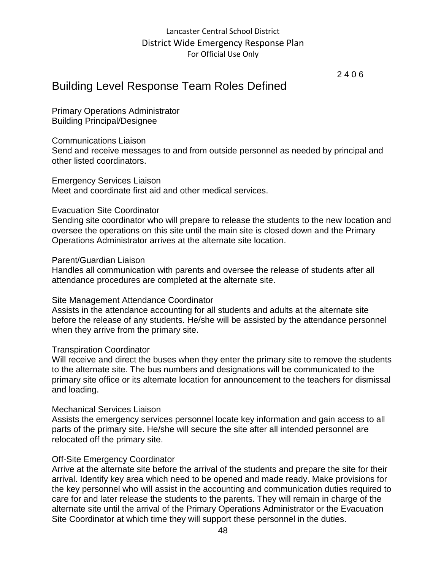2 4 0 6

# Building Level Response Team Roles Defined

Primary Operations Administrator Building Principal/Designee

#### Communications Liaison

Send and receive messages to and from outside personnel as needed by principal and other listed coordinators.

#### Emergency Services Liaison Meet and coordinate first aid and other medical services.

#### Evacuation Site Coordinator

Sending site coordinator who will prepare to release the students to the new location and oversee the operations on this site until the main site is closed down and the Primary Operations Administrator arrives at the alternate site location.

#### Parent/Guardian Liaison

Handles all communication with parents and oversee the release of students after all attendance procedures are completed at the alternate site.

### Site Management Attendance Coordinator

Assists in the attendance accounting for all students and adults at the alternate site before the release of any students. He/she will be assisted by the attendance personnel when they arrive from the primary site.

### Transpiration Coordinator

Will receive and direct the buses when they enter the primary site to remove the students to the alternate site. The bus numbers and designations will be communicated to the primary site office or its alternate location for announcement to the teachers for dismissal and loading.

#### Mechanical Services Liaison

Assists the emergency services personnel locate key information and gain access to all parts of the primary site. He/she will secure the site after all intended personnel are relocated off the primary site.

### Off-Site Emergency Coordinator

Arrive at the alternate site before the arrival of the students and prepare the site for their arrival. Identify key area which need to be opened and made ready. Make provisions for the key personnel who will assist in the accounting and communication duties required to care for and later release the students to the parents. They will remain in charge of the alternate site until the arrival of the Primary Operations Administrator or the Evacuation Site Coordinator at which time they will support these personnel in the duties.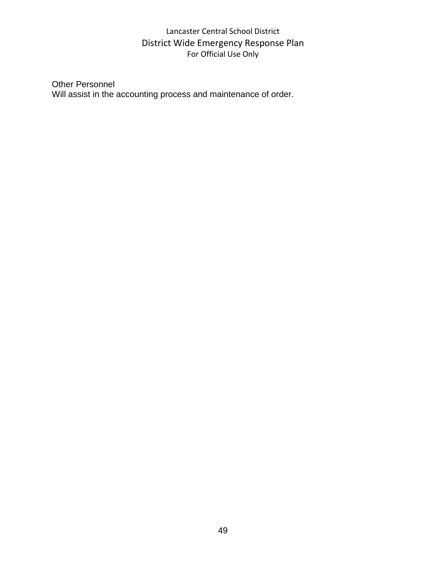## Other Personnel Will assist in the accounting process and maintenance of order.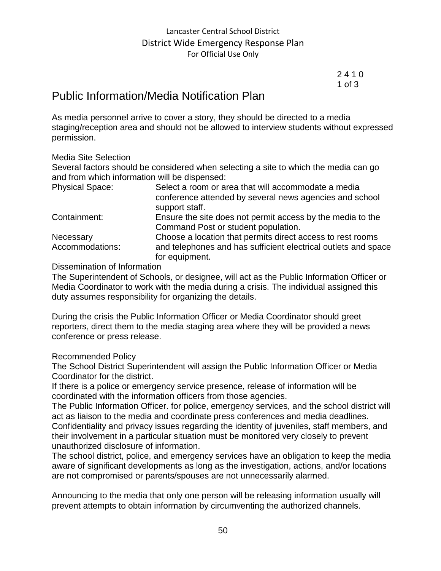2 4 1 0 1 of 3

# Public Information/Media Notification Plan

As media personnel arrive to cover a story, they should be directed to a media staging/reception area and should not be allowed to interview students without expressed permission.

### Media Site Selection

Several factors should be considered when selecting a site to which the media can go and from which information will be dispensed:

| <b>Physical Space:</b>       | Select a room or area that will accommodate a media<br>conference attended by several news agencies and school<br>support staff.               |
|------------------------------|------------------------------------------------------------------------------------------------------------------------------------------------|
| Containment:                 | Ensure the site does not permit access by the media to the<br>Command Post or student population.                                              |
| Necessary<br>Accommodations: | Choose a location that permits direct access to rest rooms<br>and telephones and has sufficient electrical outlets and space<br>for equipment. |

### Dissemination of Information

The Superintendent of Schools, or designee, will act as the Public Information Officer or Media Coordinator to work with the media during a crisis. The individual assigned this duty assumes responsibility for organizing the details.

During the crisis the Public Information Officer or Media Coordinator should greet reporters, direct them to the media staging area where they will be provided a news conference or press release.

### Recommended Policy

The School District Superintendent will assign the Public Information Officer or Media Coordinator for the district.

If there is a police or emergency service presence, release of information will be coordinated with the information officers from those agencies.

The Public Information Officer. for police, emergency services, and the school district will act as liaison to the media and coordinate press conferences and media deadlines. Confidentiality and privacy issues regarding the identity of juveniles, staff members, and their involvement in a particular situation must be monitored very closely to prevent unauthorized disclosure of information.

The school district, police, and emergency services have an obligation to keep the media aware of significant developments as long as the investigation, actions, and/or locations are not compromised or parents/spouses are not unnecessarily alarmed.

Announcing to the media that only one person will be releasing information usually will prevent attempts to obtain information by circumventing the authorized channels.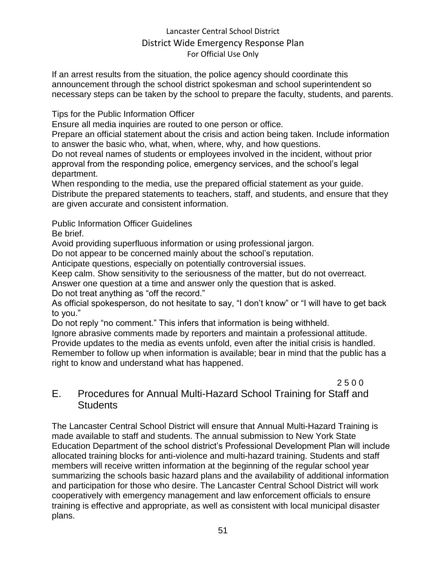If an arrest results from the situation, the police agency should coordinate this announcement through the school district spokesman and school superintendent so necessary steps can be taken by the school to prepare the faculty, students, and parents.

Tips for the Public Information Officer

Ensure all media inquiries are routed to one person or office.

Prepare an official statement about the crisis and action being taken. Include information to answer the basic who, what, when, where, why, and how questions.

Do not reveal names of students or employees involved in the incident, without prior approval from the responding police, emergency services, and the school's legal department.

When responding to the media, use the prepared official statement as your guide. Distribute the prepared statements to teachers, staff, and students, and ensure that they are given accurate and consistent information.

Public Information Officer Guidelines

Be brief.

Avoid providing superfluous information or using professional jargon.

Do not appear to be concerned mainly about the school's reputation.

Anticipate questions, especially on potentially controversial issues.

Keep calm. Show sensitivity to the seriousness of the matter, but do not overreact.

Answer one question at a time and answer only the question that is asked.

Do not treat anything as "off the record."

As official spokesperson, do not hesitate to say, "I don't know" or "I will have to get back to you."

Do not reply "no comment." This infers that information is being withheld.

Ignore abrasive comments made by reporters and maintain a professional attitude. Provide updates to the media as events unfold, even after the initial crisis is handled. Remember to follow up when information is available; bear in mind that the public has a right to know and understand what has happened.

2 5 0 0 E. Procedures for Annual Multi-Hazard School Training for Staff and **Students** 

The Lancaster Central School District will ensure that Annual Multi-Hazard Training is made available to staff and students. The annual submission to New York State Education Department of the school district's Professional Development Plan will include allocated training blocks for anti-violence and multi-hazard training. Students and staff members will receive written information at the beginning of the regular school year summarizing the schools basic hazard plans and the availability of additional information and participation for those who desire. The Lancaster Central School District will work cooperatively with emergency management and law enforcement officials to ensure training is effective and appropriate, as well as consistent with local municipal disaster plans.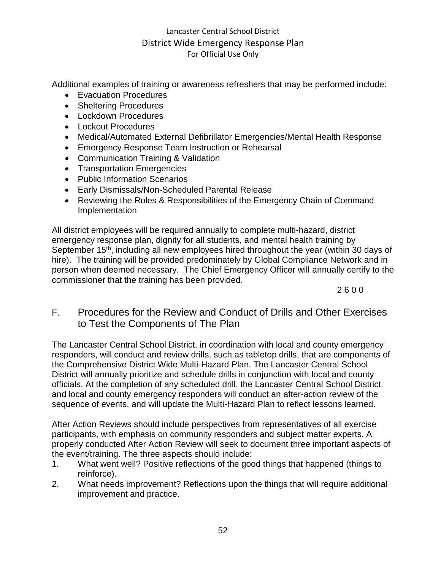Additional examples of training or awareness refreshers that may be performed include:

- Evacuation Procedures
- Sheltering Procedures
- Lockdown Procedures
- Lockout Procedures
- Medical/Automated External Defibrillator Emergencies/Mental Health Response
- Emergency Response Team Instruction or Rehearsal
- Communication Training & Validation
- Transportation Emergencies
- Public Information Scenarios
- Early Dismissals/Non-Scheduled Parental Release
- Reviewing the Roles & Responsibilities of the Emergency Chain of Command Implementation

All district employees will be required annually to complete multi-hazard, district emergency response plan, dignity for all students, and mental health training by September 15<sup>th</sup>, including all new employees hired throughout the year (within 30 days of hire). The training will be provided predominately by Global Compliance Network and in person when deemed necessary. The Chief Emergency Officer will annually certify to the commissioner that the training has been provided.

2 6 0 0

# F. Procedures for the Review and Conduct of Drills and Other Exercises to Test the Components of The Plan

The Lancaster Central School District, in coordination with local and county emergency responders, will conduct and review drills, such as tabletop drills, that are components of the Comprehensive District Wide Multi-Hazard Plan. The Lancaster Central School District will annually prioritize and schedule drills in conjunction with local and county officials. At the completion of any scheduled drill, the Lancaster Central School District and local and county emergency responders will conduct an after-action review of the sequence of events, and will update the Multi-Hazard Plan to reflect lessons learned.

After Action Reviews should include perspectives from representatives of all exercise participants, with emphasis on community responders and subject matter experts. A properly conducted After Action Review will seek to document three important aspects of the event/training. The three aspects should include:

- 1. What went well? Positive reflections of the good things that happened (things to reinforce).
- 2. What needs improvement? Reflections upon the things that will require additional improvement and practice.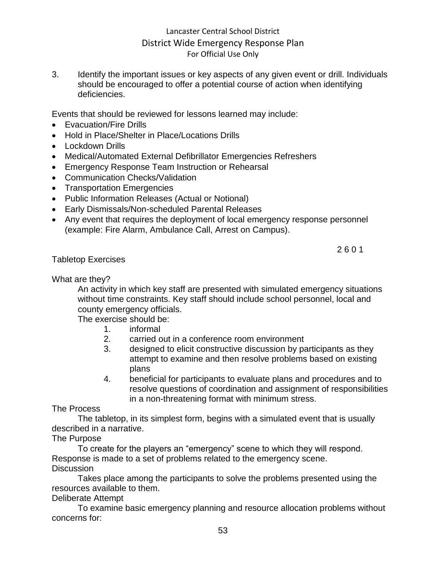3. Identify the important issues or key aspects of any given event or drill. Individuals should be encouraged to offer a potential course of action when identifying deficiencies.

Events that should be reviewed for lessons learned may include:

- Evacuation/Fire Drills
- Hold in Place/Shelter in Place/Locations Drills
- Lockdown Drills
- Medical/Automated External Defibrillator Emergencies Refreshers
- Emergency Response Team Instruction or Rehearsal
- Communication Checks/Validation
- Transportation Emergencies
- Public Information Releases (Actual or Notional)
- Early Dismissals/Non-scheduled Parental Releases
- Any event that requires the deployment of local emergency response personnel (example: Fire Alarm, Ambulance Call, Arrest on Campus).

Tabletop Exercises

2 6 0 1

What are they?

An activity in which key staff are presented with simulated emergency situations without time constraints. Key staff should include school personnel, local and county emergency officials.

The exercise should be:

- 1. informal
- 2. carried out in a conference room environment
- 3. designed to elicit constructive discussion by participants as they attempt to examine and then resolve problems based on existing plans
- 4. beneficial for participants to evaluate plans and procedures and to resolve questions of coordination and assignment of responsibilities in a non-threatening format with minimum stress.

The Process

The tabletop, in its simplest form, begins with a simulated event that is usually described in a narrative.

### The Purpose

To create for the players an "emergency" scene to which they will respond. Response is made to a set of problems related to the emergency scene.

### **Discussion**

Takes place among the participants to solve the problems presented using the resources available to them.

Deliberate Attempt

To examine basic emergency planning and resource allocation problems without concerns for: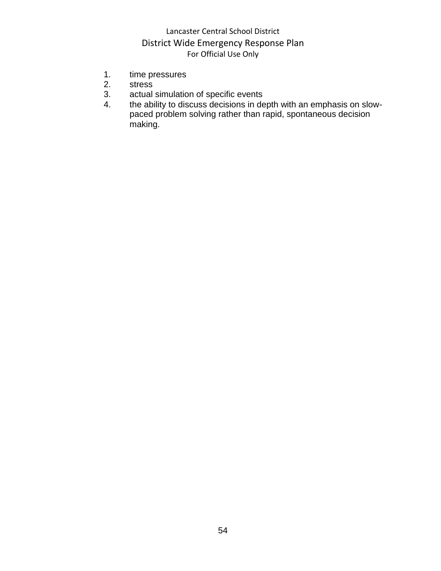- 1. time pressures<br>2. stress
- **stress**
- 3. actual simulation of specific events
- 4. the ability to discuss decisions in depth with an emphasis on slowpaced problem solving rather than rapid, spontaneous decision making.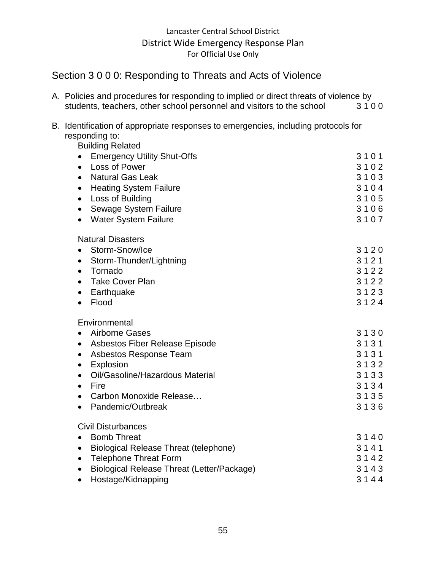# Section 3 0 0 0: Responding to Threats and Acts of Violence

|                                                                       | A. Policies and procedures for responding to implied or direct threats of violence by |      |
|-----------------------------------------------------------------------|---------------------------------------------------------------------------------------|------|
| students, teachers, other school personnel and visitors to the school |                                                                                       | 3100 |

| B. Identification of appropriate responses to emergencies, including protocols for |
|------------------------------------------------------------------------------------|
| responding to:                                                                     |

Building Related • Emergency Utility Shut-Offs 3 1 0 1 • Loss of Power 3 1 0 2 • Natural Gas Leak 3 1 0 3 • Heating System Failure 3 1 0 4 • Loss of Building 3 1 0 5 • Sewage System Failure 3 1 0 6 • Water System Failure 3 1 0 7 Natural Disasters • Storm-Snow/Ice 3 1 2 0 • Storm-Thunder/Lightning 3 1 2 1 • Tornado 3 1 2 2 • Take Cover Plan 3 1 2 2 • Earthquake 3 1 2 3 • Flood 3 1 2 4 **Environmental** • Airborne Gases 3 1 3 0 • Asbestos Fiber Release Episode 3 1 3 1 • Asbestos Response Team 3 1 3 1 • Explosion 3 1 3 2 • Oil/Gasoline/Hazardous Material 3 1 3 3 • Fire  $3 1 3 4$ • Carbon Monoxide Release… 3 1 3 5 • Pandemic/Outbreak 3 1 3 6 Civil Disturbances • Bomb Threat 3 1 4 0 • Biological Release Threat (telephone) 3 1 4 1 • Telephone Threat Form 3 1 4 2 • Biological Release Threat (Letter/Package) 3 1 4 3 • Hostage/Kidnapping 3 1 4 4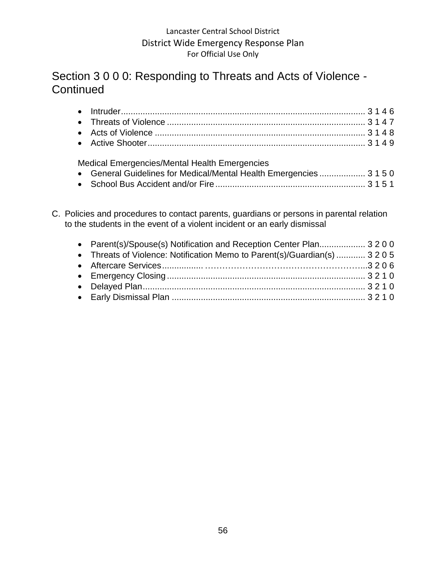# Section 3 0 0 0: Responding to Threats and Acts of Violence - **Continued**

| Medical Emergencies/Mental Health Emergencies                       |  |  |
|---------------------------------------------------------------------|--|--|
| • General Guidelines for Medical/Mental Health Emergencies  3 1 5 0 |  |  |
|                                                                     |  |  |

C. Policies and procedures to contact parents, guardians or persons in parental relation to the students in the event of a violent incident or an early dismissal

| • Parent(s)/Spouse(s) Notification and Reception Center Plan 3200          |  |
|----------------------------------------------------------------------------|--|
| • Threats of Violence: Notification Memo to Parent(s)/Guardian(s)  3 2 0 5 |  |
|                                                                            |  |
|                                                                            |  |
|                                                                            |  |
|                                                                            |  |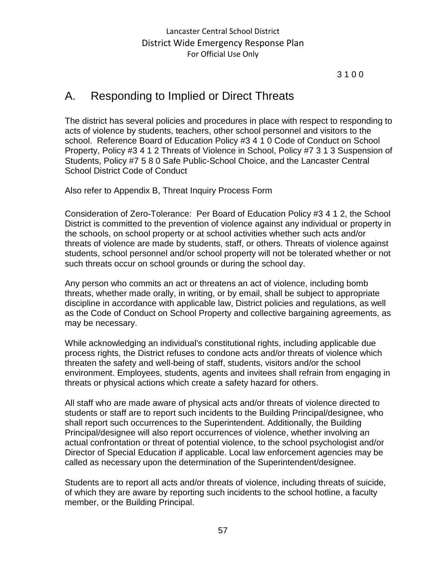### 3 1 0 0

# A. Responding to Implied or Direct Threats

The district has several policies and procedures in place with respect to responding to acts of violence by students, teachers, other school personnel and visitors to the school. Reference Board of Education Policy #3 4 1 0 Code of Conduct on School Property, Policy #3 4 1 2 Threats of Violence in School, Policy #7 3 1 3 Suspension of Students, Policy #7 5 8 0 Safe Public-School Choice, and the Lancaster Central School District Code of Conduct

Also refer to Appendix B, Threat Inquiry Process Form

Consideration of Zero-Tolerance: Per Board of Education Policy #3 4 1 2, the School District is committed to the prevention of violence against any individual or property in the schools, on school property or at school activities whether such acts and/or threats of violence are made by students, staff, or others. Threats of violence against students, school personnel and/or school property will not be tolerated whether or not such threats occur on school grounds or during the school day.

Any person who commits an act or threatens an act of violence, including bomb threats, whether made orally, in writing, or by email, shall be subject to appropriate discipline in accordance with applicable law, District policies and regulations, as well as the Code of Conduct on School Property and collective bargaining agreements, as may be necessary.

While acknowledging an individual's constitutional rights, including applicable due process rights, the District refuses to condone acts and/or threats of violence which threaten the safety and well-being of staff, students, visitors and/or the school environment. Employees, students, agents and invitees shall refrain from engaging in threats or physical actions which create a safety hazard for others.

All staff who are made aware of physical acts and/or threats of violence directed to students or staff are to report such incidents to the Building Principal/designee, who shall report such occurrences to the Superintendent. Additionally, the Building Principal/designee will also report occurrences of violence, whether involving an actual confrontation or threat of potential violence, to the school psychologist and/or Director of Special Education if applicable. Local law enforcement agencies may be called as necessary upon the determination of the Superintendent/designee.

Students are to report all acts and/or threats of violence, including threats of suicide, of which they are aware by reporting such incidents to the school hotline, a faculty member, or the Building Principal.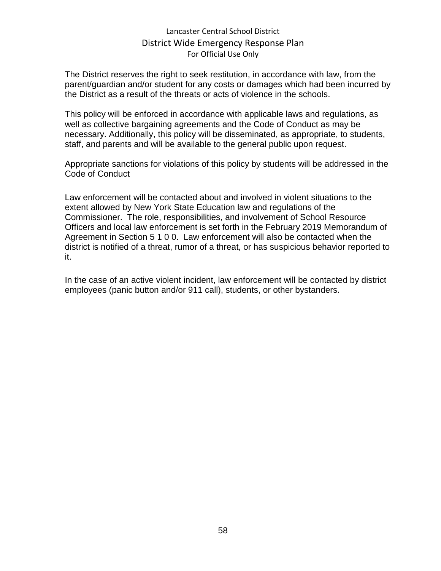The District reserves the right to seek restitution, in accordance with law, from the parent/guardian and/or student for any costs or damages which had been incurred by the District as a result of the threats or acts of violence in the schools.

This policy will be enforced in accordance with applicable laws and regulations, as well as collective bargaining agreements and the Code of Conduct as may be necessary. Additionally, this policy will be disseminated, as appropriate, to students, staff, and parents and will be available to the general public upon request.

Appropriate sanctions for violations of this policy by students will be addressed in the Code of Conduct

Law enforcement will be contacted about and involved in violent situations to the extent allowed by New York State Education law and regulations of the Commissioner. The role, responsibilities, and involvement of School Resource Officers and local law enforcement is set forth in the February 2019 Memorandum of Agreement in Section 5 1 0 0. Law enforcement will also be contacted when the district is notified of a threat, rumor of a threat, or has suspicious behavior reported to it.

In the case of an active violent incident, law enforcement will be contacted by district employees (panic button and/or 911 call), students, or other bystanders.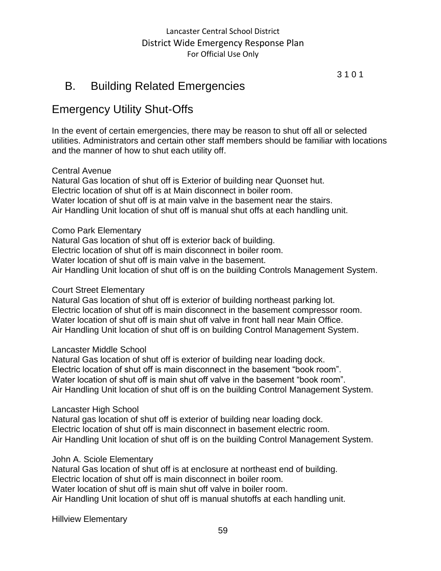3 1 0 1

# B. Building Related Emergencies

# Emergency Utility Shut-Offs

In the event of certain emergencies, there may be reason to shut off all or selected utilities. Administrators and certain other staff members should be familiar with locations and the manner of how to shut each utility off.

### Central Avenue

Natural Gas location of shut off is Exterior of building near Quonset hut. Electric location of shut off is at Main disconnect in boiler room. Water location of shut off is at main valve in the basement near the stairs. Air Handling Unit location of shut off is manual shut offs at each handling unit.

Como Park Elementary

Natural Gas location of shut off is exterior back of building. Electric location of shut off is main disconnect in boiler room. Water location of shut off is main valve in the basement.

Air Handling Unit location of shut off is on the building Controls Management System.

#### Court Street Elementary

Natural Gas location of shut off is exterior of building northeast parking lot. Electric location of shut off is main disconnect in the basement compressor room. Water location of shut off is main shut off valve in front hall near Main Office. Air Handling Unit location of shut off is on building Control Management System.

#### Lancaster Middle School

Natural Gas location of shut off is exterior of building near loading dock. Electric location of shut off is main disconnect in the basement "book room". Water location of shut off is main shut off valve in the basement "book room". Air Handling Unit location of shut off is on the building Control Management System.

#### Lancaster High School

Natural gas location of shut off is exterior of building near loading dock. Electric location of shut off is main disconnect in basement electric room. Air Handling Unit location of shut off is on the building Control Management System.

### John A. Sciole Elementary

Natural Gas location of shut off is at enclosure at northeast end of building. Electric location of shut off is main disconnect in boiler room. Water location of shut off is main shut off valve in boiler room. Air Handling Unit location of shut off is manual shutoffs at each handling unit.

Hillview Elementary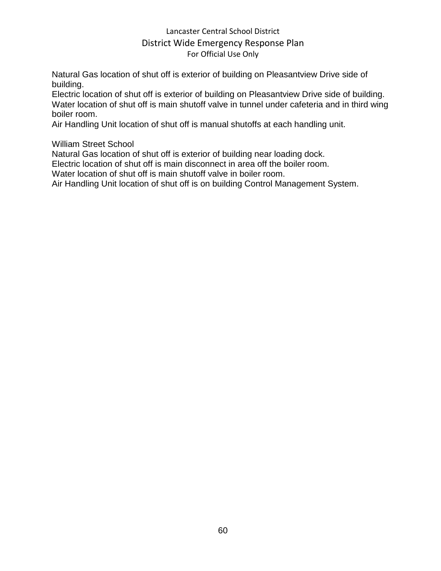Natural Gas location of shut off is exterior of building on Pleasantview Drive side of building.

Electric location of shut off is exterior of building on Pleasantview Drive side of building. Water location of shut off is main shutoff valve in tunnel under cafeteria and in third wing boiler room.

Air Handling Unit location of shut off is manual shutoffs at each handling unit.

William Street School

Natural Gas location of shut off is exterior of building near loading dock.

Electric location of shut off is main disconnect in area off the boiler room.

Water location of shut off is main shutoff valve in boiler room.

Air Handling Unit location of shut off is on building Control Management System.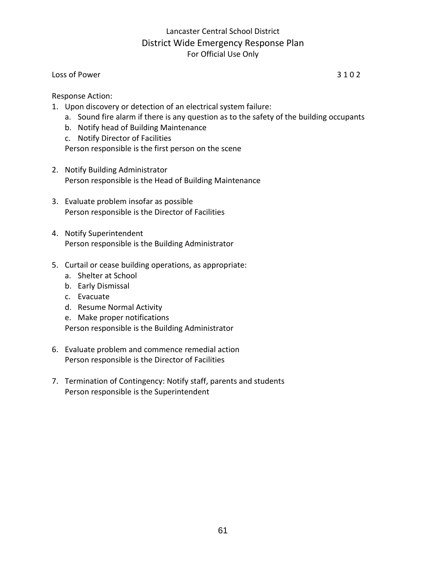#### Loss of Power 3 1 0 2

Response Action:

- 1. Upon discovery or detection of an electrical system failure:
	- a. Sound fire alarm if there is any question as to the safety of the building occupants
	- b. Notify head of Building Maintenance
	- c. Notify Director of Facilities

Person responsible is the first person on the scene

- 2. Notify Building Administrator Person responsible is the Head of Building Maintenance
- 3. Evaluate problem insofar as possible Person responsible is the Director of Facilities
- 4. Notify Superintendent Person responsible is the Building Administrator
- 5. Curtail or cease building operations, as appropriate:
	- a. Shelter at School
	- b. Early Dismissal
	- c. Evacuate
	- d. Resume Normal Activity
	- e. Make proper notifications

- 6. Evaluate problem and commence remedial action Person responsible is the Director of Facilities
- 7. Termination of Contingency: Notify staff, parents and students Person responsible is the Superintendent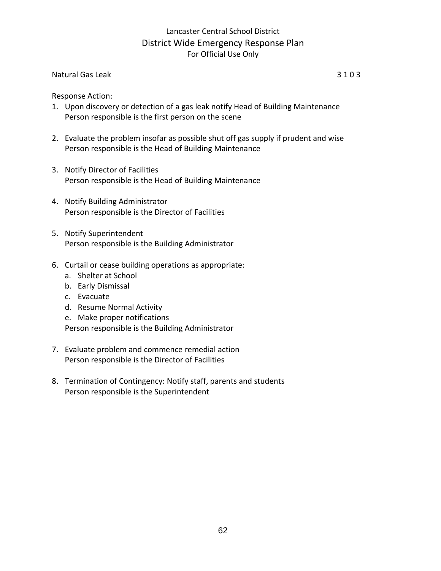#### Natural Gas Leak 3 1 0 3

Response Action:

- 1. Upon discovery or detection of a gas leak notify Head of Building Maintenance Person responsible is the first person on the scene
- 2. Evaluate the problem insofar as possible shut off gas supply if prudent and wise Person responsible is the Head of Building Maintenance
- 3. Notify Director of Facilities Person responsible is the Head of Building Maintenance
- 4. Notify Building Administrator Person responsible is the Director of Facilities
- 5. Notify Superintendent Person responsible is the Building Administrator
- 6. Curtail or cease building operations as appropriate:
	- a. Shelter at School
	- b. Early Dismissal
	- c. Evacuate
	- d. Resume Normal Activity
	- e. Make proper notifications

- 7. Evaluate problem and commence remedial action Person responsible is the Director of Facilities
- 8. Termination of Contingency: Notify staff, parents and students Person responsible is the Superintendent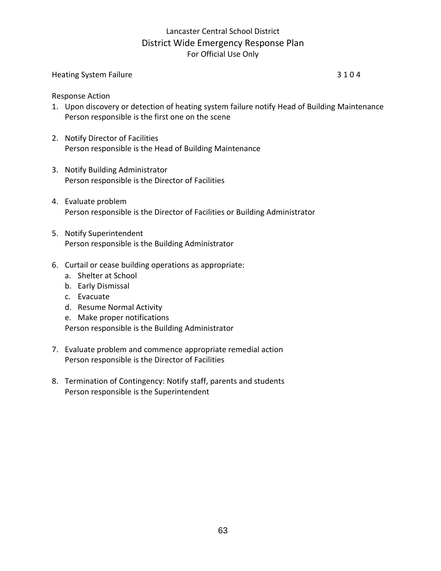# Heating System Failure 3 1 0 4

Response Action

- 1. Upon discovery or detection of heating system failure notify Head of Building Maintenance Person responsible is the first one on the scene
- 2. Notify Director of Facilities Person responsible is the Head of Building Maintenance
- 3. Notify Building Administrator Person responsible is the Director of Facilities
- 4. Evaluate problem Person responsible is the Director of Facilities or Building Administrator
- 5. Notify Superintendent Person responsible is the Building Administrator
- 6. Curtail or cease building operations as appropriate:
	- a. Shelter at School
	- b. Early Dismissal
	- c. Evacuate
	- d. Resume Normal Activity
	- e. Make proper notifications

- 7. Evaluate problem and commence appropriate remedial action Person responsible is the Director of Facilities
- 8. Termination of Contingency: Notify staff, parents and students Person responsible is the Superintendent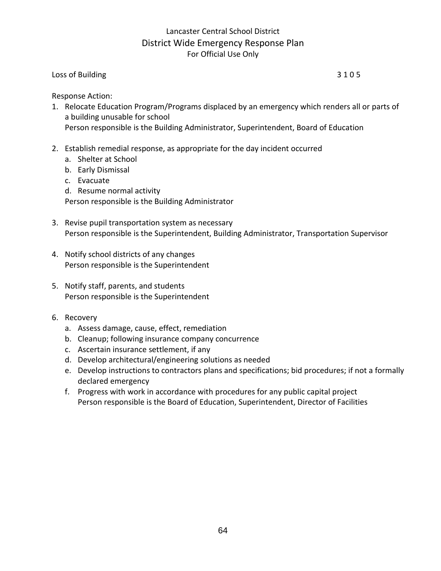#### Loss of Building 3 1 0 5

Response Action:

- 1. Relocate Education Program/Programs displaced by an emergency which renders all or parts of a building unusable for school Person responsible is the Building Administrator, Superintendent, Board of Education
- 2. Establish remedial response, as appropriate for the day incident occurred
	- a. Shelter at School
	- b. Early Dismissal
	- c. Evacuate
	- d. Resume normal activity

- 3. Revise pupil transportation system as necessary Person responsible is the Superintendent, Building Administrator, Transportation Supervisor
- 4. Notify school districts of any changes Person responsible is the Superintendent
- 5. Notify staff, parents, and students Person responsible is the Superintendent
- 6. Recovery
	- a. Assess damage, cause, effect, remediation
	- b. Cleanup; following insurance company concurrence
	- c. Ascertain insurance settlement, if any
	- d. Develop architectural/engineering solutions as needed
	- e. Develop instructions to contractors plans and specifications; bid procedures; if not a formally declared emergency
	- f. Progress with work in accordance with procedures for any public capital project Person responsible is the Board of Education, Superintendent, Director of Facilities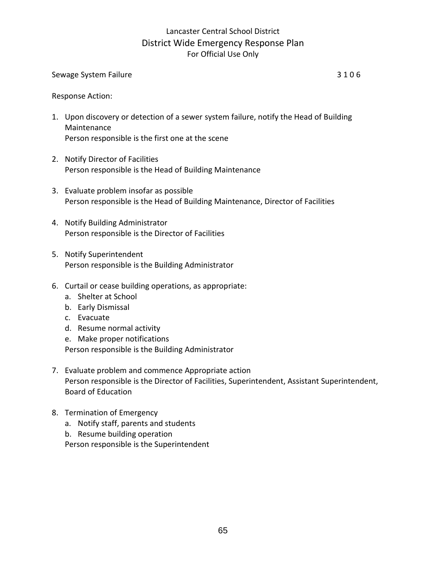#### Sewage System Failure 3 1 0 6

Response Action:

- 1. Upon discovery or detection of a sewer system failure, notify the Head of Building Maintenance Person responsible is the first one at the scene
- 2. Notify Director of Facilities Person responsible is the Head of Building Maintenance
- 3. Evaluate problem insofar as possible Person responsible is the Head of Building Maintenance, Director of Facilities
- 4. Notify Building Administrator Person responsible is the Director of Facilities
- 5. Notify Superintendent Person responsible is the Building Administrator
- 6. Curtail or cease building operations, as appropriate:
	- a. Shelter at School
	- b. Early Dismissal
	- c. Evacuate
	- d. Resume normal activity
	- e. Make proper notifications Person responsible is the Building Administrator
- 7. Evaluate problem and commence Appropriate action Person responsible is the Director of Facilities, Superintendent, Assistant Superintendent, Board of Education
- 8. Termination of Emergency
	- a. Notify staff, parents and students
	- b. Resume building operation

Person responsible is the Superintendent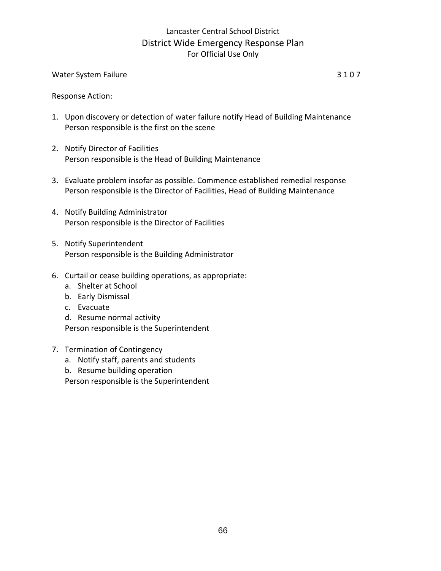#### Water System Failure 3 1 0 7

Response Action:

- 1. Upon discovery or detection of water failure notify Head of Building Maintenance Person responsible is the first on the scene
- 2. Notify Director of Facilities Person responsible is the Head of Building Maintenance
- 3. Evaluate problem insofar as possible. Commence established remedial response Person responsible is the Director of Facilities, Head of Building Maintenance
- 4. Notify Building Administrator Person responsible is the Director of Facilities
- 5. Notify Superintendent Person responsible is the Building Administrator
- 6. Curtail or cease building operations, as appropriate:
	- a. Shelter at School
	- b. Early Dismissal
	- c. Evacuate

d. Resume normal activity Person responsible is the Superintendent

- 7. Termination of Contingency
	- a. Notify staff, parents and students
	- b. Resume building operation

Person responsible is the Superintendent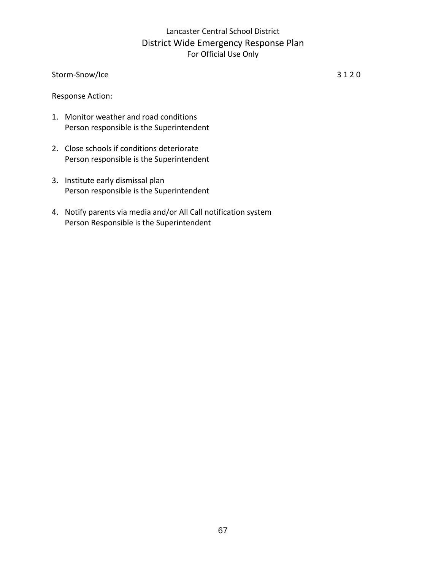Storm-Snow/Ice 3 1 2 0

Response Action:

- 1. Monitor weather and road conditions Person responsible is the Superintendent
- 2. Close schools if conditions deteriorate Person responsible is the Superintendent
- 3. Institute early dismissal plan Person responsible is the Superintendent
- 4. Notify parents via media and/or All Call notification system Person Responsible is the Superintendent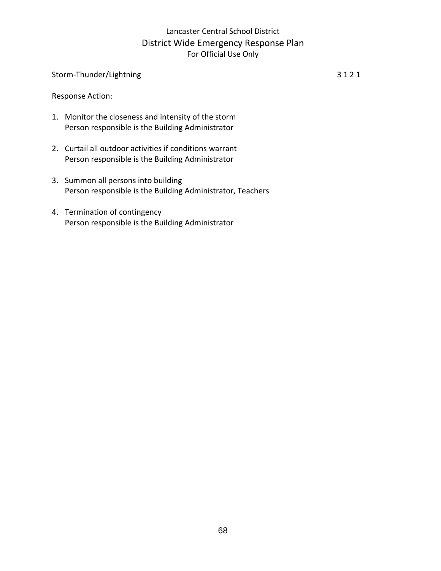### Storm-Thunder/Lightning 3 1 2 1

Response Action:

- 1. Monitor the closeness and intensity of the storm Person responsible is the Building Administrator
- 2. Curtail all outdoor activities if conditions warrant Person responsible is the Building Administrator
- 3. Summon all persons into building Person responsible is the Building Administrator, Teachers
- 4. Termination of contingency Person responsible is the Building Administrator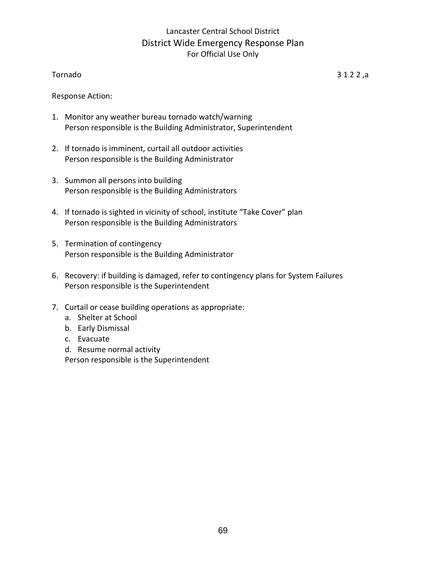#### Tornado 3 1 2 2 ,a

Response Action:

- 1. Monitor any weather bureau tornado watch/warning Person responsible is the Building Administrator, Superintendent
- 2. If tornado is imminent, curtail all outdoor activities Person responsible is the Building Administrator
- 3. Summon all persons into building Person responsible is the Building Administrators
- 4. If tornado is sighted in vicinity of school, institute "Take Cover" plan Person responsible is the Building Administrators
- 5. Termination of contingency Person responsible is the Building Administrator
- 6. Recovery: if building is damaged, refer to contingency plans for System Failures Person responsible is the Superintendent
- 7. Curtail or cease building operations as appropriate:
	- a. Shelter at School
	- b. Early Dismissal
	- c. Evacuate
	- d. Resume normal activity

Person responsible is the Superintendent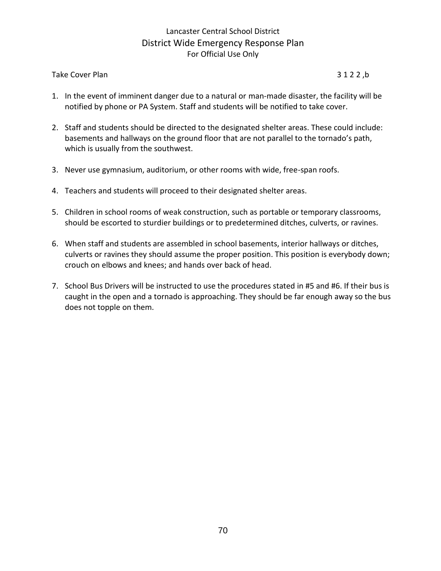#### Take Cover Plan 3 1 2 2, b

- 1. In the event of imminent danger due to a natural or man-made disaster, the facility will be notified by phone or PA System. Staff and students will be notified to take cover.
- 2. Staff and students should be directed to the designated shelter areas. These could include: basements and hallways on the ground floor that are not parallel to the tornado's path, which is usually from the southwest.
- 3. Never use gymnasium, auditorium, or other rooms with wide, free-span roofs.
- 4. Teachers and students will proceed to their designated shelter areas.
- 5. Children in school rooms of weak construction, such as portable or temporary classrooms, should be escorted to sturdier buildings or to predetermined ditches, culverts, or ravines.
- 6. When staff and students are assembled in school basements, interior hallways or ditches, culverts or ravines they should assume the proper position. This position is everybody down; crouch on elbows and knees; and hands over back of head.
- 7. School Bus Drivers will be instructed to use the procedures stated in #5 and #6. If their bus is caught in the open and a tornado is approaching. They should be far enough away so the bus does not topple on them.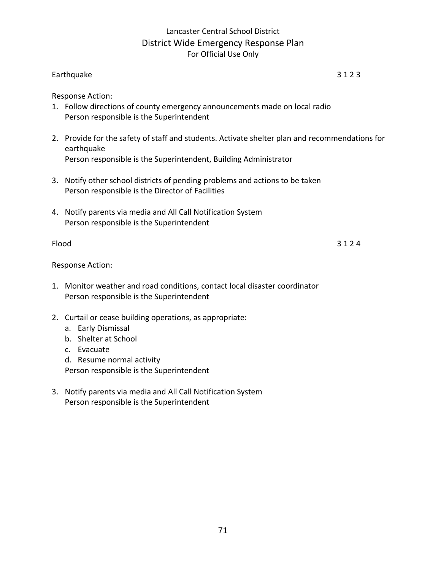### Earthquake 3 1 2 3

Response Action:

- 1. Follow directions of county emergency announcements made on local radio Person responsible is the Superintendent
- 2. Provide for the safety of staff and students. Activate shelter plan and recommendations for earthquake Person responsible is the Superintendent, Building Administrator
- 3. Notify other school districts of pending problems and actions to be taken Person responsible is the Director of Facilities
- 4. Notify parents via media and All Call Notification System Person responsible is the Superintendent

 $Flood$  3 1 2 4

Response Action:

- 1. Monitor weather and road conditions, contact local disaster coordinator Person responsible is the Superintendent
- 2. Curtail or cease building operations, as appropriate:
	- a. Early Dismissal
	- b. Shelter at School
	- c. Evacuate
	- d. Resume normal activity

Person responsible is the Superintendent

3. Notify parents via media and All Call Notification System Person responsible is the Superintendent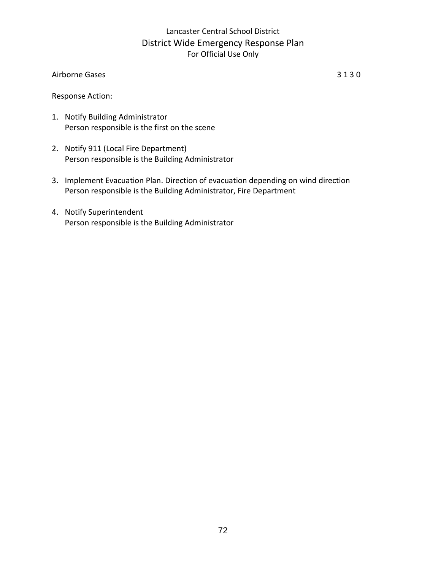#### Airborne Gases 3 1 3 0

Response Action:

- 1. Notify Building Administrator Person responsible is the first on the scene
- 2. Notify 911 (Local Fire Department) Person responsible is the Building Administrator
- 3. Implement Evacuation Plan. Direction of evacuation depending on wind direction Person responsible is the Building Administrator, Fire Department
- 4. Notify Superintendent Person responsible is the Building Administrator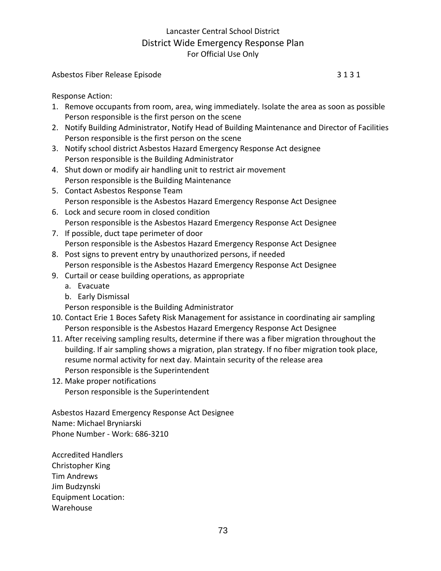#### Asbestos Fiber Release Episode 3 1 3 1

Response Action:

- 1. Remove occupants from room, area, wing immediately. Isolate the area as soon as possible Person responsible is the first person on the scene
- 2. Notify Building Administrator, Notify Head of Building Maintenance and Director of Facilities Person responsible is the first person on the scene
- 3. Notify school district Asbestos Hazard Emergency Response Act designee Person responsible is the Building Administrator
- 4. Shut down or modify air handling unit to restrict air movement Person responsible is the Building Maintenance
- 5. Contact Asbestos Response Team Person responsible is the Asbestos Hazard Emergency Response Act Designee
- 6. Lock and secure room in closed condition Person responsible is the Asbestos Hazard Emergency Response Act Designee
- 7. If possible, duct tape perimeter of door Person responsible is the Asbestos Hazard Emergency Response Act Designee
- 8. Post signs to prevent entry by unauthorized persons, if needed Person responsible is the Asbestos Hazard Emergency Response Act Designee
- 9. Curtail or cease building operations, as appropriate
	- a. Evacuate
	- b. Early Dismissal
	- Person responsible is the Building Administrator
- 10. Contact Erie 1 Boces Safety Risk Management for assistance in coordinating air sampling Person responsible is the Asbestos Hazard Emergency Response Act Designee
- 11. After receiving sampling results, determine if there was a fiber migration throughout the building. If air sampling shows a migration, plan strategy. If no fiber migration took place, resume normal activity for next day. Maintain security of the release area Person responsible is the Superintendent
- 12. Make proper notifications Person responsible is the Superintendent

Asbestos Hazard Emergency Response Act Designee Name: Michael Bryniarski Phone Number - Work: 686-3210

Accredited Handlers Christopher King Tim Andrews Jim Budzynski Equipment Location: Warehouse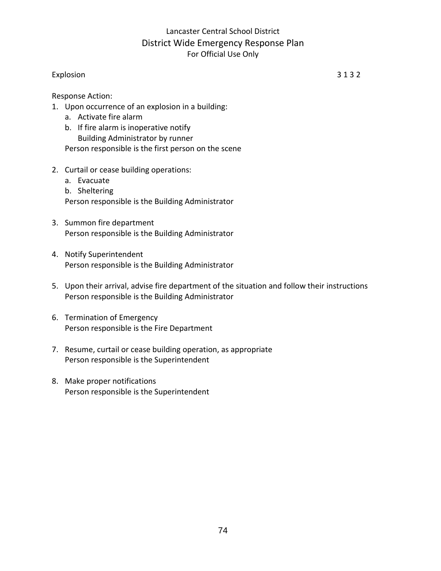#### Explosion 3 1 3 2

Response Action:

- 1. Upon occurrence of an explosion in a building:
	- a. Activate fire alarm
	- b. If fire alarm is inoperative notify Building Administrator by runner Person responsible is the first person on the scene
- 2. Curtail or cease building operations:
	- a. Evacuate
	- b. Sheltering

Person responsible is the Building Administrator

- 3. Summon fire department Person responsible is the Building Administrator
- 4. Notify Superintendent Person responsible is the Building Administrator
- 5. Upon their arrival, advise fire department of the situation and follow their instructions Person responsible is the Building Administrator
- 6. Termination of Emergency Person responsible is the Fire Department
- 7. Resume, curtail or cease building operation, as appropriate Person responsible is the Superintendent
- 8. Make proper notifications Person responsible is the Superintendent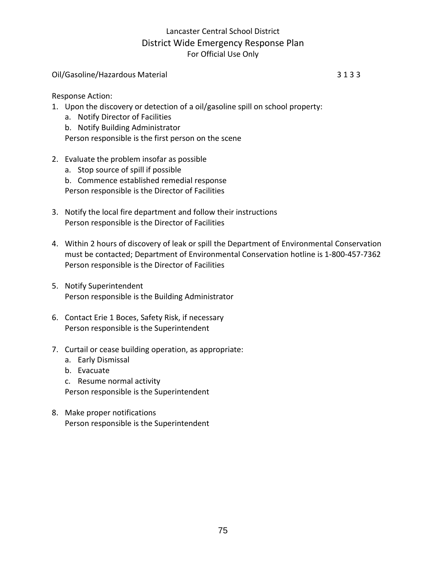#### Oil/Gasoline/Hazardous Material 3 1 3 3

Response Action:

- 1. Upon the discovery or detection of a oil/gasoline spill on school property:
	- a. Notify Director of Facilities
	- b. Notify Building Administrator
	- Person responsible is the first person on the scene
- 2. Evaluate the problem insofar as possible
	- a. Stop source of spill if possible
	- b. Commence established remedial response
	- Person responsible is the Director of Facilities
- 3. Notify the local fire department and follow their instructions Person responsible is the Director of Facilities
- 4. Within 2 hours of discovery of leak or spill the Department of Environmental Conservation must be contacted; Department of Environmental Conservation hotline is 1-800-457-7362 Person responsible is the Director of Facilities
- 5. Notify Superintendent Person responsible is the Building Administrator
- 6. Contact Erie 1 Boces, Safety Risk, if necessary Person responsible is the Superintendent
- 7. Curtail or cease building operation, as appropriate:
	- a. Early Dismissal
	- b. Evacuate
	- c. Resume normal activity

Person responsible is the Superintendent

8. Make proper notifications Person responsible is the Superintendent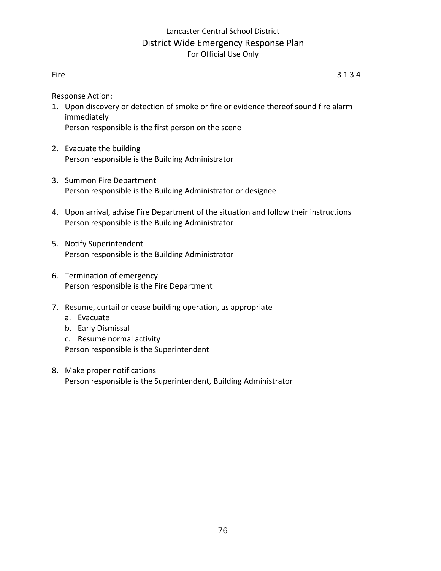Fire  $\begin{array}{ccc} 3 & 1 & 3 & 4 \end{array}$ 

Response Action:

- 1. Upon discovery or detection of smoke or fire or evidence thereof sound fire alarm immediately Person responsible is the first person on the scene
- 2. Evacuate the building Person responsible is the Building Administrator
- 3. Summon Fire Department Person responsible is the Building Administrator or designee
- 4. Upon arrival, advise Fire Department of the situation and follow their instructions Person responsible is the Building Administrator
- 5. Notify Superintendent Person responsible is the Building Administrator
- 6. Termination of emergency Person responsible is the Fire Department
- 7. Resume, curtail or cease building operation, as appropriate
	- a. Evacuate
	- b. Early Dismissal
	- c. Resume normal activity Person responsible is the Superintendent
- 8. Make proper notifications Person responsible is the Superintendent, Building Administrator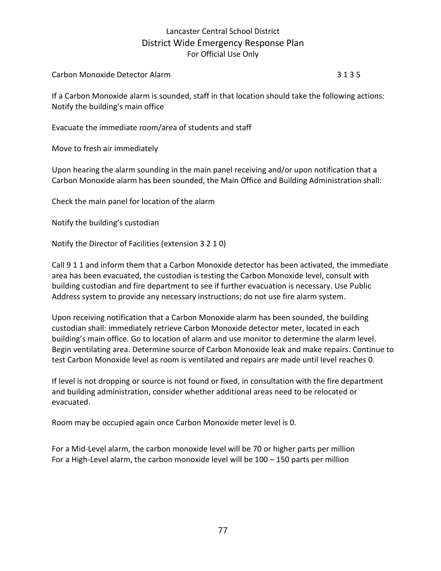Carbon Monoxide Detector Alarm 3 1 3 5

If a Carbon Monoxide alarm is sounded, staff in that location should take the following actions: Notify the building's main office

Evacuate the immediate room/area of students and staff

Move to fresh air immediately

Upon hearing the alarm sounding in the main panel receiving and/or upon notification that a Carbon Monoxide alarm has been sounded, the Main Office and Building Administration shall:

Check the main panel for location of the alarm

Notify the building's custodian

Notify the Director of Facilities (extension 3 2 1 0)

Call 9 1 1 and inform them that a Carbon Monoxide detector has been activated, the immediate area has been evacuated, the custodian is testing the Carbon Monoxide level, consult with building custodian and fire department to see if further evacuation is necessary. Use Public Address system to provide any necessary instructions; do not use fire alarm system.

Upon receiving notification that a Carbon Monoxide alarm has been sounded, the building custodian shall: immediately retrieve Carbon Monoxide detector meter, located in each building's main office. Go to location of alarm and use monitor to determine the alarm level. Begin ventilating area. Determine source of Carbon Monoxide leak and make repairs. Continue to test Carbon Monoxide level as room is ventilated and repairs are made until level reaches 0.

If level is not dropping or source is not found or fixed, in consultation with the fire department and building administration, consider whether additional areas need to be relocated or evacuated.

Room may be occupied again once Carbon Monoxide meter level is 0.

For a Mid-Level alarm, the carbon monoxide level will be 70 or higher parts per million For a High-Level alarm, the carbon monoxide level will be 100 – 150 parts per million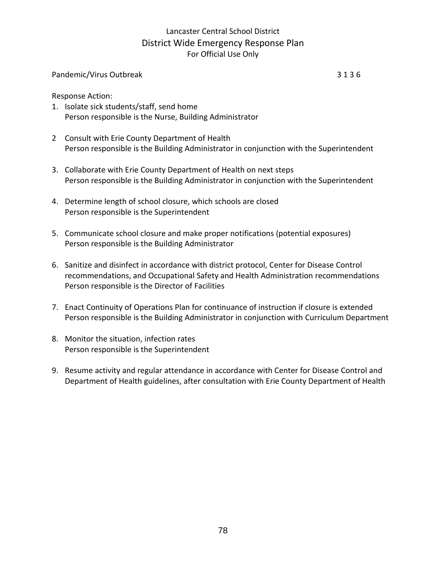#### Pandemic/Virus Outbreak 3 1 3 6

Response Action:

- 1. Isolate sick students/staff, send home Person responsible is the Nurse, Building Administrator
- 2 Consult with Erie County Department of Health Person responsible is the Building Administrator in conjunction with the Superintendent
- 3. Collaborate with Erie County Department of Health on next steps Person responsible is the Building Administrator in conjunction with the Superintendent
- 4. Determine length of school closure, which schools are closed Person responsible is the Superintendent
- 5. Communicate school closure and make proper notifications (potential exposures) Person responsible is the Building Administrator
- 6. Sanitize and disinfect in accordance with district protocol, Center for Disease Control recommendations, and Occupational Safety and Health Administration recommendations Person responsible is the Director of Facilities
- 7. Enact Continuity of Operations Plan for continuance of instruction if closure is extended Person responsible is the Building Administrator in conjunction with Curriculum Department
- 8. Monitor the situation, infection rates Person responsible is the Superintendent
- 9. Resume activity and regular attendance in accordance with Center for Disease Control and Department of Health guidelines, after consultation with Erie County Department of Health

78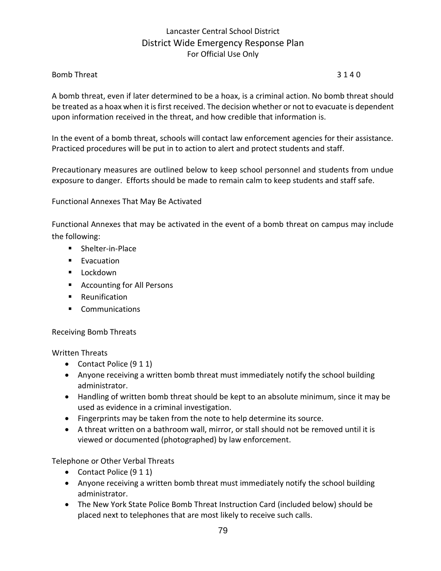#### Bomb Threat 3 1 4 0

A bomb threat, even if later determined to be a hoax, is a criminal action. No bomb threat should be treated as a hoax when it is first received. The decision whether or not to evacuate is dependent upon information received in the threat, and how credible that information is.

In the event of a bomb threat, schools will contact law enforcement agencies for their assistance. Practiced procedures will be put in to action to alert and protect students and staff.

Precautionary measures are outlined below to keep school personnel and students from undue exposure to danger. Efforts should be made to remain calm to keep students and staff safe.

Functional Annexes That May Be Activated

Functional Annexes that may be activated in the event of a bomb threat on campus may include the following:

- Shelter-in-Place
- Evacuation
- Lockdown
- Accounting for All Persons
- Reunification
- **Communications**

#### Receiving Bomb Threats

#### Written Threats

- Contact Police (9 1 1)
- Anyone receiving a written bomb threat must immediately notify the school building administrator.
- Handling of written bomb threat should be kept to an absolute minimum, since it may be used as evidence in a criminal investigation.
- Fingerprints may be taken from the note to help determine its source.
- A threat written on a bathroom wall, mirror, or stall should not be removed until it is viewed or documented (photographed) by law enforcement.

Telephone or Other Verbal Threats

- Contact Police (9 1 1)
- Anyone receiving a written bomb threat must immediately notify the school building administrator.
- The New York State Police Bomb Threat Instruction Card (included below) should be placed next to telephones that are most likely to receive such calls.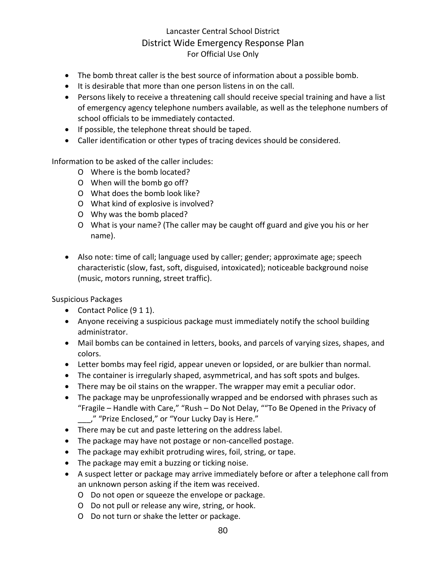- The bomb threat caller is the best source of information about a possible bomb.
- It is desirable that more than one person listens in on the call.
- Persons likely to receive a threatening call should receive special training and have a list of emergency agency telephone numbers available, as well as the telephone numbers of school officials to be immediately contacted.
- If possible, the telephone threat should be taped.
- Caller identification or other types of tracing devices should be considered.

Information to be asked of the caller includes:

- O Where is the bomb located?
- O When will the bomb go off?
- O What does the bomb look like?
- O What kind of explosive is involved?
- O Why was the bomb placed?
- O What is your name? (The caller may be caught off guard and give you his or her name).
- Also note: time of call; language used by caller; gender; approximate age; speech characteristic (slow, fast, soft, disguised, intoxicated); noticeable background noise (music, motors running, street traffic).

Suspicious Packages

- Contact Police (9 1 1).
- Anyone receiving a suspicious package must immediately notify the school building administrator.
- Mail bombs can be contained in letters, books, and parcels of varying sizes, shapes, and colors.
- Letter bombs may feel rigid, appear uneven or lopsided, or are bulkier than normal.
- The container is irregularly shaped, asymmetrical, and has soft spots and bulges.
- There may be oil stains on the wrapper. The wrapper may emit a peculiar odor.
- The package may be unprofessionally wrapped and be endorsed with phrases such as "Fragile – Handle with Care," "Rush – Do Not Delay, ""To Be Opened in the Privacy of \_\_\_," "Prize Enclosed," or "Your Lucky Day is Here."
- There may be cut and paste lettering on the address label.
- The package may have not postage or non-cancelled postage.
- The package may exhibit protruding wires, foil, string, or tape.
- The package may emit a buzzing or ticking noise.
- A suspect letter or package may arrive immediately before or after a telephone call from an unknown person asking if the item was received.
	- O Do not open or squeeze the envelope or package.
	- O Do not pull or release any wire, string, or hook.
	- O Do not turn or shake the letter or package.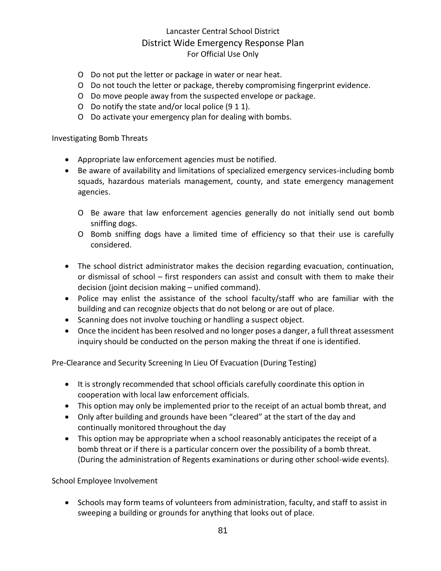- O Do not put the letter or package in water or near heat.
- O Do not touch the letter or package, thereby compromising fingerprint evidence.
- O Do move people away from the suspected envelope or package.
- O Do notify the state and/or local police (9 1 1).
- O Do activate your emergency plan for dealing with bombs.

#### Investigating Bomb Threats

- Appropriate law enforcement agencies must be notified.
- Be aware of availability and limitations of specialized emergency services-including bomb squads, hazardous materials management, county, and state emergency management agencies.
	- O Be aware that law enforcement agencies generally do not initially send out bomb sniffing dogs.
	- O Bomb sniffing dogs have a limited time of efficiency so that their use is carefully considered.
- The school district administrator makes the decision regarding evacuation, continuation, or dismissal of school – first responders can assist and consult with them to make their decision (joint decision making – unified command).
- Police may enlist the assistance of the school faculty/staff who are familiar with the building and can recognize objects that do not belong or are out of place.
- Scanning does not involve touching or handling a suspect object.
- Once the incident has been resolved and no longer poses a danger, a full threat assessment inquiry should be conducted on the person making the threat if one is identified.

Pre-Clearance and Security Screening In Lieu Of Evacuation (During Testing)

- It is strongly recommended that school officials carefully coordinate this option in cooperation with local law enforcement officials.
- This option may only be implemented prior to the receipt of an actual bomb threat, and
- Only after building and grounds have been "cleared" at the start of the day and continually monitored throughout the day
- This option may be appropriate when a school reasonably anticipates the receipt of a bomb threat or if there is a particular concern over the possibility of a bomb threat. (During the administration of Regents examinations or during other school-wide events).

#### School Employee Involvement

• Schools may form teams of volunteers from administration, faculty, and staff to assist in sweeping a building or grounds for anything that looks out of place.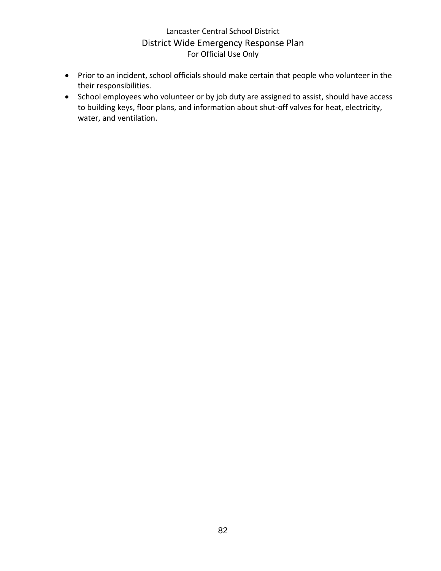- Prior to an incident, school officials should make certain that people who volunteer in the their responsibilities.
- School employees who volunteer or by job duty are assigned to assist, should have access to building keys, floor plans, and information about shut-off valves for heat, electricity, water, and ventilation.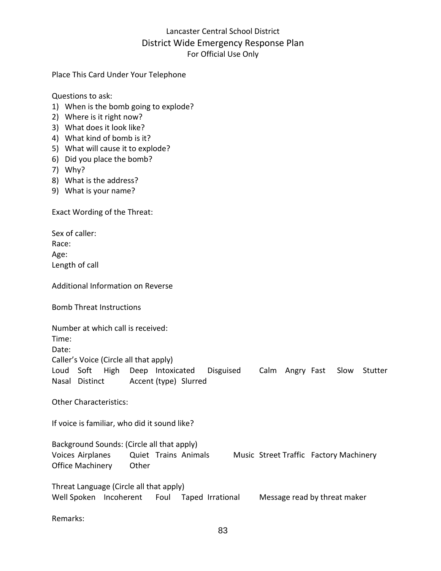Place This Card Under Your Telephone

Questions to ask:

- 1) When is the bomb going to explode?
- 2) Where is it right now?
- 3) What does it look like?
- 4) What kind of bomb is it?
- 5) What will cause it to explode?
- 6) Did you place the bomb?
- 7) Why?
- 8) What is the address?
- 9) What is your name?

Exact Wording of the Threat:

Sex of caller: Race: Age: Length of call

Additional Information on Reverse

Bomb Threat Instructions

Number at which call is received: Time: Date: Caller's Voice (Circle all that apply) Loud Soft High Deep Intoxicated Disguised Calm Angry Fast Slow Stutter Nasal Distinct Accent (type) Slurred

Other Characteristics:

If voice is familiar, who did it sound like?

Background Sounds: (Circle all that apply) Voices Airplanes Quiet Trains Animals Music Street Traffic Factory Machinery Office Machinery Other

Threat Language (Circle all that apply) Well Spoken Incoherent Foul Taped Irrational Message read by threat maker

Remarks: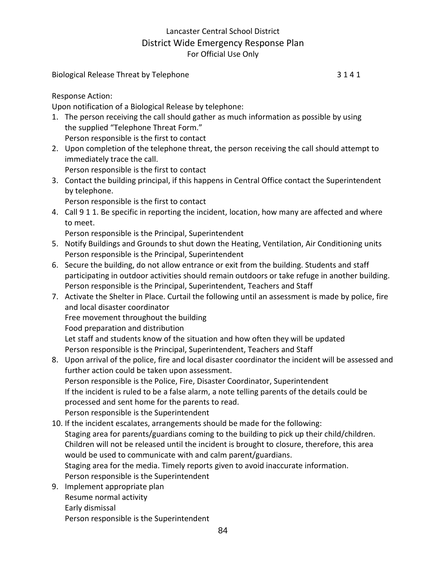Biological Release Threat by Telephone 3 1 4 1

Response Action:

Upon notification of a Biological Release by telephone:

- 1. The person receiving the call should gather as much information as possible by using the supplied "Telephone Threat Form." Person responsible is the first to contact
- 2. Upon completion of the telephone threat, the person receiving the call should attempt to immediately trace the call.

Person responsible is the first to contact

3. Contact the building principal, if this happens in Central Office contact the Superintendent by telephone.

Person responsible is the first to contact

4. Call 9 1 1. Be specific in reporting the incident, location, how many are affected and where to meet.

Person responsible is the Principal, Superintendent

- 5. Notify Buildings and Grounds to shut down the Heating, Ventilation, Air Conditioning units Person responsible is the Principal, Superintendent
- 6. Secure the building, do not allow entrance or exit from the building. Students and staff participating in outdoor activities should remain outdoors or take refuge in another building. Person responsible is the Principal, Superintendent, Teachers and Staff
- 7. Activate the Shelter in Place. Curtail the following until an assessment is made by police, fire and local disaster coordinator Free movement throughout the building Food preparation and distribution Let staff and students know of the situation and how often they will be updated Person responsible is the Principal, Superintendent, Teachers and Staff
- 8. Upon arrival of the police, fire and local disaster coordinator the incident will be assessed and further action could be taken upon assessment. Person responsible is the Police, Fire, Disaster Coordinator, Superintendent If the incident is ruled to be a false alarm, a note telling parents of the details could be processed and sent home for the parents to read. Person responsible is the Superintendent
- 10. If the incident escalates, arrangements should be made for the following: Staging area for parents/guardians coming to the building to pick up their child/children. Children will not be released until the incident is brought to closure, therefore, this area would be used to communicate with and calm parent/guardians. Staging area for the media. Timely reports given to avoid inaccurate information. Person responsible is the Superintendent
- 9. Implement appropriate plan Resume normal activity Early dismissal Person responsible is the Superintendent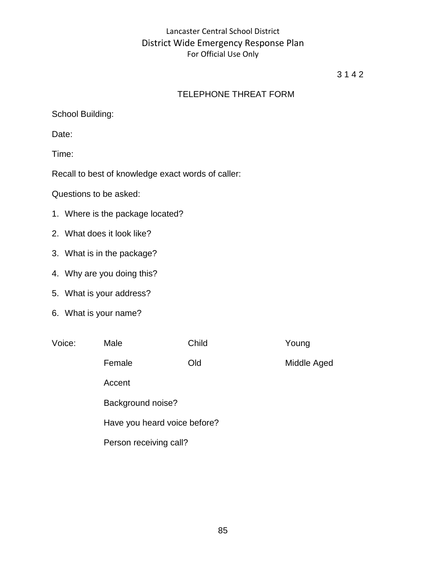#### 3 1 4 2

### TELEPHONE THREAT FORM

School Building:

Date:

Time:

Recall to best of knowledge exact words of caller:

Questions to be asked:

- 1. Where is the package located?
- 2. What does it look like?
- 3. What is in the package?
- 4. Why are you doing this?
- 5. What is your address?
- 6. What is your name?

| Voice: | Male                         | Child | Young       |  |  |
|--------|------------------------------|-------|-------------|--|--|
|        | Female                       | Old   | Middle Aged |  |  |
|        | Accent                       |       |             |  |  |
|        | Background noise?            |       |             |  |  |
|        | Have you heard voice before? |       |             |  |  |
|        | Person receiving call?       |       |             |  |  |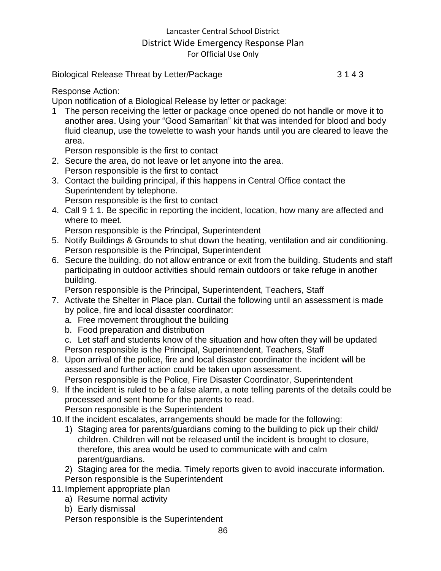Biological Release Threat by Letter/Package 3 1 4 3

#### Response Action:

Upon notification of a Biological Release by letter or package:

1 The person receiving the letter or package once opened do not handle or move it to another area. Using your "Good Samaritan" kit that was intended for blood and body fluid cleanup, use the towelette to wash your hands until you are cleared to leave the area.

Person responsible is the first to contact

- 2. Secure the area, do not leave or let anyone into the area. Person responsible is the first to contact
- 3. Contact the building principal, if this happens in Central Office contact the Superintendent by telephone.

Person responsible is the first to contact

4. Call 9 1 1. Be specific in reporting the incident, location, how many are affected and where to meet.

Person responsible is the Principal, Superintendent

- 5. Notify Buildings & Grounds to shut down the heating, ventilation and air conditioning. Person responsible is the Principal, Superintendent
- 6. Secure the building, do not allow entrance or exit from the building. Students and staff participating in outdoor activities should remain outdoors or take refuge in another building.

Person responsible is the Principal, Superintendent, Teachers, Staff

- 7. Activate the Shelter in Place plan. Curtail the following until an assessment is made by police, fire and local disaster coordinator:
	- a. Free movement throughout the building
	- b. Food preparation and distribution
	- c. Let staff and students know of the situation and how often they will be updated Person responsible is the Principal, Superintendent, Teachers, Staff
- 8. Upon arrival of the police, fire and local disaster coordinator the incident will be assessed and further action could be taken upon assessment. Person responsible is the Police, Fire Disaster Coordinator, Superintendent
- 9. If the incident is ruled to be a false alarm, a note telling parents of the details could be processed and sent home for the parents to read. Person responsible is the Superintendent

- 10.If the incident escalates, arrangements should be made for the following:
	- 1) Staging area for parents/guardians coming to the building to pick up their child/ children. Children will not be released until the incident is brought to closure, therefore, this area would be used to communicate with and calm parent/guardians.
	- 2) Staging area for the media. Timely reports given to avoid inaccurate information. Person responsible is the Superintendent
- 11.Implement appropriate plan
	- a) Resume normal activity
	- b) Early dismissal

Person responsible is the Superintendent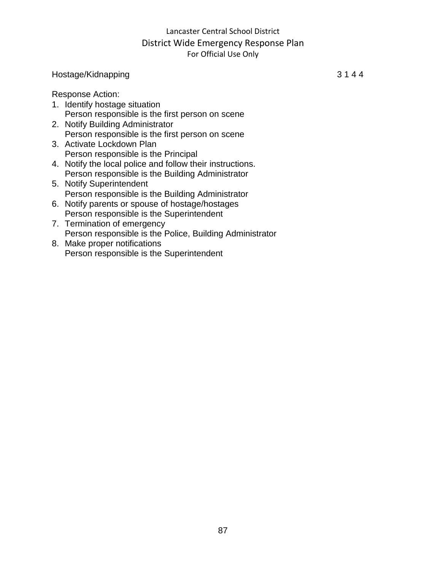#### Hostage/Kidnapping 3 1 4 4

Response Action:

- 1. Identify hostage situation Person responsible is the first person on scene
- 2. Notify Building Administrator Person responsible is the first person on scene
- 3. Activate Lockdown Plan Person responsible is the Principal
- 4. Notify the local police and follow their instructions. Person responsible is the Building Administrator
- 5. Notify Superintendent Person responsible is the Building Administrator
- 6. Notify parents or spouse of hostage/hostages Person responsible is the Superintendent
- 7. Termination of emergency Person responsible is the Police, Building Administrator
- 8. Make proper notifications Person responsible is the Superintendent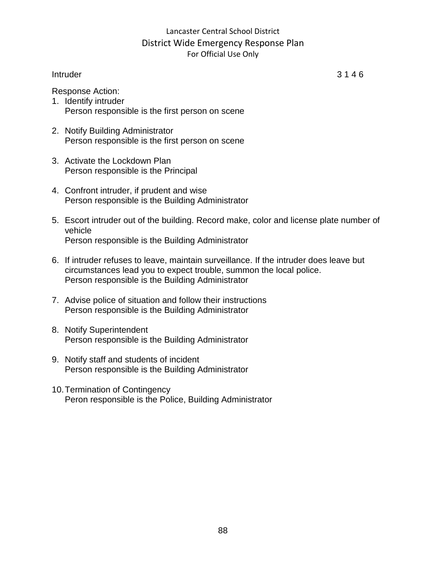#### Intruder 3 1 4 6

- Response Action:
- 1. Identify intruder Person responsible is the first person on scene
- 2. Notify Building Administrator Person responsible is the first person on scene
- 3. Activate the Lockdown Plan Person responsible is the Principal
- 4. Confront intruder, if prudent and wise Person responsible is the Building Administrator
- 5. Escort intruder out of the building. Record make, color and license plate number of vehicle Person responsible is the Building Administrator
- 6. If intruder refuses to leave, maintain surveillance. If the intruder does leave but circumstances lead you to expect trouble, summon the local police. Person responsible is the Building Administrator
- 7. Advise police of situation and follow their instructions Person responsible is the Building Administrator
- 8. Notify Superintendent Person responsible is the Building Administrator
- 9. Notify staff and students of incident Person responsible is the Building Administrator
- 10.Termination of Contingency Peron responsible is the Police, Building Administrator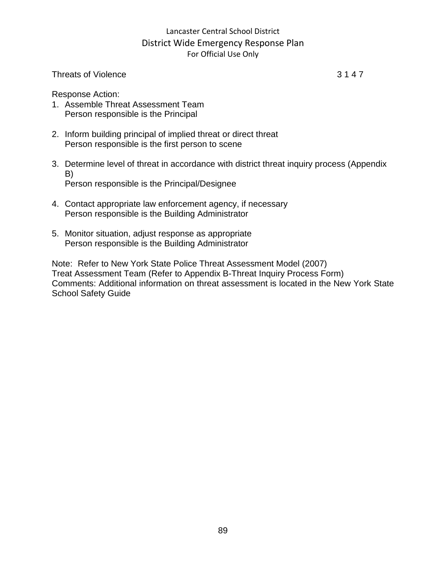#### Threats of Violence 3 1 4 7

Response Action:

- 1. Assemble Threat Assessment Team Person responsible is the Principal
- 2. Inform building principal of implied threat or direct threat Person responsible is the first person to scene
- 3. Determine level of threat in accordance with district threat inquiry process (Appendix B) Person responsible is the Principal/Designee

4. Contact appropriate law enforcement agency, if necessary Person responsible is the Building Administrator

5. Monitor situation, adjust response as appropriate Person responsible is the Building Administrator

Note: Refer to New York State Police Threat Assessment Model (2007) Treat Assessment Team (Refer to Appendix B-Threat Inquiry Process Form) Comments: Additional information on threat assessment is located in the New York State School Safety Guide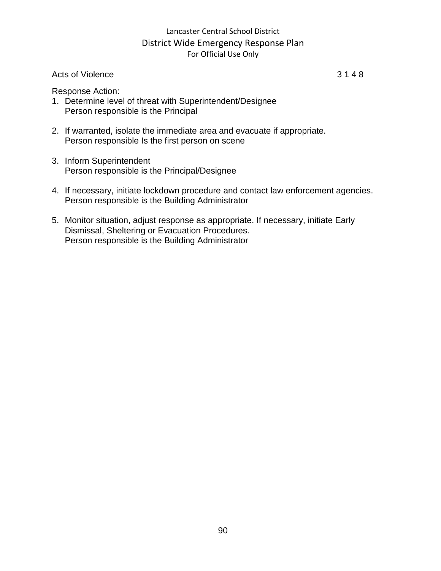#### Acts of Violence 3 1 4 8

Response Action:

- 1. Determine level of threat with Superintendent/Designee Person responsible is the Principal
- 2. If warranted, isolate the immediate area and evacuate if appropriate. Person responsible Is the first person on scene
- 3. Inform Superintendent Person responsible is the Principal/Designee
- 4. If necessary, initiate lockdown procedure and contact law enforcement agencies. Person responsible is the Building Administrator
- 5. Monitor situation, adjust response as appropriate. If necessary, initiate Early Dismissal, Sheltering or Evacuation Procedures. Person responsible is the Building Administrator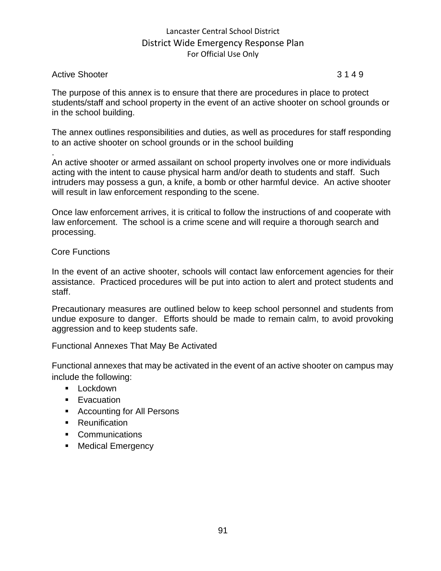#### Active Shooter 3 1 4 9

.

The purpose of this annex is to ensure that there are procedures in place to protect students/staff and school property in the event of an active shooter on school grounds or in the school building.

The annex outlines responsibilities and duties, as well as procedures for staff responding to an active shooter on school grounds or in the school building

An active shooter or armed assailant on school property involves one or more individuals acting with the intent to cause physical harm and/or death to students and staff. Such intruders may possess a gun, a knife, a bomb or other harmful device. An active shooter will result in law enforcement responding to the scene.

Once law enforcement arrives, it is critical to follow the instructions of and cooperate with law enforcement. The school is a crime scene and will require a thorough search and processing.

#### Core Functions

In the event of an active shooter, schools will contact law enforcement agencies for their assistance. Practiced procedures will be put into action to alert and protect students and staff.

Precautionary measures are outlined below to keep school personnel and students from undue exposure to danger. Efforts should be made to remain calm, to avoid provoking aggression and to keep students safe.

Functional Annexes That May Be Activated

Functional annexes that may be activated in the event of an active shooter on campus may include the following:

- Lockdown
- Evacuation
- Accounting for All Persons
- Reunification
- Communications
- Medical Emergency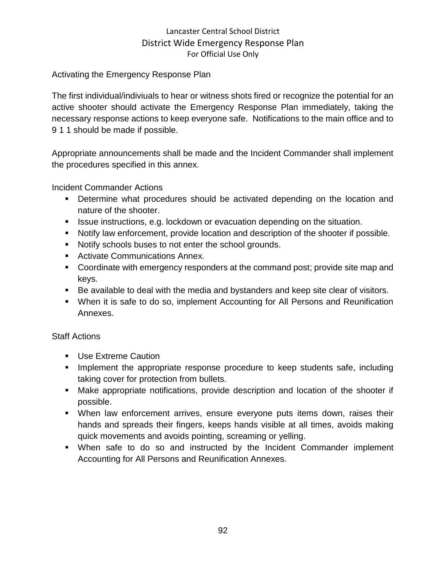#### Activating the Emergency Response Plan

The first individual/indiviuals to hear or witness shots fired or recognize the potential for an active shooter should activate the Emergency Response Plan immediately, taking the necessary response actions to keep everyone safe. Notifications to the main office and to 9 1 1 should be made if possible.

Appropriate announcements shall be made and the Incident Commander shall implement the procedures specified in this annex.

Incident Commander Actions

- Determine what procedures should be activated depending on the location and nature of the shooter.
- **EXEL ISSUE instructions, e.g. lockdown or evacuation depending on the situation.**
- Notify law enforcement, provide location and description of the shooter if possible.
- Notify schools buses to not enter the school grounds.
- Activate Communications Annex.
- Coordinate with emergency responders at the command post; provide site map and keys.
- Be available to deal with the media and bystanders and keep site clear of visitors.
- When it is safe to do so, implement Accounting for All Persons and Reunification Annexes.

#### Staff Actions

- Use Extreme Caution
- Implement the appropriate response procedure to keep students safe, including taking cover for protection from bullets.
- Make appropriate notifications, provide description and location of the shooter if possible.
- **•** When law enforcement arrives, ensure everyone puts items down, raises their hands and spreads their fingers, keeps hands visible at all times, avoids making quick movements and avoids pointing, screaming or yelling.
- When safe to do so and instructed by the Incident Commander implement Accounting for All Persons and Reunification Annexes.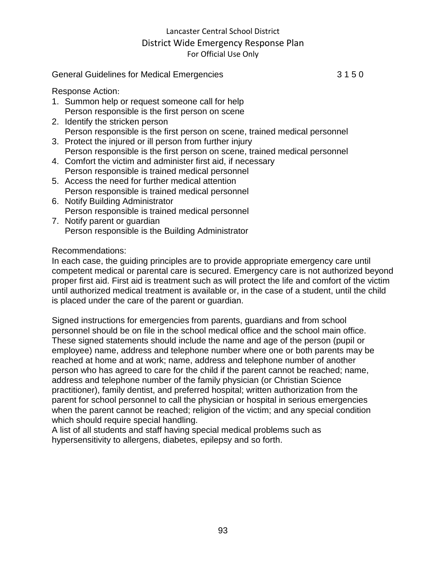#### General Guidelines for Medical Emergencies 3 1 5 0

Response Action:

- 1. Summon help or request someone call for help Person responsible is the first person on scene
- 2. Identify the stricken person Person responsible is the first person on scene, trained medical personnel
- 3. Protect the injured or ill person from further injury Person responsible is the first person on scene, trained medical personnel
- 4. Comfort the victim and administer first aid, if necessary Person responsible is trained medical personnel
- 5. Access the need for further medical attention Person responsible is trained medical personnel
- 6. Notify Building Administrator Person responsible is trained medical personnel
- 7. Notify parent or guardian Person responsible is the Building Administrator

#### Recommendations:

In each case, the guiding principles are to provide appropriate emergency care until competent medical or parental care is secured. Emergency care is not authorized beyond proper first aid. First aid is treatment such as will protect the life and comfort of the victim until authorized medical treatment is available or, in the case of a student, until the child is placed under the care of the parent or guardian.

Signed instructions for emergencies from parents, guardians and from school personnel should be on file in the school medical office and the school main office. These signed statements should include the name and age of the person (pupil or employee) name, address and telephone number where one or both parents may be reached at home and at work; name, address and telephone number of another person who has agreed to care for the child if the parent cannot be reached; name, address and telephone number of the family physician (or Christian Science practitioner), family dentist, and preferred hospital; written authorization from the parent for school personnel to call the physician or hospital in serious emergencies when the parent cannot be reached; religion of the victim; and any special condition which should require special handling.

A list of all students and staff having special medical problems such as hypersensitivity to allergens, diabetes, epilepsy and so forth.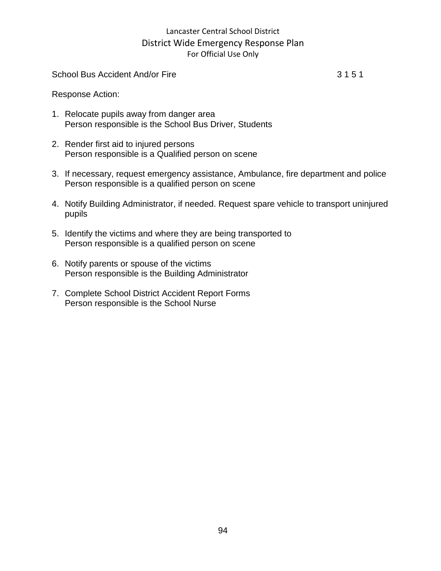School Bus Accident And/or Fire 3 1 5 1

Response Action:

- 1. Relocate pupils away from danger area Person responsible is the School Bus Driver, Students
- 2. Render first aid to injured persons Person responsible is a Qualified person on scene
- 3. If necessary, request emergency assistance, Ambulance, fire department and police Person responsible is a qualified person on scene
- 4. Notify Building Administrator, if needed. Request spare vehicle to transport uninjured pupils
- 5. Identify the victims and where they are being transported to Person responsible is a qualified person on scene
- 6. Notify parents or spouse of the victims Person responsible is the Building Administrator
- 7. Complete School District Accident Report Forms Person responsible is the School Nurse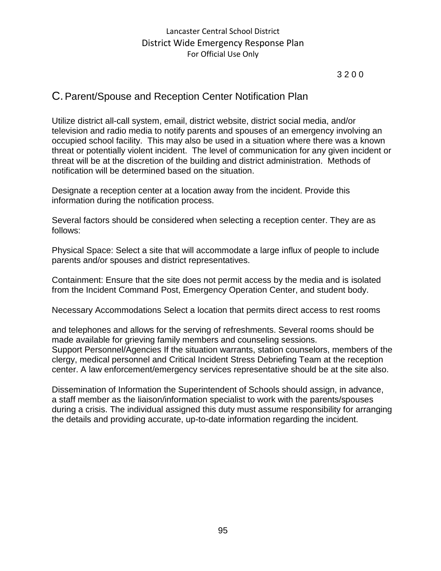3 2 0 0

# C.Parent/Spouse and Reception Center Notification Plan

Utilize district all-call system, email, district website, district social media, and/or television and radio media to notify parents and spouses of an emergency involving an occupied school facility. This may also be used in a situation where there was a known threat or potentially violent incident. The level of communication for any given incident or threat will be at the discretion of the building and district administration. Methods of notification will be determined based on the situation.

Designate a reception center at a location away from the incident. Provide this information during the notification process.

Several factors should be considered when selecting a reception center. They are as follows:

Physical Space: Select a site that will accommodate a large influx of people to include parents and/or spouses and district representatives.

Containment: Ensure that the site does not permit access by the media and is isolated from the Incident Command Post, Emergency Operation Center, and student body.

Necessary Accommodations Select a location that permits direct access to rest rooms

and telephones and allows for the serving of refreshments. Several rooms should be made available for grieving family members and counseling sessions. Support Personnel/Agencies If the situation warrants, station counselors, members of the clergy, medical personnel and Critical Incident Stress Debriefing Team at the reception center. A law enforcement/emergency services representative should be at the site also.

Dissemination of Information the Superintendent of Schools should assign, in advance, a staff member as the liaison/information specialist to work with the parents/spouses during a crisis. The individual assigned this duty must assume responsibility for arranging the details and providing accurate, up-to-date information regarding the incident.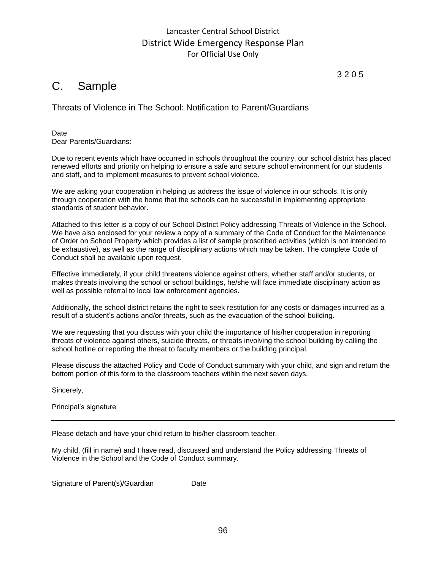# C. Sample

Threats of Violence in The School: Notification to Parent/Guardians

**Date** Dear Parents/Guardians:

Due to recent events which have occurred in schools throughout the country, our school district has placed renewed efforts and priority on helping to ensure a safe and secure school environment for our students and staff, and to implement measures to prevent school violence.

We are asking your cooperation in helping us address the issue of violence in our schools. It is only through cooperation with the home that the schools can be successful in implementing appropriate standards of student behavior.

Attached to this letter is a copy of our School District Policy addressing Threats of Violence in the School. We have also enclosed for your review a copy of a summary of the Code of Conduct for the Maintenance of Order on School Property which provides a list of sample proscribed activities (which is not intended to be exhaustive), as well as the range of disciplinary actions which may be taken. The complete Code of Conduct shall be available upon request.

Effective immediately, if your child threatens violence against others, whether staff and/or students, or makes threats involving the school or school buildings, he/she will face immediate disciplinary action as well as possible referral to local law enforcement agencies.

Additionally, the school district retains the right to seek restitution for any costs or damages incurred as a result of a student's actions and/or threats, such as the evacuation of the school building.

We are requesting that you discuss with your child the importance of his/her cooperation in reporting threats of violence against others, suicide threats, or threats involving the school building by calling the school hotline or reporting the threat to faculty members or the building principal.

Please discuss the attached Policy and Code of Conduct summary with your child, and sign and return the bottom portion of this form to the classroom teachers within the next seven days.

Sincerely,

Principal's signature

Please detach and have your child return to his/her classroom teacher.

My child, (fill in name) and I have read, discussed and understand the Policy addressing Threats of Violence in the School and the Code of Conduct summary.

Signature of Parent(s)/Guardian Date

3 2 0 5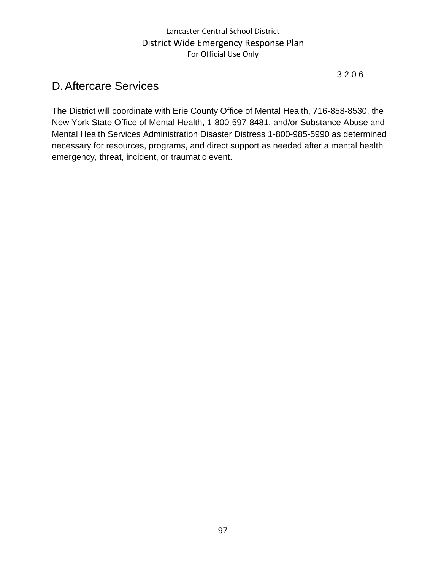#### 3 2 0 6

# D.Aftercare Services

The District will coordinate with Erie County Office of Mental Health, 716-858-8530, the New York State Office of Mental Health, 1-800-597-8481, and/or Substance Abuse and Mental Health Services Administration Disaster Distress 1-800-985-5990 as determined necessary for resources, programs, and direct support as needed after a mental health emergency, threat, incident, or traumatic event.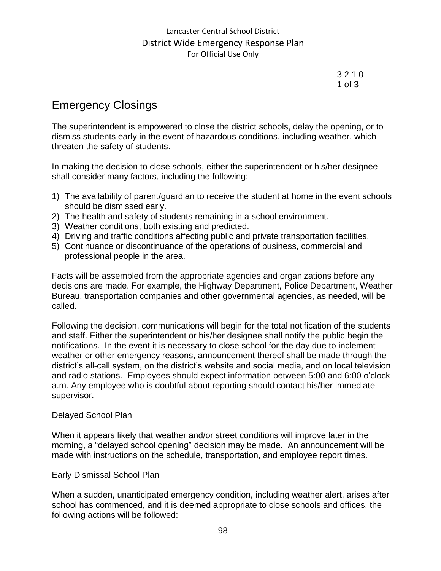3 2 1 0 1 of 3

# Emergency Closings

The superintendent is empowered to close the district schools, delay the opening, or to dismiss students early in the event of hazardous conditions, including weather, which threaten the safety of students.

In making the decision to close schools, either the superintendent or his/her designee shall consider many factors, including the following:

- 1) The availability of parent/guardian to receive the student at home in the event schools should be dismissed early.
- 2) The health and safety of students remaining in a school environment.
- 3) Weather conditions, both existing and predicted.
- 4) Driving and traffic conditions affecting public and private transportation facilities.
- 5) Continuance or discontinuance of the operations of business, commercial and professional people in the area.

Facts will be assembled from the appropriate agencies and organizations before any decisions are made. For example, the Highway Department, Police Department, Weather Bureau, transportation companies and other governmental agencies, as needed, will be called.

Following the decision, communications will begin for the total notification of the students and staff. Either the superintendent or his/her designee shall notify the public begin the notifications. In the event it is necessary to close school for the day due to inclement weather or other emergency reasons, announcement thereof shall be made through the district's all-call system, on the district's website and social media, and on local television and radio stations. Employees should expect information between 5:00 and 6:00 o'clock a.m. Any employee who is doubtful about reporting should contact his/her immediate supervisor.

#### Delayed School Plan

When it appears likely that weather and/or street conditions will improve later in the morning, a "delayed school opening" decision may be made. An announcement will be made with instructions on the schedule, transportation, and employee report times.

#### Early Dismissal School Plan

When a sudden, unanticipated emergency condition, including weather alert, arises after school has commenced, and it is deemed appropriate to close schools and offices, the following actions will be followed: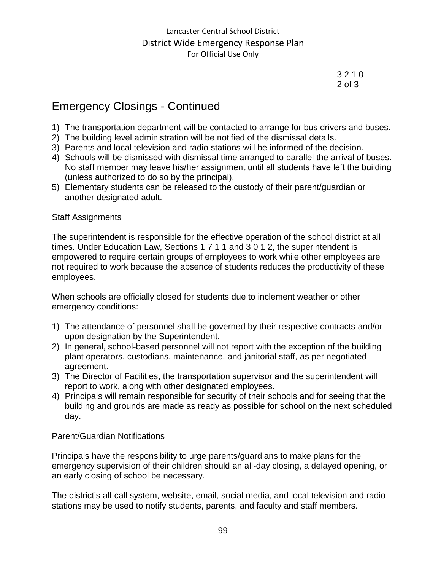3 2 1 0 2 of 3

# Emergency Closings - Continued

- 1) The transportation department will be contacted to arrange for bus drivers and buses.
- 2) The building level administration will be notified of the dismissal details.
- 3) Parents and local television and radio stations will be informed of the decision.
- 4) Schools will be dismissed with dismissal time arranged to parallel the arrival of buses. No staff member may leave his/her assignment until all students have left the building (unless authorized to do so by the principal).
- 5) Elementary students can be released to the custody of their parent/guardian or another designated adult.

#### Staff Assignments

The superintendent is responsible for the effective operation of the school district at all times. Under Education Law, Sections 1 7 1 1 and 3 0 1 2, the superintendent is empowered to require certain groups of employees to work while other employees are not required to work because the absence of students reduces the productivity of these employees.

When schools are officially closed for students due to inclement weather or other emergency conditions:

- 1) The attendance of personnel shall be governed by their respective contracts and/or upon designation by the Superintendent.
- 2) In general, school-based personnel will not report with the exception of the building plant operators, custodians, maintenance, and janitorial staff, as per negotiated agreement.
- 3) The Director of Facilities, the transportation supervisor and the superintendent will report to work, along with other designated employees.
- 4) Principals will remain responsible for security of their schools and for seeing that the building and grounds are made as ready as possible for school on the next scheduled day.

#### Parent/Guardian Notifications

Principals have the responsibility to urge parents/guardians to make plans for the emergency supervision of their children should an all-day closing, a delayed opening, or an early closing of school be necessary.

The district's all-call system, website, email, social media, and local television and radio stations may be used to notify students, parents, and faculty and staff members.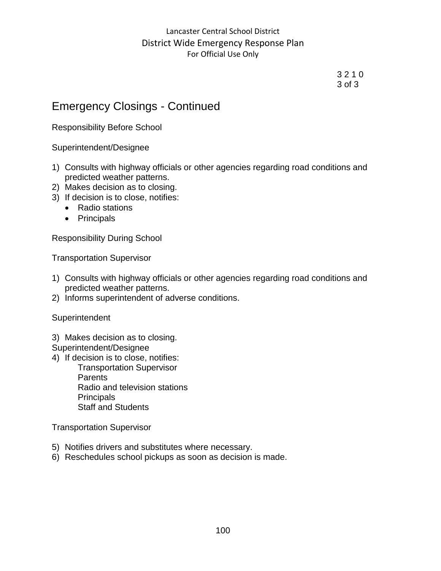3 2 1 0 3 of 3

# Emergency Closings - Continued

Responsibility Before School

Superintendent/Designee

- 1) Consults with highway officials or other agencies regarding road conditions and predicted weather patterns.
- 2) Makes decision as to closing.
- 3) If decision is to close, notifies:
	- Radio stations
	- Principals

Responsibility During School

Transportation Supervisor

- 1) Consults with highway officials or other agencies regarding road conditions and predicted weather patterns.
- 2) Informs superintendent of adverse conditions.

**Superintendent** 

3) Makes decision as to closing.

Superintendent/Designee

4) If decision is to close, notifies:

Transportation Supervisor Parents Radio and television stations **Principals** Staff and Students

Transportation Supervisor

- 5) Notifies drivers and substitutes where necessary.
- 6) Reschedules school pickups as soon as decision is made.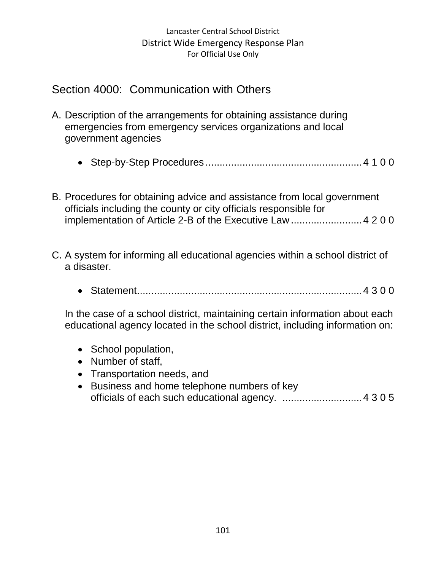# Section 4000: Communication with Others

- A. Description of the arrangements for obtaining assistance during emergencies from emergency services organizations and local government agencies
	- Step-by-Step Procedures .......................................................4 1 0 0
- B. Procedures for obtaining advice and assistance from local government officials including the county or city officials responsible for implementation of Article 2-B of the Executive Law.........................4 2 0 0
- C. A system for informing all educational agencies within a school district of a disaster.
	- Statement...............................................................................4 3 0 0

In the case of a school district, maintaining certain information about each educational agency located in the school district, including information on:

- School population,
- Number of staff,
- Transportation needs, and
- Business and home telephone numbers of key officials of each such educational agency. ............................4 3 0 5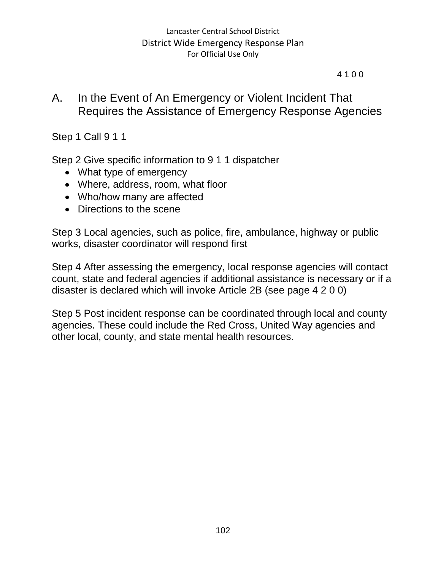#### 4 1 0 0

# A. In the Event of An Emergency or Violent Incident That Requires the Assistance of Emergency Response Agencies

Step 1 Call 9 1 1

Step 2 Give specific information to 9 1 1 dispatcher

- What type of emergency
- Where, address, room, what floor
- Who/how many are affected
- Directions to the scene

Step 3 Local agencies, such as police, fire, ambulance, highway or public works, disaster coordinator will respond first

Step 4 After assessing the emergency, local response agencies will contact count, state and federal agencies if additional assistance is necessary or if a disaster is declared which will invoke Article 2B (see page 4 2 0 0)

Step 5 Post incident response can be coordinated through local and county agencies. These could include the Red Cross, United Way agencies and other local, county, and state mental health resources.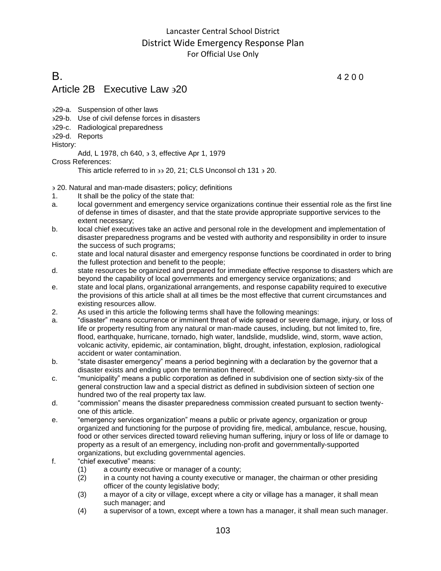# **B**. 4 2 0 0 Article 2B Executive Law  $320$

- 29-a. Suspension of other laws
- 29-b. Use of civil defense forces in disasters
- 29-c. Radiological preparedness
- 29-d. Reports

History:

Add, L 1978, ch 640,  $\frac{1}{2}$  3, effective Apr 1, 1979

Cross References:

This article referred to in  $\overline{3}$  20, 21; CLS Unconsol ch 131  $\overline{3}$  20.

20. Natural and man-made disasters; policy; definitions

- 1. It shall be the policy of the state that:
- a. local government and emergency service organizations continue their essential role as the first line of defense in times of disaster, and that the state provide appropriate supportive services to the extent necessary;
- b. local chief executives take an active and personal role in the development and implementation of disaster preparedness programs and be vested with authority and responsibility in order to insure the success of such programs;
- c. state and local natural disaster and emergency response functions be coordinated in order to bring the fullest protection and benefit to the people;
- d. state resources be organized and prepared for immediate effective response to disasters which are beyond the capability of local governments and emergency service organizations; and
- e. state and local plans, organizational arrangements, and response capability required to executive the provisions of this article shall at all times be the most effective that current circumstances and existing resources allow.
- 2. As used in this article the following terms shall have the following meanings:
- a. "disaster" means occurrence or imminent threat of wide spread or severe damage, injury, or loss of life or property resulting from any natural or man-made causes, including, but not limited to, fire, flood, earthquake, hurricane, tornado, high water, landslide, mudslide, wind, storm, wave action, volcanic activity, epidemic, air contamination, blight, drought, infestation, explosion, radiological accident or water contamination.
- b. "state disaster emergency" means a period beginning with a declaration by the governor that a disaster exists and ending upon the termination thereof.
- c. "municipality" means a public corporation as defined in subdivision one of section sixty-six of the general construction law and a special district as defined in subdivision sixteen of section one hundred two of the real property tax law.
- d. "commission" means the disaster preparedness commission created pursuant to section twentyone of this article.
- e. "emergency services organization" means a public or private agency, organization or group organized and functioning for the purpose of providing fire, medical, ambulance, rescue, housing, food or other services directed toward relieving human suffering, injury or loss of life or damage to property as a result of an emergency, including non-profit and governmentally-supported organizations, but excluding governmental agencies.
- f. "chief executive" means:
	- (1) a county executive or manager of a county;
	- (2) in a county not having a county executive or manager, the chairman or other presiding officer of the county legislative body;
	- (3) a mayor of a city or village, except where a city or village has a manager, it shall mean such manager; and
	- (4) a supervisor of a town, except where a town has a manager, it shall mean such manager.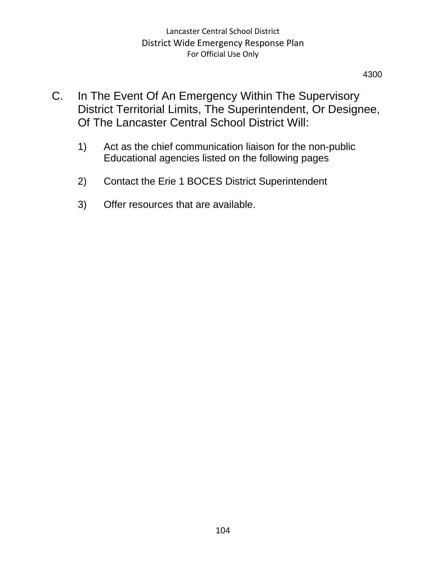4300

- C. In The Event Of An Emergency Within The Supervisory District Territorial Limits, The Superintendent, Or Designee, Of The Lancaster Central School District Will:
	- 1) Act as the chief communication liaison for the non-public Educational agencies listed on the following pages
	- 2) Contact the Erie 1 BOCES District Superintendent
	- 3) Offer resources that are available.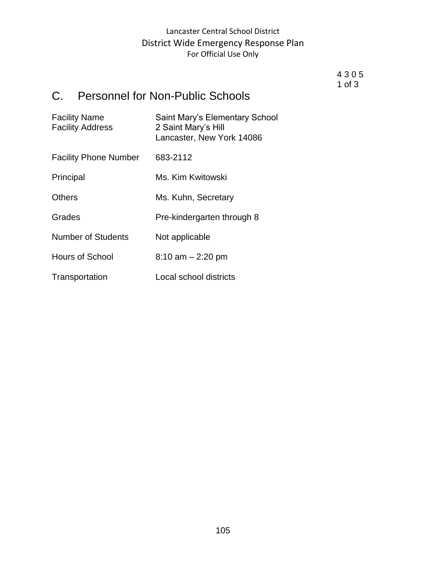#### 4 3 0 5 1 of 3

# C. Personnel for Non-Public Schools

| <b>Facility Name</b><br><b>Facility Address</b> | Saint Mary's Elementary School<br>2 Saint Mary's Hill<br>Lancaster, New York 14086 |
|-------------------------------------------------|------------------------------------------------------------------------------------|
| <b>Facility Phone Number</b>                    | 683-2112                                                                           |
| Principal                                       | Ms. Kim Kwitowski                                                                  |
| <b>Others</b>                                   | Ms. Kuhn, Secretary                                                                |
| Grades                                          | Pre-kindergarten through 8                                                         |
| <b>Number of Students</b>                       | Not applicable                                                                     |
| <b>Hours of School</b>                          | $8:10$ am $- 2:20$ pm                                                              |
| Transportation                                  | Local school districts                                                             |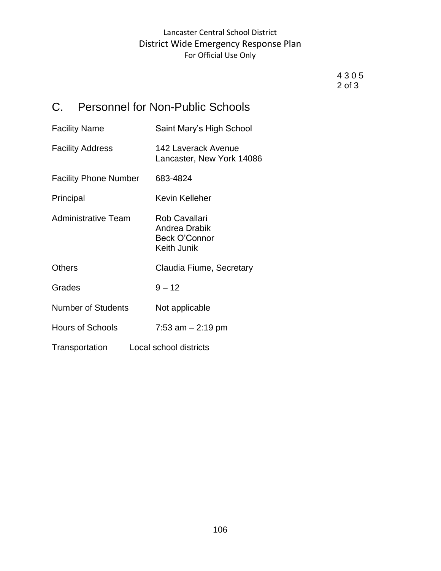4 3 0 5 2 of 3

# C. Personnel for Non-Public Schools

| <b>Facility Name</b>         | Saint Mary's High School                                       |
|------------------------------|----------------------------------------------------------------|
| <b>Facility Address</b>      | 142 Laverack Avenue<br>Lancaster, New York 14086               |
| <b>Facility Phone Number</b> | 683-4824                                                       |
| Principal                    | Kevin Kelleher                                                 |
| <b>Administrative Team</b>   | Rob Cavallari<br>Andrea Drabik<br>Beck O'Connor<br>Keith Junik |
| <b>Others</b>                | Claudia Fiume, Secretary                                       |
| Grades                       | $9 - 12$                                                       |
| <b>Number of Students</b>    | Not applicable                                                 |
| <b>Hours of Schools</b>      | 7:53 am $-$ 2:19 pm                                            |
| Transportation               | Local school districts                                         |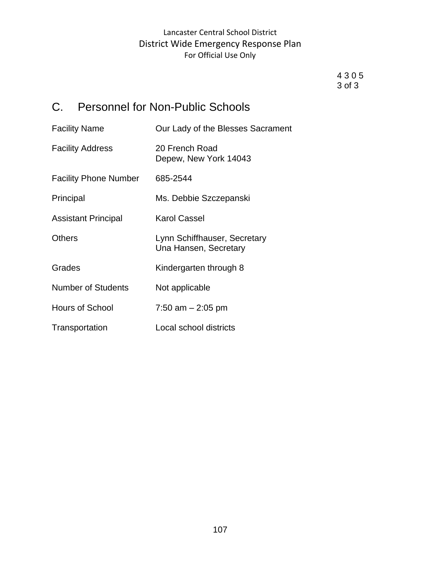4 3 0 5 3 of 3

# C. Personnel for Non-Public Schools

| <b>Facility Name</b>         | Our Lady of the Blesses Sacrament                     |
|------------------------------|-------------------------------------------------------|
| <b>Facility Address</b>      | 20 French Road<br>Depew, New York 14043               |
| <b>Facility Phone Number</b> | 685-2544                                              |
| Principal                    | Ms. Debbie Szczepanski                                |
| <b>Assistant Principal</b>   | <b>Karol Cassel</b>                                   |
| <b>Others</b>                | Lynn Schiffhauser, Secretary<br>Una Hansen, Secretary |
| Grades                       | Kindergarten through 8                                |
| <b>Number of Students</b>    | Not applicable                                        |
| Hours of School              | 7:50 am $-$ 2:05 pm                                   |
| Transportation               | Local school districts                                |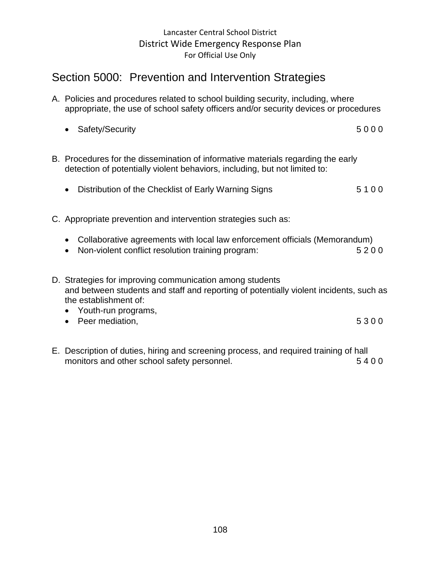# Section 5000: Prevention and Intervention Strategies

- A. Policies and procedures related to school building security, including, where appropriate, the use of school safety officers and/or security devices or procedures
	- Safety/Security 5 0 0 0
- B. Procedures for the dissemination of informative materials regarding the early detection of potentially violent behaviors, including, but not limited to:
	- Distribution of the Checklist of Early Warning Signs 5 1 0 0
- C. Appropriate prevention and intervention strategies such as:
	- Collaborative agreements with local law enforcement officials (Memorandum)
	- Non-violent conflict resolution training program: 5 2 0 0
- D. Strategies for improving communication among students and between students and staff and reporting of potentially violent incidents, such as the establishment of:
	- Youth-run programs,
	- Peer mediation, 5 3 0 0
- E. Description of duties, hiring and screening process, and required training of hall monitors and other school safety personnel. The same state of  $5400$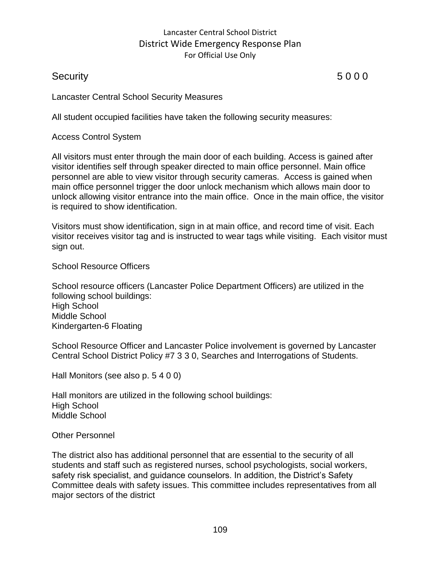# Security 5 0 0 0

Lancaster Central School Security Measures

All student occupied facilities have taken the following security measures:

Access Control System

All visitors must enter through the main door of each building. Access is gained after visitor identifies self through speaker directed to main office personnel. Main office personnel are able to view visitor through security cameras. Access is gained when main office personnel trigger the door unlock mechanism which allows main door to unlock allowing visitor entrance into the main office. Once in the main office, the visitor is required to show identification.

Visitors must show identification, sign in at main office, and record time of visit. Each visitor receives visitor tag and is instructed to wear tags while visiting. Each visitor must sign out.

School Resource Officers

School resource officers (Lancaster Police Department Officers) are utilized in the following school buildings: High School Middle School Kindergarten-6 Floating

School Resource Officer and Lancaster Police involvement is governed by Lancaster Central School District Policy #7 3 3 0, Searches and Interrogations of Students.

Hall Monitors (see also p. 5 4 0 0)

Hall monitors are utilized in the following school buildings: High School Middle School

#### Other Personnel

The district also has additional personnel that are essential to the security of all students and staff such as registered nurses, school psychologists, social workers, safety risk specialist, and guidance counselors. In addition, the District's Safety Committee deals with safety issues. This committee includes representatives from all major sectors of the district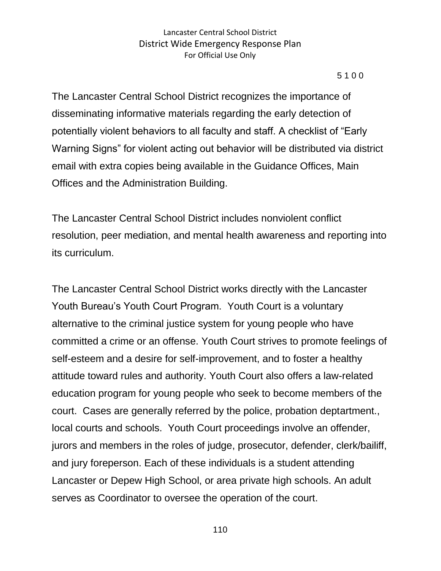#### 5 1 0 0

The Lancaster Central School District recognizes the importance of disseminating informative materials regarding the early detection of potentially violent behaviors to all faculty and staff. A checklist of "Early Warning Signs" for violent acting out behavior will be distributed via district email with extra copies being available in the Guidance Offices, Main Offices and the Administration Building.

The Lancaster Central School District includes nonviolent conflict resolution, peer mediation, and mental health awareness and reporting into its curriculum.

The Lancaster Central School District works directly with the Lancaster Youth Bureau's Youth Court Program. Youth Court is a voluntary alternative to the criminal justice system for young people who have committed a crime or an offense. Youth Court strives to promote feelings of self-esteem and a desire for self-improvement, and to foster a healthy attitude toward rules and authority. Youth Court also offers a law-related education program for young people who seek to become members of the court. Cases are generally referred by the police, probation deptartment., local courts and schools. Youth Court proceedings involve an offender, jurors and members in the roles of judge, prosecutor, defender, clerk/bailiff, and jury foreperson. Each of these individuals is a student attending Lancaster or Depew High School, or area private high schools. An adult serves as Coordinator to oversee the operation of the court.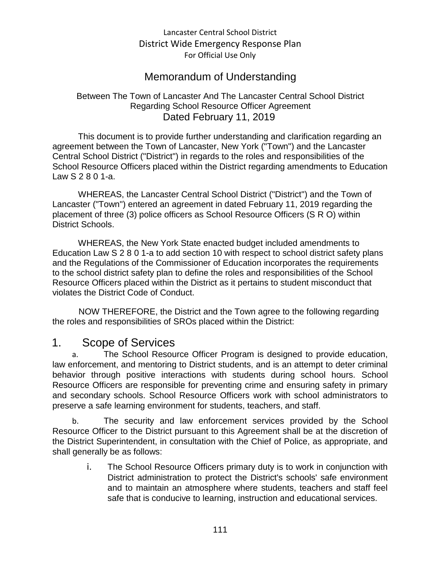# Memorandum of Understanding

#### Between The Town of Lancaster And The Lancaster Central School District Regarding School Resource Officer Agreement Dated February 11, 2019

This document is to provide further understanding and clarification regarding an agreement between the Town of Lancaster, New York ("Town") and the Lancaster Central School District ("District") in regards to the roles and responsibilities of the School Resource Officers placed within the District regarding amendments to Education Law S 2 8 0 1-a.

WHEREAS, the Lancaster Central School District ("District") and the Town of Lancaster ("Town") entered an agreement in dated February 11, 2019 regarding the placement of three (3) police officers as School Resource Officers (S R O) within District Schools.

WHEREAS, the New York State enacted budget included amendments to Education Law S 2 8 0 1-a to add section 10 with respect to school district safety plans and the Regulations of the Commissioner of Education incorporates the requirements to the school district safety plan to define the roles and responsibilities of the School Resource Officers placed within the District as it pertains to student misconduct that violates the District Code of Conduct.

NOW THEREFORE, the District and the Town agree to the following regarding the roles and responsibilities of SROs placed within the District:

# 1. Scope of Services

a. The School Resource Officer Program is designed to provide education, law enforcement, and mentoring to District students, and is an attempt to deter criminal behavior through positive interactions with students during school hours. School Resource Officers are responsible for preventing crime and ensuring safety in primary and secondary schools. School Resource Officers work with school administrators to preserve a safe learning environment for students, teachers, and staff.

b. The security and law enforcement services provided by the School Resource Officer to the District pursuant to this Agreement shall be at the discretion of the District Superintendent, in consultation with the Chief of Police, as appropriate, and shall generally be as follows:

> i. The School Resource Officers primary duty is to work in conjunction with District administration to protect the District's schools' safe environment and to maintain an atmosphere where students, teachers and staff feel safe that is conducive to learning, instruction and educational services.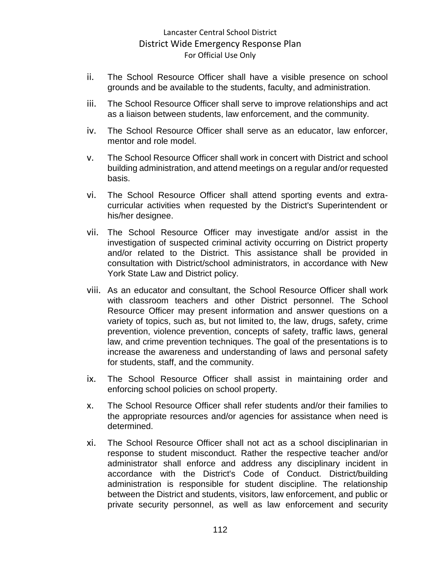- ii. The School Resource Officer shall have a visible presence on school grounds and be available to the students, faculty, and administration.
- iii. The School Resource Officer shall serve to improve relationships and act as a liaison between students, law enforcement, and the community.
- iv. The School Resource Officer shall serve as an educator, law enforcer, mentor and role model.
- v. The School Resource Officer shall work in concert with District and school building administration, and attend meetings on a regular and/or requested basis.
- vi. The School Resource Officer shall attend sporting events and extracurricular activities when requested by the District's Superintendent or his/her designee.
- vii. The School Resource Officer may investigate and/or assist in the investigation of suspected criminal activity occurring on District property and/or related to the District. This assistance shall be provided in consultation with District/school administrators, in accordance with New York State Law and District policy.
- viii. As an educator and consultant, the School Resource Officer shall work with classroom teachers and other District personnel. The School Resource Officer may present information and answer questions on a variety of topics, such as, but not limited to, the law, drugs, safety, crime prevention, violence prevention, concepts of safety, traffic laws, general law, and crime prevention techniques. The goal of the presentations is to increase the awareness and understanding of laws and personal safety for students, staff, and the community.
- ix. The School Resource Officer shall assist in maintaining order and enforcing school policies on school property.
- x. The School Resource Officer shall refer students and/or their families to the appropriate resources and/or agencies for assistance when need is determined.
- xi. The School Resource Officer shall not act as a school disciplinarian in response to student misconduct. Rather the respective teacher and/or administrator shall enforce and address any disciplinary incident in accordance with the District's Code of Conduct. District/building administration is responsible for student discipline. The relationship between the District and students, visitors, law enforcement, and public or private security personnel, as well as law enforcement and security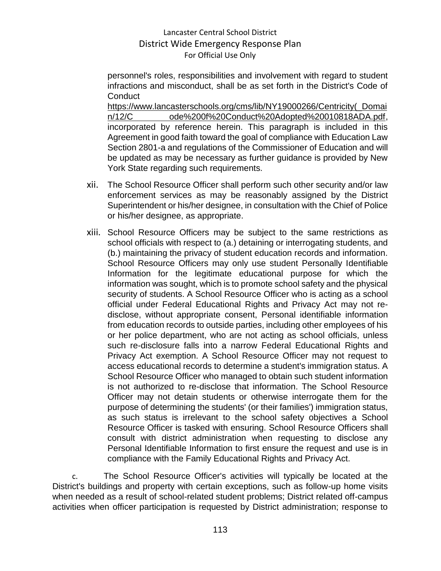personnel's roles, responsibilities and involvement with regard to student infractions and misconduct, shall be as set forth in the District's Code of **Conduct** 

https://www.lancasterschools.org/cms/lib/NY19000266/Centricity(\_Domai n/12/C ode%200f%20Conduct%20Adopted%20010818ADA.pdf, incorporated by reference herein. This paragraph is included in this Agreement in good faith toward the goal of compliance with Education Law Section 2801-a and regulations of the Commissioner of Education and will be updated as may be necessary as further guidance is provided by New York State regarding such requirements.

- xii. The School Resource Officer shall perform such other security and/or law enforcement services as may be reasonably assigned by the District Superintendent or his/her designee, in consultation with the Chief of Police or his/her designee, as appropriate.
- xiii. School Resource Officers may be subject to the same restrictions as school officials with respect to (a.) detaining or interrogating students, and (b.) maintaining the privacy of student education records and information. School Resource Officers may only use student Personally Identifiable Information for the legitimate educational purpose for which the information was sought, which is to promote school safety and the physical security of students. A School Resource Officer who is acting as a school official under Federal Educational Rights and Privacy Act may not redisclose, without appropriate consent, Personal identifiable information from education records to outside parties, including other employees of his or her police department, who are not acting as school officials, unless such re-disclosure falls into a narrow Federal Educational Rights and Privacy Act exemption. A School Resource Officer may not request to access educational records to determine a student's immigration status. A School Resource Officer who managed to obtain such student information is not authorized to re-disclose that information. The School Resource Officer may not detain students or otherwise interrogate them for the purpose of determining the students' (or their families') immigration status, as such status is irrelevant to the school safety objectives a School Resource Officer is tasked with ensuring. School Resource Officers shall consult with district administration when requesting to disclose any Personal Identifiable Information to first ensure the request and use is in compliance with the Family Educational Rights and Privacy Act.

c. The School Resource Officer's activities will typically be located at the District's buildings and property with certain exceptions, such as follow-up home visits when needed as a result of school-related student problems; District related off-campus activities when officer participation is requested by District administration; response to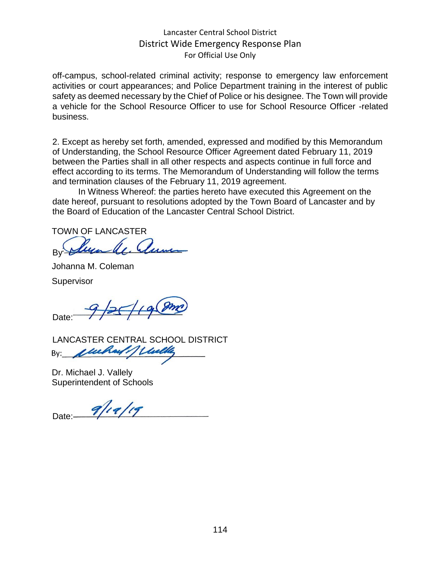off-campus, school-related criminal activity; response to emergency law enforcement activities or court appearances; and Police Department training in the interest of public safety as deemed necessary by the Chief of Police or his designee. The Town will provide a vehicle for the School Resource Officer to use for School Resource Officer -related business.

2. Except as hereby set forth, amended, expressed and modified by this Memorandum of Understanding, the School Resource Officer Agreement dated February 11, 2019 between the Parties shall in all other respects and aspects continue in full force and effect according to its terms. The Memorandum of Understanding will follow the terms and termination clauses of the February 11, 2019 agreement.

In Witness Whereof: the parties hereto have executed this Agreement on the date hereof, pursuant to resolutions adopted by the Town Board of Lancaster and by the Board of Education of the Lancaster Central School District.

TOWN OF LANCASTER

By

Johanna M. Coleman

**Supervisor** 

 $9/25/198$ Date:

LANCASTER CENTRAL SCHOOL DISTRICT By:

Dr. Michael J. Vallely Superintendent of Schools

Date:  $9/19/19$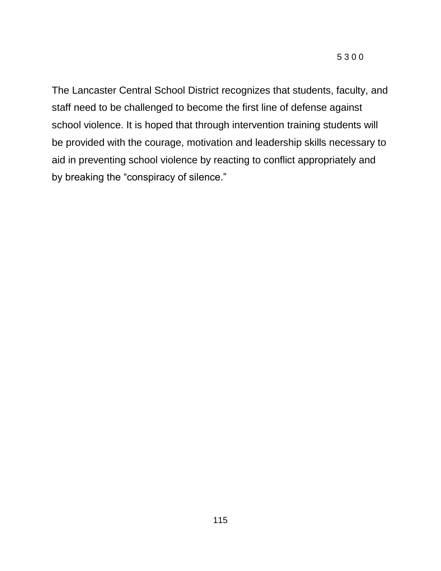The Lancaster Central School District recognizes that students, faculty, and staff need to be challenged to become the first line of defense against school violence. It is hoped that through intervention training students will be provided with the courage, motivation and leadership skills necessary to aid in preventing school violence by reacting to conflict appropriately and by breaking the "conspiracy of silence."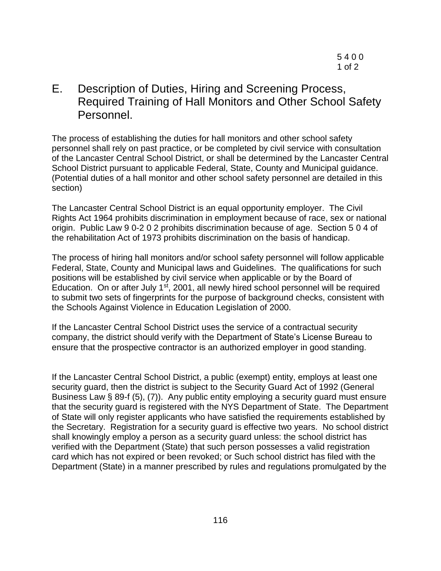E. Description of Duties, Hiring and Screening Process, Required Training of Hall Monitors and Other School Safety Personnel.

The process of establishing the duties for hall monitors and other school safety personnel shall rely on past practice, or be completed by civil service with consultation of the Lancaster Central School District, or shall be determined by the Lancaster Central School District pursuant to applicable Federal, State, County and Municipal guidance. (Potential duties of a hall monitor and other school safety personnel are detailed in this section)

The Lancaster Central School District is an equal opportunity employer. The Civil Rights Act 1964 prohibits discrimination in employment because of race, sex or national origin. Public Law 9 0-2 0 2 prohibits discrimination because of age. Section 5 0 4 of the rehabilitation Act of 1973 prohibits discrimination on the basis of handicap.

The process of hiring hall monitors and/or school safety personnel will follow applicable Federal, State, County and Municipal laws and Guidelines. The qualifications for such positions will be established by civil service when applicable or by the Board of Education. On or after July 1<sup>st</sup>, 2001, all newly hired school personnel will be required to submit two sets of fingerprints for the purpose of background checks, consistent with the Schools Against Violence in Education Legislation of 2000.

If the Lancaster Central School District uses the service of a contractual security company, the district should verify with the Department of State's License Bureau to ensure that the prospective contractor is an authorized employer in good standing.

If the Lancaster Central School District, a public (exempt) entity, employs at least one security guard, then the district is subject to the Security Guard Act of 1992 (General Business Law § 89-f (5), (7)). Any public entity employing a security guard must ensure that the security guard is registered with the NYS Department of State. The Department of State will only register applicants who have satisfied the requirements established by the Secretary. Registration for a security guard is effective two years. No school district shall knowingly employ a person as a security guard unless: the school district has verified with the Department (State) that such person possesses a valid registration card which has not expired or been revoked; or Such school district has filed with the Department (State) in a manner prescribed by rules and regulations promulgated by the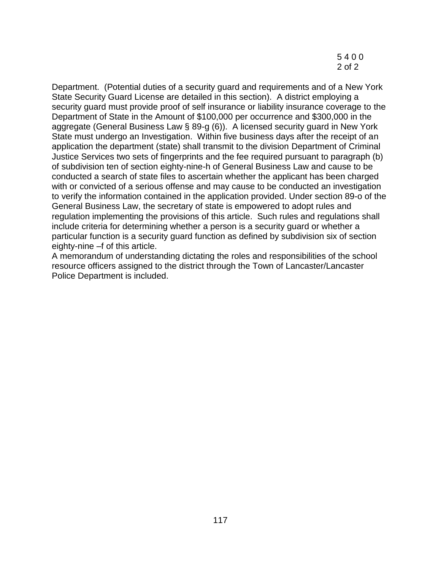5 4 0 0 2 of 2

Department. (Potential duties of a security guard and requirements and of a New York State Security Guard License are detailed in this section). A district employing a security guard must provide proof of self insurance or liability insurance coverage to the Department of State in the Amount of \$100,000 per occurrence and \$300,000 in the aggregate (General Business Law § 89-g (6)). A licensed security guard in New York State must undergo an Investigation. Within five business days after the receipt of an application the department (state) shall transmit to the division Department of Criminal Justice Services two sets of fingerprints and the fee required pursuant to paragraph (b) of subdivision ten of section eighty-nine-h of General Business Law and cause to be conducted a search of state files to ascertain whether the applicant has been charged with or convicted of a serious offense and may cause to be conducted an investigation to verify the information contained in the application provided. Under section 89-o of the General Business Law, the secretary of state is empowered to adopt rules and regulation implementing the provisions of this article. Such rules and regulations shall include criteria for determining whether a person is a security guard or whether a particular function is a security guard function as defined by subdivision six of section eighty-nine –f of this article.

A memorandum of understanding dictating the roles and responsibilities of the school resource officers assigned to the district through the Town of Lancaster/Lancaster Police Department is included.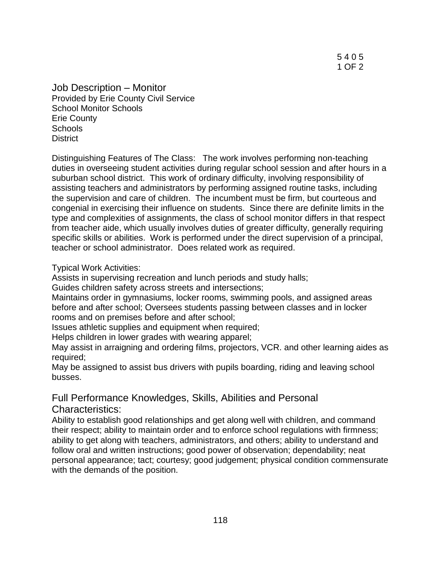5 4 0 5 1 OF 2

Job Description – Monitor Provided by Erie County Civil Service School Monitor Schools Erie County **Schools District** 

Distinguishing Features of The Class: The work involves performing non-teaching duties in overseeing student activities during regular school session and after hours in a suburban school district. This work of ordinary difficulty, involving responsibility of assisting teachers and administrators by performing assigned routine tasks, including the supervision and care of children. The incumbent must be firm, but courteous and congenial in exercising their influence on students. Since there are definite limits in the type and complexities of assignments, the class of school monitor differs in that respect from teacher aide, which usually involves duties of greater difficulty, generally requiring specific skills or abilities. Work is performed under the direct supervision of a principal, teacher or school administrator. Does related work as required.

Typical Work Activities:

Assists in supervising recreation and lunch periods and study halls;

Guides children safety across streets and intersections;

Maintains order in gymnasiums, locker rooms, swimming pools, and assigned areas before and after school; Oversees students passing between classes and in locker rooms and on premises before and after school;

Issues athletic supplies and equipment when required;

Helps children in lower grades with wearing apparel;

May assist in arraigning and ordering films, projectors, VCR. and other learning aides as required;

May be assigned to assist bus drivers with pupils boarding, riding and leaving school busses.

# Full Performance Knowledges, Skills, Abilities and Personal

Characteristics:

Ability to establish good relationships and get along well with children, and command their respect; ability to maintain order and to enforce school regulations with firmness; ability to get along with teachers, administrators, and others; ability to understand and follow oral and written instructions; good power of observation; dependability; neat personal appearance; tact; courtesy; good judgement; physical condition commensurate with the demands of the position.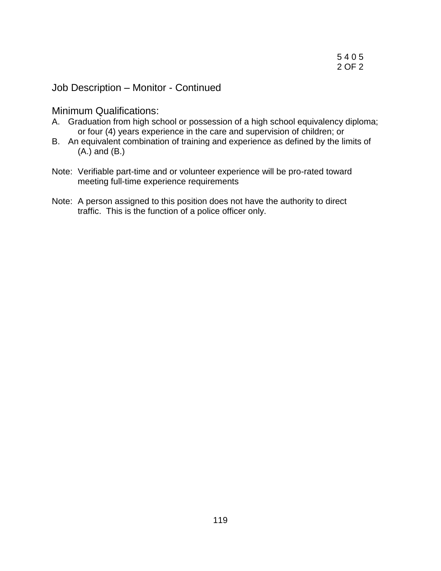Job Description – Monitor - Continued

Minimum Qualifications:

- A. Graduation from high school or possession of a high school equivalency diploma; or four (4) years experience in the care and supervision of children; or
- B. An equivalent combination of training and experience as defined by the limits of (A.) and (B.)
- Note: Verifiable part-time and or volunteer experience will be pro-rated toward meeting full-time experience requirements
- Note: A person assigned to this position does not have the authority to direct traffic. This is the function of a police officer only.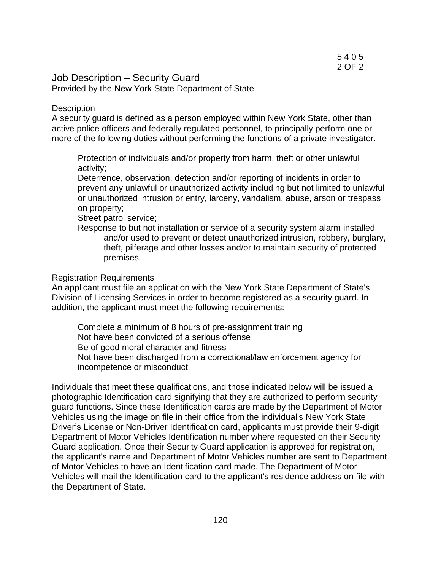#### Job Description – Security Guard Provided by the New York State Department of State

#### **Description**

A security guard is defined as a person employed within New York State, other than active police officers and federally regulated personnel, to principally perform one or more of the following duties without performing the functions of a private investigator.

Protection of individuals and/or property from harm, theft or other unlawful activity;

Deterrence, observation, detection and/or reporting of incidents in order to prevent any unlawful or unauthorized activity including but not limited to unlawful or unauthorized intrusion or entry, larceny, vandalism, abuse, arson or trespass on property;

Street patrol service;

Response to but not installation or service of a security system alarm installed and/or used to prevent or detect unauthorized intrusion, robbery, burglary, theft, pilferage and other losses and/or to maintain security of protected premises.

#### Registration Requirements

An applicant must file an application with the New York State Department of State's Division of Licensing Services in order to become registered as a security guard. In addition, the applicant must meet the following requirements:

Complete a minimum of 8 hours of pre-assignment training Not have been convicted of a serious offense Be of good moral character and fitness Not have been discharged from a correctional/law enforcement agency for incompetence or misconduct

Individuals that meet these qualifications, and those indicated below will be issued a photographic Identification card signifying that they are authorized to perform security guard functions. Since these Identification cards are made by the Department of Motor Vehicles using the image on file in their office from the individual's New York State Driver's License or Non-Driver Identification card, applicants must provide their 9-digit Department of Motor Vehicles Identification number where requested on their Security Guard application. Once their Security Guard application is approved for registration, the applicant's name and Department of Motor Vehicles number are sent to Department of Motor Vehicles to have an Identification card made. The Department of Motor Vehicles will mail the Identification card to the applicant's residence address on file with the Department of State.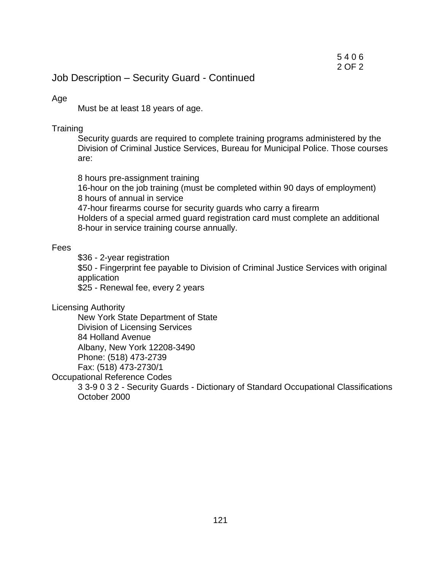# Job Description – Security Guard - Continued

#### Age

Must be at least 18 years of age.

#### **Training**

Security guards are required to complete training programs administered by the Division of Criminal Justice Services, Bureau for Municipal Police. Those courses are:

8 hours pre-assignment training 16-hour on the job training (must be completed within 90 days of employment) 8 hours of annual in service 47-hour firearms course for security guards who carry a firearm Holders of a special armed guard registration card must complete an additional 8-hour in service training course annually.

#### Fees

\$36 - 2-year registration \$50 - Fingerprint fee payable to Division of Criminal Justice Services with original application \$25 - Renewal fee, every 2 years

Licensing Authority

New York State Department of State Division of Licensing Services 84 Holland Avenue Albany, New York 12208-3490 Phone: (518) 473-2739

Fax: (518) 473-2730/1

Occupational Reference Codes

3 3-9 0 3 2 - Security Guards - Dictionary of Standard Occupational Classifications October 2000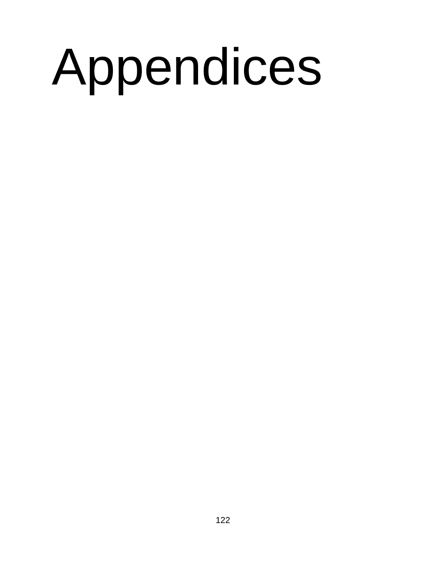# Appendices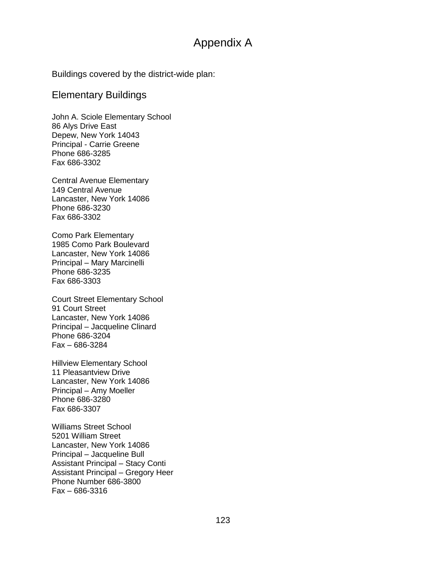# Appendix A

Buildings covered by the district-wide plan:

#### Elementary Buildings

John A. Sciole Elementary School 86 Alys Drive East Depew, New York 14043 Principal - Carrie Greene Phone 686-3285 Fax 686-3302

Central Avenue Elementary 149 Central Avenue Lancaster, New York 14086 Phone 686-3230 Fax 686-3302

Como Park Elementary 1985 Como Park Boulevard Lancaster, New York 14086 Principal – Mary Marcinelli Phone 686-3235 Fax 686-3303

Court Street Elementary School 91 Court Street Lancaster, New York 14086 Principal – Jacqueline Clinard Phone 686-3204 Fax – 686-3284

Hillview Elementary School 11 Pleasantview Drive Lancaster, New York 14086 Principal – Amy Moeller Phone 686-3280 Fax 686-3307

Williams Street School 5201 William Street Lancaster, New York 14086 Principal – Jacqueline Bull Assistant Principal – Stacy Conti Assistant Principal – Gregory Heer Phone Number 686-3800 Fax – 686-3316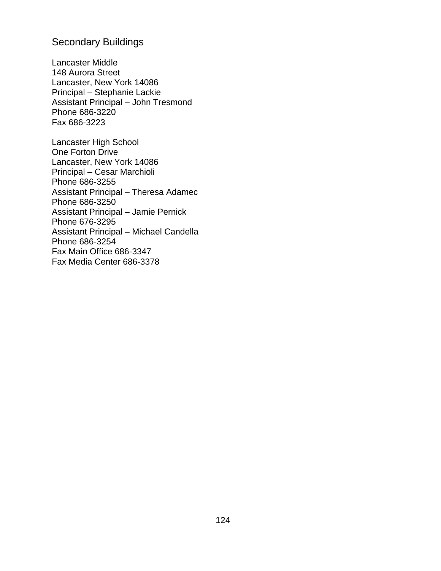# Secondary Buildings

Lancaster Middle 148 Aurora Street Lancaster, New York 14086 Principal – Stephanie Lackie Assistant Principal – John Tresmond Phone 686-3220 Fax 686-3223

Lancaster High School One Forton Drive Lancaster, New York 14086 Principal – Cesar Marchioli Phone 686-3255 Assistant Principal – Theresa Adamec Phone 686-3250 Assistant Principal – Jamie Pernick Phone 676-3295 Assistant Principal – Michael Candella Phone 686-3254 Fax Main Office 686-3347 Fax Media Center 686-3378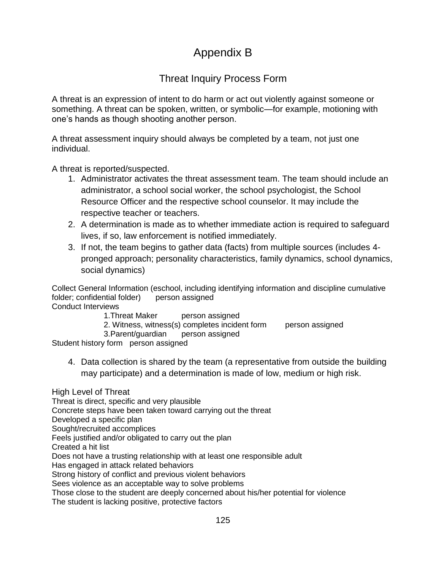# Appendix B

# Threat Inquiry Process Form

A threat is an expression of intent to do harm or act out violently against someone or something. A threat can be spoken, written, or symbolic—for example, motioning with one's hands as though shooting another person.

A threat assessment inquiry should always be completed by a team, not just one individual.

A threat is reported/suspected.

- 1. Administrator activates the threat assessment team. The team should include an administrator, a school social worker, the school psychologist, the School Resource Officer and the respective school counselor. It may include the respective teacher or teachers.
- 2. A determination is made as to whether immediate action is required to safeguard lives, if so, law enforcement is notified immediately.
- 3. If not, the team begins to gather data (facts) from multiple sources (includes 4 pronged approach; personality characteristics, family dynamics, school dynamics, social dynamics)

Collect General Information (eschool, including identifying information and discipline cumulative folder; confidential folder) person assigned Conduct Interviews

- 1.Threat Maker person assigned
- 2. Witness, witness(s) completes incident form person assigned

3.Parent/guardian person assigned

Student history form person assigned

4. Data collection is shared by the team (a representative from outside the building may participate) and a determination is made of low, medium or high risk.

High Level of Threat Threat is direct, specific and very plausible Concrete steps have been taken toward carrying out the threat Developed a specific plan Sought/recruited accomplices Feels justified and/or obligated to carry out the plan Created a hit list Does not have a trusting relationship with at least one responsible adult Has engaged in attack related behaviors Strong history of conflict and previous violent behaviors Sees violence as an acceptable way to solve problems Those close to the student are deeply concerned about his/her potential for violence

The student is lacking positive, protective factors